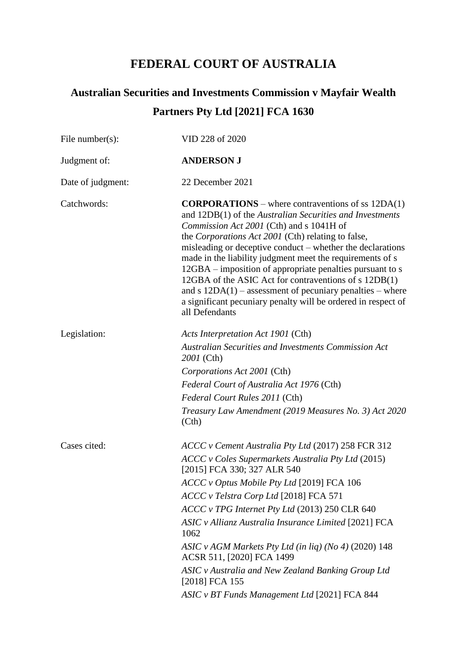## **FEDERAL COURT OF AUSTRALIA**

# **Australian Securities and Investments Commission v Mayfair Wealth Partners Pty Ltd [2021] FCA 1630**

| File number(s):   | VID 228 of 2020                                                                                                                                                                                                                                                                                                                                                                                                                                                                                                                                                                                                                    |
|-------------------|------------------------------------------------------------------------------------------------------------------------------------------------------------------------------------------------------------------------------------------------------------------------------------------------------------------------------------------------------------------------------------------------------------------------------------------------------------------------------------------------------------------------------------------------------------------------------------------------------------------------------------|
| Judgment of:      | <b>ANDERSON J</b>                                                                                                                                                                                                                                                                                                                                                                                                                                                                                                                                                                                                                  |
| Date of judgment: | 22 December 2021                                                                                                                                                                                                                                                                                                                                                                                                                                                                                                                                                                                                                   |
| Catchwords:       | <b>CORPORATIONS</b> – where contraventions of ss $12DA(1)$<br>and 12DB(1) of the Australian Securities and Investments<br><i>Commission Act 2001</i> (Cth) and s 1041H of<br>the Corporations Act 2001 (Cth) relating to false,<br>misleading or deceptive conduct – whether the declarations<br>made in the liability judgment meet the requirements of s<br>12GBA – imposition of appropriate penalties pursuant to s<br>12GBA of the ASIC Act for contraventions of s 12DB(1)<br>and $s$ 12DA(1) – assessment of pecuniary penalties – where<br>a significant pecuniary penalty will be ordered in respect of<br>all Defendants |
| Legislation:      | Acts Interpretation Act 1901 (Cth)<br><b>Australian Securities and Investments Commission Act</b><br>2001 (Cth)<br>Corporations Act 2001 (Cth)<br>Federal Court of Australia Act 1976 (Cth)<br>Federal Court Rules 2011 (Cth)<br>Treasury Law Amendment (2019 Measures No. 3) Act 2020<br>(Cth)                                                                                                                                                                                                                                                                                                                                    |
| Cases cited:      | ACCC v Cement Australia Pty Ltd (2017) 258 FCR 312<br>ACCC v Coles Supermarkets Australia Pty Ltd (2015)<br>[2015] FCA 330; 327 ALR 540<br>ACCC v Optus Mobile Pty Ltd [2019] FCA 106<br>ACCC v Telstra Corp Ltd [2018] FCA 571<br>ACCC v TPG Internet Pty Ltd (2013) 250 CLR 640<br>ASIC v Allianz Australia Insurance Limited [2021] FCA<br>1062<br>ASIC v AGM Markets Pty Ltd (in liq) (No 4) (2020) 148<br>ACSR 511, [2020] FCA 1499<br>ASIC v Australia and New Zealand Banking Group Ltd<br>[2018] FCA 155<br>ASIC v BT Funds Management Ltd [2021] FCA 844                                                                  |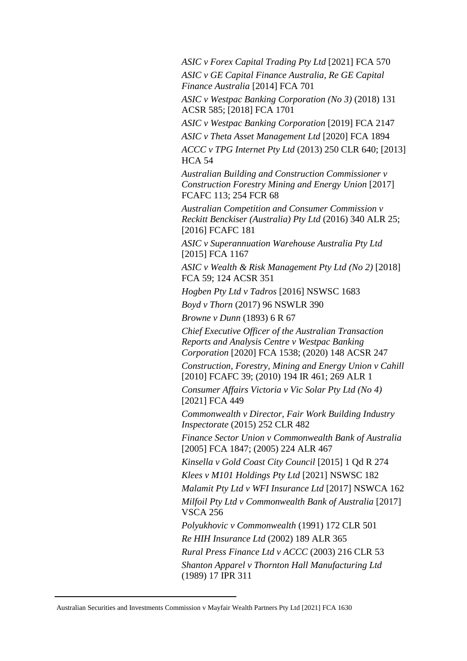*ASIC v Forex Capital Trading Pty Ltd* [2021] FCA 570 *ASIC v GE Capital Finance Australia, Re GE Capital Finance Australia* [2014] FCA 701

*ASIC v Westpac Banking Corporation (No 3)* (2018) 131 ACSR 585; [2018] FCA 1701

*ASIC v Westpac Banking Corporation* [2019] FCA 2147

*ASIC v Theta Asset Management Ltd* [2020] FCA 1894

*ACCC v TPG Internet Pty Ltd* (2013) 250 CLR 640; [2013] HCA 54

*Australian Building and Construction Commissioner v Construction Forestry Mining and Energy Union* [2017] FCAFC 113; 254 FCR 68

*Australian Competition and Consumer Commission v Reckitt Benckiser (Australia) Pty Ltd* (2016) 340 ALR 25; [2016] FCAFC 181

*ASIC v Superannuation Warehouse Australia Pty Ltd* [2015] FCA 1167

*ASIC v Wealth & Risk Management Pty Ltd (No 2)* [2018] FCA 59; 124 ACSR 351

*Hogben Pty Ltd v Tadros* [2016] NSWSC 1683

*Boyd v Thorn* (2017) 96 NSWLR 390

*Browne v Dunn* (1893) 6 R 67

*Chief Executive Officer of the Australian Transaction Reports and Analysis Centre v Westpac Banking Corporation* [2020] FCA 1538; (2020) 148 ACSR 247

*Construction, Forestry, Mining and Energy Union v Cahill* [2010] FCAFC 39; (2010) 194 IR 461; 269 ALR 1

*Consumer Affairs Victoria v Vic Solar Pty Ltd (No 4)*  [2021] FCA 449

*Commonwealth v Director, Fair Work Building Industry Inspectorate* (2015) 252 CLR 482

*Finance Sector Union v Commonwealth Bank of Australia* [2005] FCA 1847; (2005) 224 ALR 467

*Kinsella v Gold Coast City Council* [2015] 1 Qd R 274

*Klees v M101 Holdings Pty Ltd* [2021] NSWSC 182

*Malamit Pty Ltd v WFI Insurance Ltd* [2017] NSWCA 162 *Milfoil Pty Ltd v Commonwealth Bank of Australia* [2017] VSCA 256

*Polyukhovic v Commonwealth* (1991) 172 CLR 501 *Re HIH Insurance Ltd* (2002) 189 ALR 365

*Rural Press Finance Ltd v ACCC* (2003) 216 CLR 53 *Shanton Apparel v Thornton Hall Manufacturing Ltd* (1989) 17 IPR 311

Australian Securities and Investments Commission v Mayfair Wealth Partners Pty Ltd [2021] FCA 1630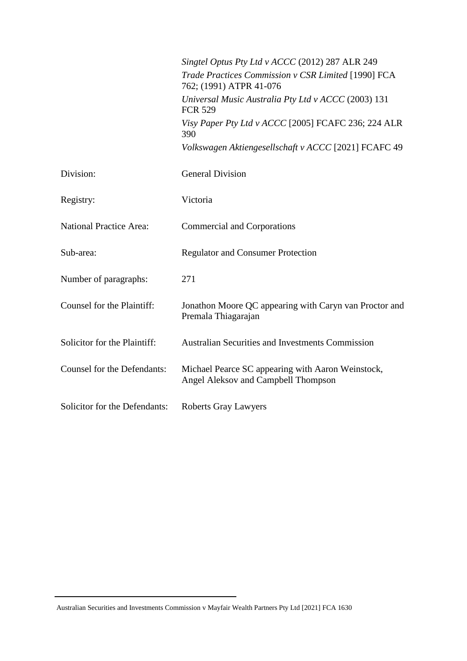|                                | Singtel Optus Pty Ltd v ACCC (2012) 287 ALR 249                                          |
|--------------------------------|------------------------------------------------------------------------------------------|
|                                | Trade Practices Commission v CSR Limited [1990] FCA<br>762; (1991) ATPR 41-076           |
|                                | Universal Music Australia Pty Ltd v ACCC (2003) 131<br><b>FCR 529</b>                    |
|                                | Visy Paper Pty Ltd v ACCC [2005] FCAFC 236; 224 ALR<br>390                               |
|                                | Volkswagen Aktiengesellschaft v ACCC [2021] FCAFC 49                                     |
| Division:                      | <b>General Division</b>                                                                  |
| Registry:                      | Victoria                                                                                 |
| <b>National Practice Area:</b> | <b>Commercial and Corporations</b>                                                       |
| Sub-area:                      | <b>Regulator and Consumer Protection</b>                                                 |
| Number of paragraphs:          | 271                                                                                      |
| Counsel for the Plaintiff:     | Jonathon Moore QC appearing with Caryn van Proctor and<br>Premala Thiagarajan            |
| Solicitor for the Plaintiff:   | <b>Australian Securities and Investments Commission</b>                                  |
| Counsel for the Defendants:    | Michael Pearce SC appearing with Aaron Weinstock,<br>Angel Aleksov and Campbell Thompson |
| Solicitor for the Defendants:  | <b>Roberts Gray Lawyers</b>                                                              |

Australian Securities and Investments Commission v Mayfair Wealth Partners Pty Ltd [2021] FCA 1630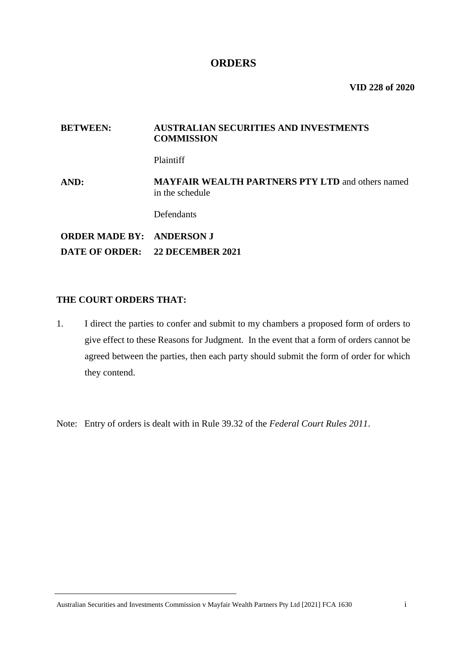## **ORDERS**

**VID 228 of 2020**

#### **BETWEEN: AUSTRALIAN SECURITIES AND INVESTMENTS COMMISSION**

Plaintiff

**AND: MAYFAIR WEALTH PARTNERS PTY LTD** and others named in the schedule

Defendants

**ORDER MADE BY: ANDERSON J DATE OF ORDER: 22 DECEMBER 2021** 

#### **THE COURT ORDERS THAT:**

1. I direct the parties to confer and submit to my chambers a proposed form of orders to give effect to these Reasons for Judgment. In the event that a form of orders cannot be agreed between the parties, then each party should submit the form of order for which they contend.

Note: Entry of orders is dealt with in Rule 39.32 of the *Federal Court Rules 2011*.

Australian Securities and Investments Commission v Mayfair Wealth Partners Pty Ltd [2021] FCA 1630 i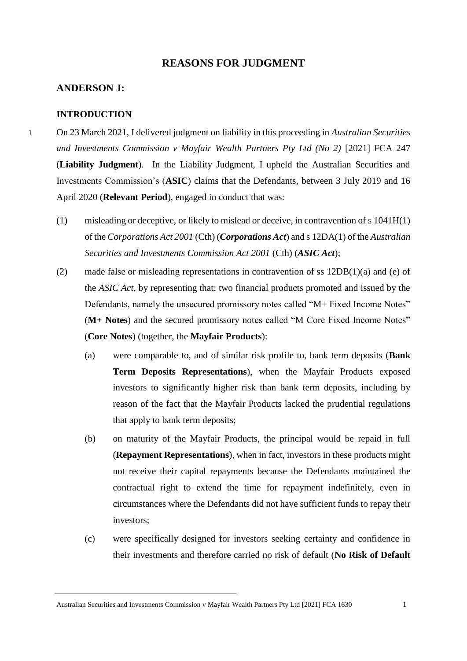## **REASONS FOR JUDGMENT**

#### **ANDERSON J:**

#### **INTRODUCTION**

- 1 On 23 March 2021, I delivered judgment on liability in this proceeding in *Australian Securities and Investments Commission v Mayfair Wealth Partners Pty Ltd (No 2)* [2021] FCA 247 (**Liability Judgment**). In the Liability Judgment, I upheld the Australian Securities and Investments Commission's (**ASIC**) claims that the Defendants, between 3 July 2019 and 16 April 2020 (**Relevant Period**), engaged in conduct that was:
	- (1) misleading or deceptive, or likely to mislead or deceive, in contravention of s 1041H(1) of the *Corporations Act 2001* (Cth) (*Corporations Act*) and s 12DA(1) of the *Australian Securities and Investments Commission Act 2001* (Cth) (*ASIC Act*);
	- (2) made false or misleading representations in contravention of ss 12DB(1)(a) and (e) of the *ASIC Act*, by representing that: two financial products promoted and issued by the Defendants, namely the unsecured promissory notes called "M+ Fixed Income Notes" (**M+ Notes**) and the secured promissory notes called "M Core Fixed Income Notes" (**Core Notes**) (together, the **Mayfair Products**):
		- (a) were comparable to, and of similar risk profile to, bank term deposits (**Bank Term Deposits Representations**), when the Mayfair Products exposed investors to significantly higher risk than bank term deposits, including by reason of the fact that the Mayfair Products lacked the prudential regulations that apply to bank term deposits;
		- (b) on maturity of the Mayfair Products, the principal would be repaid in full (**Repayment Representations**), when in fact, investors in these products might not receive their capital repayments because the Defendants maintained the contractual right to extend the time for repayment indefinitely, even in circumstances where the Defendants did not have sufficient funds to repay their investors;
		- (c) were specifically designed for investors seeking certainty and confidence in their investments and therefore carried no risk of default (**No Risk of Default**

Australian Securities and Investments Commission v Mayfair Wealth Partners Pty Ltd [2021] FCA 1630 1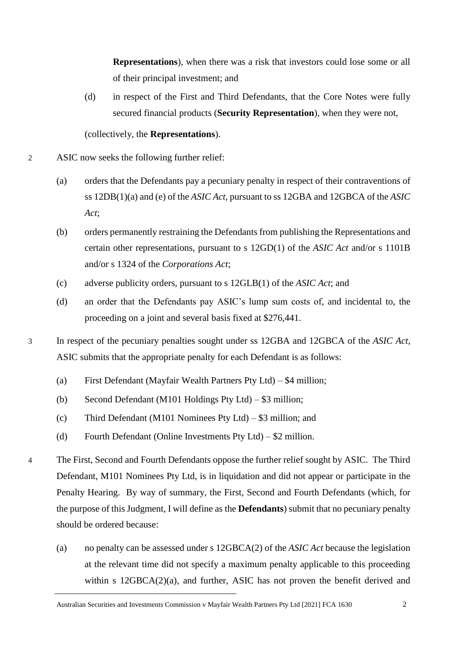**Representations**), when there was a risk that investors could lose some or all of their principal investment; and

(d) in respect of the First and Third Defendants, that the Core Notes were fully secured financial products (**Security Representation**), when they were not,

(collectively, the **Representations**).

2 ASIC now seeks the following further relief:

- (a) orders that the Defendants pay a pecuniary penalty in respect of their contraventions of ss 12DB(1)(a) and (e) of the *ASIC Act*, pursuant to ss 12GBA and 12GBCA of the *ASIC Act*;
- (b) orders permanently restraining the Defendants from publishing the Representations and certain other representations, pursuant to s 12GD(1) of the *ASIC Act* and/or s 1101B and/or s 1324 of the *Corporations Act*;
- (c) adverse publicity orders, pursuant to s 12GLB(1) of the *ASIC Act*; and
- (d) an order that the Defendants pay ASIC's lump sum costs of, and incidental to, the proceeding on a joint and several basis fixed at \$276,441.

3 In respect of the pecuniary penalties sought under ss 12GBA and 12GBCA of the *ASIC Act*, ASIC submits that the appropriate penalty for each Defendant is as follows:

- (a) First Defendant (Mayfair Wealth Partners Pty Ltd) \$4 million;
- (b) Second Defendant (M101 Holdings Pty Ltd) \$3 million;
- (c) Third Defendant (M101 Nominees Pty Ltd) \$3 million; and
- (d) Fourth Defendant (Online Investments Pty Ltd) \$2 million.
- 4 The First, Second and Fourth Defendants oppose the further relief sought by ASIC. The Third Defendant, M101 Nominees Pty Ltd, is in liquidation and did not appear or participate in the Penalty Hearing. By way of summary, the First, Second and Fourth Defendants (which, for the purpose of this Judgment, I will define as the **Defendants**) submit that no pecuniary penalty should be ordered because:
	- (a) no penalty can be assessed under s 12GBCA(2) of the *ASIC Act* because the legislation at the relevant time did not specify a maximum penalty applicable to this proceeding within s 12GBCA(2)(a), and further, ASIC has not proven the benefit derived and

Australian Securities and Investments Commission v Mayfair Wealth Partners Pty Ltd [2021] FCA 1630 2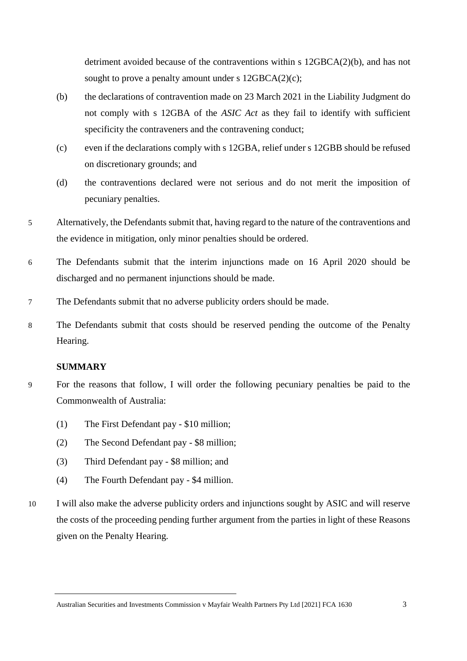detriment avoided because of the contraventions within s 12GBCA(2)(b), and has not sought to prove a penalty amount under s  $12GBCA(2)(c)$ ;

- (b) the declarations of contravention made on 23 March 2021 in the Liability Judgment do not comply with s 12GBA of the *ASIC Act* as they fail to identify with sufficient specificity the contraveners and the contravening conduct;
- (c) even if the declarations comply with s 12GBA, relief under s 12GBB should be refused on discretionary grounds; and
- (d) the contraventions declared were not serious and do not merit the imposition of pecuniary penalties.
- 5 Alternatively, the Defendants submit that, having regard to the nature of the contraventions and the evidence in mitigation, only minor penalties should be ordered.
- 6 The Defendants submit that the interim injunctions made on 16 April 2020 should be discharged and no permanent injunctions should be made.
- 7 The Defendants submit that no adverse publicity orders should be made.
- 8 The Defendants submit that costs should be reserved pending the outcome of the Penalty Hearing.

#### **SUMMARY**

- 9 For the reasons that follow, I will order the following pecuniary penalties be paid to the Commonwealth of Australia:
	- (1) The First Defendant pay \$10 million;
	- (2) The Second Defendant pay \$8 million;
	- (3) Third Defendant pay \$8 million; and
	- (4) The Fourth Defendant pay \$4 million.
- 10 I will also make the adverse publicity orders and injunctions sought by ASIC and will reserve the costs of the proceeding pending further argument from the parties in light of these Reasons given on the Penalty Hearing.

Australian Securities and Investments Commission v Mayfair Wealth Partners Pty Ltd [2021] FCA 1630 3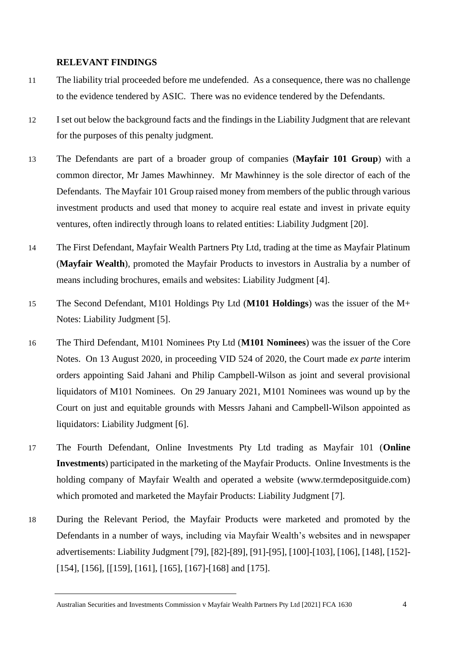#### **RELEVANT FINDINGS**

- 11 The liability trial proceeded before me undefended. As a consequence, there was no challenge to the evidence tendered by ASIC. There was no evidence tendered by the Defendants.
- 12 I set out below the background facts and the findings in the Liability Judgment that are relevant for the purposes of this penalty judgment.
- 13 The Defendants are part of a broader group of companies (**Mayfair 101 Group**) with a common director, Mr James Mawhinney. Mr Mawhinney is the sole director of each of the Defendants. The Mayfair 101 Group raised money from members of the public through various investment products and used that money to acquire real estate and invest in private equity ventures, often indirectly through loans to related entities: Liability Judgment [20].
- 14 The First Defendant, Mayfair Wealth Partners Pty Ltd, trading at the time as Mayfair Platinum (**Mayfair Wealth**), promoted the Mayfair Products to investors in Australia by a number of means including brochures, emails and websites: Liability Judgment [4].
- 15 The Second Defendant, M101 Holdings Pty Ltd (**M101 Holdings**) was the issuer of the M+ Notes: Liability Judgment [5].
- 16 The Third Defendant, M101 Nominees Pty Ltd (**M101 Nominees**) was the issuer of the Core Notes. On 13 August 2020, in proceeding VID 524 of 2020, the Court made *ex parte* interim orders appointing Said Jahani and Philip Campbell-Wilson as joint and several provisional liquidators of M101 Nominees. On 29 January 2021, M101 Nominees was wound up by the Court on just and equitable grounds with Messrs Jahani and Campbell-Wilson appointed as liquidators: Liability Judgment [6].
- 17 The Fourth Defendant, Online Investments Pty Ltd trading as Mayfair 101 (**Online Investments**) participated in the marketing of the Mayfair Products. Online Investments is the holding company of Mayfair Wealth and operated a website (www.termdepositguide.com) which promoted and marketed the Mayfair Products: Liability Judgment [7].
- 18 During the Relevant Period, the Mayfair Products were marketed and promoted by the Defendants in a number of ways, including via Mayfair Wealth's websites and in newspaper advertisements: Liability Judgment [79], [82]-[89], [91]-[95], [100]-[103], [106], [148], [152]- [154], [156], [[159], [161], [165], [167]-[168] and [175].

Australian Securities and Investments Commission v Mayfair Wealth Partners Pty Ltd [2021] FCA 1630 4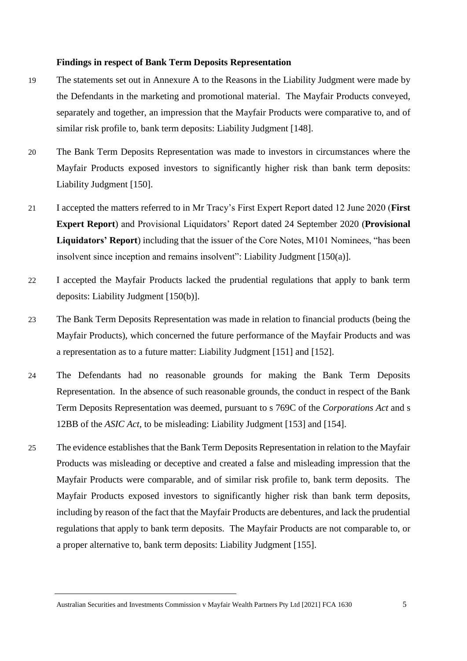#### **Findings in respect of Bank Term Deposits Representation**

- 19 The statements set out in Annexure A to the Reasons in the Liability Judgment were made by the Defendants in the marketing and promotional material. The Mayfair Products conveyed, separately and together, an impression that the Mayfair Products were comparative to, and of similar risk profile to, bank term deposits: Liability Judgment [148].
- 20 The Bank Term Deposits Representation was made to investors in circumstances where the Mayfair Products exposed investors to significantly higher risk than bank term deposits: Liability Judgment [150].
- 21 I accepted the matters referred to in Mr Tracy's First Expert Report dated 12 June 2020 (**First Expert Report**) and Provisional Liquidators' Report dated 24 September 2020 (**Provisional Liquidators' Report**) including that the issuer of the Core Notes, M101 Nominees, "has been insolvent since inception and remains insolvent": Liability Judgment [150(a)].
- 22 I accepted the Mayfair Products lacked the prudential regulations that apply to bank term deposits: Liability Judgment [150(b)].
- 23 The Bank Term Deposits Representation was made in relation to financial products (being the Mayfair Products), which concerned the future performance of the Mayfair Products and was a representation as to a future matter: Liability Judgment [151] and [152].
- 24 The Defendants had no reasonable grounds for making the Bank Term Deposits Representation. In the absence of such reasonable grounds, the conduct in respect of the Bank Term Deposits Representation was deemed, pursuant to s 769C of the *Corporations Act* and s 12BB of the *ASIC Act*, to be misleading: Liability Judgment [153] and [154].
- 25 The evidence establishes that the Bank Term Deposits Representation in relation to the Mayfair Products was misleading or deceptive and created a false and misleading impression that the Mayfair Products were comparable, and of similar risk profile to, bank term deposits. The Mayfair Products exposed investors to significantly higher risk than bank term deposits, including by reason of the fact that the Mayfair Products are debentures, and lack the prudential regulations that apply to bank term deposits. The Mayfair Products are not comparable to, or a proper alternative to, bank term deposits: Liability Judgment [155].

Australian Securities and Investments Commission v Mayfair Wealth Partners Pty Ltd [2021] FCA 1630 5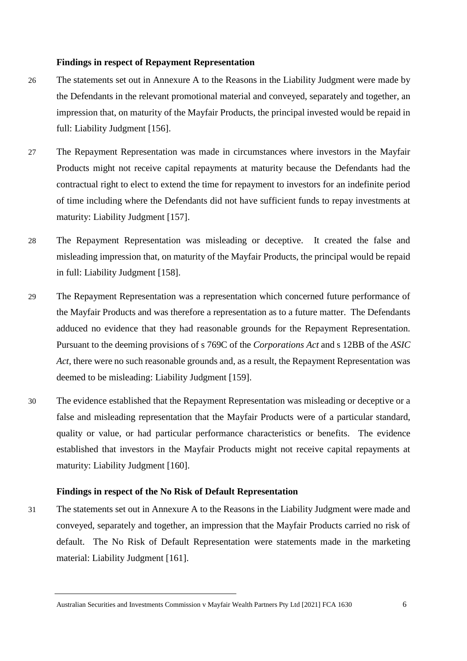#### **Findings in respect of Repayment Representation**

- 26 The statements set out in Annexure A to the Reasons in the Liability Judgment were made by the Defendants in the relevant promotional material and conveyed, separately and together, an impression that, on maturity of the Mayfair Products, the principal invested would be repaid in full: Liability Judgment [156].
- 27 The Repayment Representation was made in circumstances where investors in the Mayfair Products might not receive capital repayments at maturity because the Defendants had the contractual right to elect to extend the time for repayment to investors for an indefinite period of time including where the Defendants did not have sufficient funds to repay investments at maturity: Liability Judgment [157].
- 28 The Repayment Representation was misleading or deceptive. It created the false and misleading impression that, on maturity of the Mayfair Products, the principal would be repaid in full: Liability Judgment [158].
- 29 The Repayment Representation was a representation which concerned future performance of the Mayfair Products and was therefore a representation as to a future matter. The Defendants adduced no evidence that they had reasonable grounds for the Repayment Representation. Pursuant to the deeming provisions of s 769C of the *Corporations Act* and s 12BB of the *ASIC Act,* there were no such reasonable grounds and, as a result, the Repayment Representation was deemed to be misleading: Liability Judgment [159].
- 30 The evidence established that the Repayment Representation was misleading or deceptive or a false and misleading representation that the Mayfair Products were of a particular standard, quality or value, or had particular performance characteristics or benefits. The evidence established that investors in the Mayfair Products might not receive capital repayments at maturity: Liability Judgment [160].

#### **Findings in respect of the No Risk of Default Representation**

31 The statements set out in Annexure A to the Reasons in the Liability Judgment were made and conveyed, separately and together, an impression that the Mayfair Products carried no risk of default. The No Risk of Default Representation were statements made in the marketing material: Liability Judgment [161].

Australian Securities and Investments Commission v Mayfair Wealth Partners Pty Ltd [2021] FCA 1630 6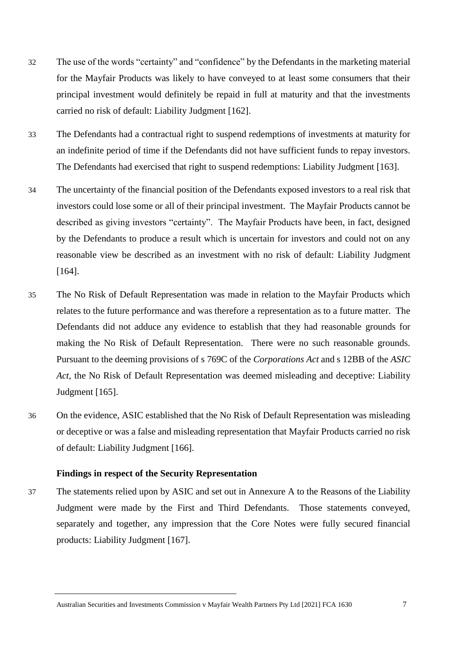- 32 The use of the words "certainty" and "confidence" by the Defendants in the marketing material for the Mayfair Products was likely to have conveyed to at least some consumers that their principal investment would definitely be repaid in full at maturity and that the investments carried no risk of default: Liability Judgment [162].
- 33 The Defendants had a contractual right to suspend redemptions of investments at maturity for an indefinite period of time if the Defendants did not have sufficient funds to repay investors. The Defendants had exercised that right to suspend redemptions: Liability Judgment [163].
- 34 The uncertainty of the financial position of the Defendants exposed investors to a real risk that investors could lose some or all of their principal investment. The Mayfair Products cannot be described as giving investors "certainty". The Mayfair Products have been, in fact, designed by the Defendants to produce a result which is uncertain for investors and could not on any reasonable view be described as an investment with no risk of default: Liability Judgment [164].
- 35 The No Risk of Default Representation was made in relation to the Mayfair Products which relates to the future performance and was therefore a representation as to a future matter. The Defendants did not adduce any evidence to establish that they had reasonable grounds for making the No Risk of Default Representation. There were no such reasonable grounds. Pursuant to the deeming provisions of s 769C of the *Corporations Act* and s 12BB of the *ASIC Act*, the No Risk of Default Representation was deemed misleading and deceptive: Liability Judgment [165].
- 36 On the evidence, ASIC established that the No Risk of Default Representation was misleading or deceptive or was a false and misleading representation that Mayfair Products carried no risk of default: Liability Judgment [166].

#### **Findings in respect of the Security Representation**

37 The statements relied upon by ASIC and set out in Annexure A to the Reasons of the Liability Judgment were made by the First and Third Defendants. Those statements conveyed, separately and together, any impression that the Core Notes were fully secured financial products: Liability Judgment [167].

Australian Securities and Investments Commission v Mayfair Wealth Partners Pty Ltd [2021] FCA 1630 7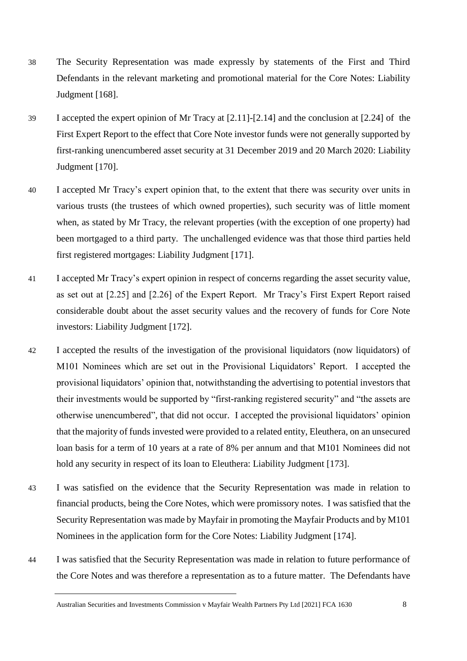- 38 The Security Representation was made expressly by statements of the First and Third Defendants in the relevant marketing and promotional material for the Core Notes: Liability Judgment [168].
- 39 I accepted the expert opinion of Mr Tracy at [2.11]-[2.14] and the conclusion at [2.24] of the First Expert Report to the effect that Core Note investor funds were not generally supported by first-ranking unencumbered asset security at 31 December 2019 and 20 March 2020: Liability Judgment [170].
- 40 I accepted Mr Tracy's expert opinion that, to the extent that there was security over units in various trusts (the trustees of which owned properties), such security was of little moment when, as stated by Mr Tracy, the relevant properties (with the exception of one property) had been mortgaged to a third party. The unchallenged evidence was that those third parties held first registered mortgages: Liability Judgment [171].
- 41 I accepted Mr Tracy's expert opinion in respect of concerns regarding the asset security value, as set out at [2.25] and [2.26] of the Expert Report. Mr Tracy's First Expert Report raised considerable doubt about the asset security values and the recovery of funds for Core Note investors: Liability Judgment [172].
- 42 I accepted the results of the investigation of the provisional liquidators (now liquidators) of M101 Nominees which are set out in the Provisional Liquidators' Report. I accepted the provisional liquidators' opinion that, notwithstanding the advertising to potential investors that their investments would be supported by "first-ranking registered security" and "the assets are otherwise unencumbered", that did not occur. I accepted the provisional liquidators' opinion that the majority of funds invested were provided to a related entity, Eleuthera, on an unsecured loan basis for a term of 10 years at a rate of 8% per annum and that M101 Nominees did not hold any security in respect of its loan to Eleuthera: Liability Judgment [173].
- 43 I was satisfied on the evidence that the Security Representation was made in relation to financial products, being the Core Notes, which were promissory notes. I was satisfied that the Security Representation was made by Mayfair in promoting the Mayfair Products and by M101 Nominees in the application form for the Core Notes: Liability Judgment [174].
- 44 I was satisfied that the Security Representation was made in relation to future performance of the Core Notes and was therefore a representation as to a future matter. The Defendants have

Australian Securities and Investments Commission v Mayfair Wealth Partners Pty Ltd [2021] FCA 1630 8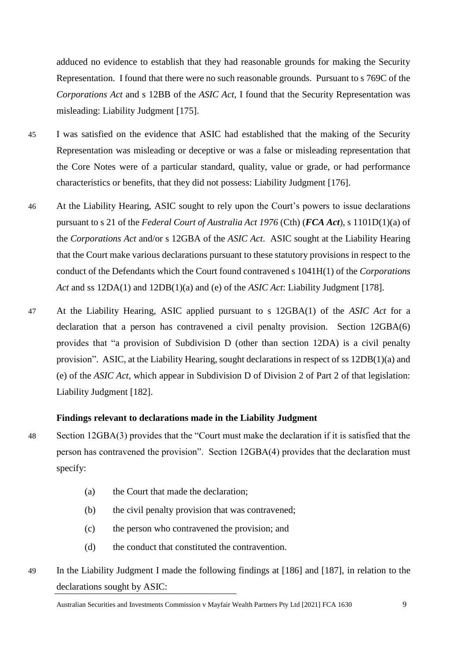adduced no evidence to establish that they had reasonable grounds for making the Security Representation. I found that there were no such reasonable grounds. Pursuant to s 769C of the *Corporations Act* and s 12BB of the *ASIC Act*, I found that the Security Representation was misleading: Liability Judgment [175].

- 45 I was satisfied on the evidence that ASIC had established that the making of the Security Representation was misleading or deceptive or was a false or misleading representation that the Core Notes were of a particular standard, quality, value or grade, or had performance characteristics or benefits, that they did not possess: Liability Judgment [176].
- 46 At the Liability Hearing, ASIC sought to rely upon the Court's powers to issue declarations pursuant to s 21 of the *Federal Court of Australia Act 1976* (Cth) (*FCA Act*), s 1101D(1)(a) of the *Corporations Act* and/or s 12GBA of the *ASIC Act*. ASIC sought at the Liability Hearing that the Court make various declarations pursuant to these statutory provisions in respect to the conduct of the Defendants which the Court found contravened s 1041H(1) of the *Corporations Act* and ss 12DA(1) and 12DB(1)(a) and (e) of the *ASIC Act*: Liability Judgment [178].
- 47 At the Liability Hearing, ASIC applied pursuant to s 12GBA(1) of the *ASIC Act* for a declaration that a person has contravened a civil penalty provision. Section 12GBA(6) provides that "a provision of Subdivision D (other than section 12DA) is a civil penalty provision". ASIC, at the Liability Hearing, sought declarations in respect of ss 12DB(1)(a) and (e) of the *ASIC Act*, which appear in Subdivision D of Division 2 of Part 2 of that legislation: Liability Judgment [182].

#### **Findings relevant to declarations made in the Liability Judgment**

- 48 Section 12GBA(3) provides that the "Court must make the declaration if it is satisfied that the person has contravened the provision". Section 12GBA(4) provides that the declaration must specify:
	- (a) the Court that made the declaration;
	- (b) the civil penalty provision that was contravened;
	- (c) the person who contravened the provision; and
	- (d) the conduct that constituted the contravention.
- 49 In the Liability Judgment I made the following findings at [186] and [187], in relation to the declarations sought by ASIC: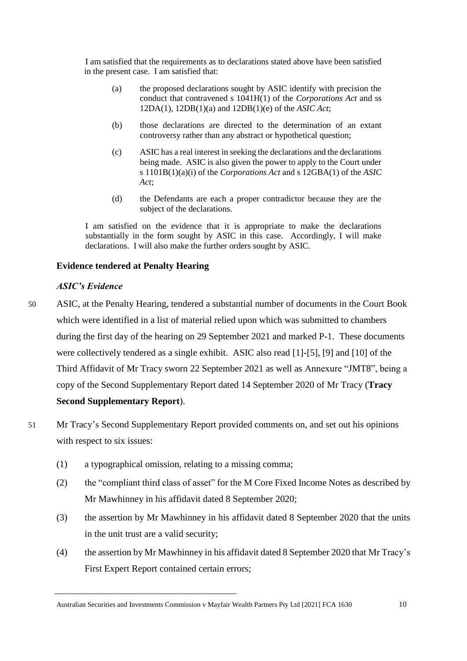I am satisfied that the requirements as to declarations stated above have been satisfied in the present case. I am satisfied that:

- (a) the proposed declarations sought by ASIC identify with precision the conduct that contravened s 1041H(1) of the *Corporations Act* and ss 12DA(1), 12DB(1)(a) and 12DB(1)(e) of the *ASIC Act*;
- (b) those declarations are directed to the determination of an extant controversy rather than any abstract or hypothetical question;
- (c) ASIC has a real interest in seeking the declarations and the declarations being made. ASIC is also given the power to apply to the Court under s 1101B(1)(a)(i) of the *Corporations Act* and s 12GBA(1) of the *ASIC Act*;
- (d) the Defendants are each a proper contradictor because they are the subject of the declarations.

I am satisfied on the evidence that it is appropriate to make the declarations substantially in the form sought by ASIC in this case. Accordingly, I will make declarations. I will also make the further orders sought by ASIC.

### **Evidence tendered at Penalty Hearing**

#### *ASIC's Evidence*

- 50 ASIC, at the Penalty Hearing, tendered a substantial number of documents in the Court Book which were identified in a list of material relied upon which was submitted to chambers during the first day of the hearing on 29 September 2021 and marked P-1. These documents were collectively tendered as a single exhibit. ASIC also read [1]-[5], [9] and [10] of the Third Affidavit of Mr Tracy sworn 22 September 2021 as well as Annexure "JMT8", being a copy of the Second Supplementary Report dated 14 September 2020 of Mr Tracy (**Tracy Second Supplementary Report**).
- 51 Mr Tracy's Second Supplementary Report provided comments on, and set out his opinions with respect to six issues:
	- (1) a typographical omission, relating to a missing comma;
	- (2) the "compliant third class of asset" for the M Core Fixed Income Notes as described by Mr Mawhinney in his affidavit dated 8 September 2020;
	- (3) the assertion by Mr Mawhinney in his affidavit dated 8 September 2020 that the units in the unit trust are a valid security;
	- (4) the assertion by Mr Mawhinney in his affidavit dated 8 September 2020 that Mr Tracy's First Expert Report contained certain errors;

Australian Securities and Investments Commission v Mayfair Wealth Partners Pty Ltd [2021] FCA 1630 10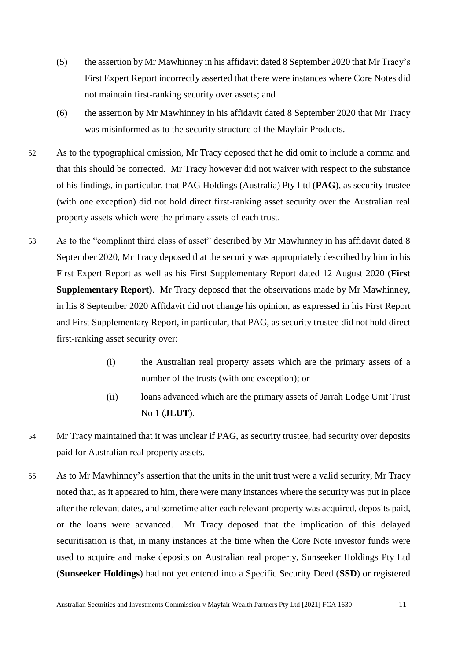- (5) the assertion by Mr Mawhinney in his affidavit dated 8 September 2020 that Mr Tracy's First Expert Report incorrectly asserted that there were instances where Core Notes did not maintain first-ranking security over assets; and
- (6) the assertion by Mr Mawhinney in his affidavit dated 8 September 2020 that Mr Tracy was misinformed as to the security structure of the Mayfair Products.
- 52 As to the typographical omission, Mr Tracy deposed that he did omit to include a comma and that this should be corrected. Mr Tracy however did not waiver with respect to the substance of his findings, in particular, that PAG Holdings (Australia) Pty Ltd (**PAG**), as security trustee (with one exception) did not hold direct first-ranking asset security over the Australian real property assets which were the primary assets of each trust.
- 53 As to the "compliant third class of asset" described by Mr Mawhinney in his affidavit dated 8 September 2020, Mr Tracy deposed that the security was appropriately described by him in his First Expert Report as well as his First Supplementary Report dated 12 August 2020 (**First Supplementary Report)**. Mr Tracy deposed that the observations made by Mr Mawhinney, in his 8 September 2020 Affidavit did not change his opinion, as expressed in his First Report and First Supplementary Report, in particular, that PAG, as security trustee did not hold direct first-ranking asset security over:
	- (i) the Australian real property assets which are the primary assets of a number of the trusts (with one exception); or
	- (ii) loans advanced which are the primary assets of Jarrah Lodge Unit Trust No 1 (**JLUT**).
- 54 Mr Tracy maintained that it was unclear if PAG, as security trustee, had security over deposits paid for Australian real property assets.
- 55 As to Mr Mawhinney's assertion that the units in the unit trust were a valid security, Mr Tracy noted that, as it appeared to him, there were many instances where the security was put in place after the relevant dates, and sometime after each relevant property was acquired, deposits paid, or the loans were advanced. Mr Tracy deposed that the implication of this delayed securitisation is that, in many instances at the time when the Core Note investor funds were used to acquire and make deposits on Australian real property, Sunseeker Holdings Pty Ltd (**Sunseeker Holdings**) had not yet entered into a Specific Security Deed (**SSD**) or registered

Australian Securities and Investments Commission v Mayfair Wealth Partners Pty Ltd [2021] FCA 1630 11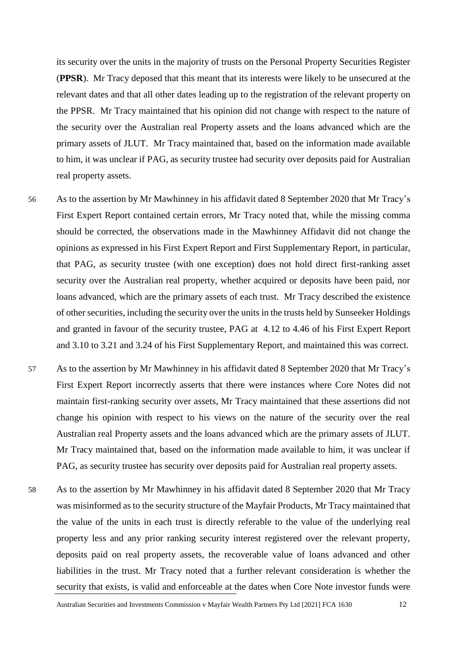its security over the units in the majority of trusts on the Personal Property Securities Register (**PPSR**). Mr Tracy deposed that this meant that its interests were likely to be unsecured at the relevant dates and that all other dates leading up to the registration of the relevant property on the PPSR. Mr Tracy maintained that his opinion did not change with respect to the nature of the security over the Australian real Property assets and the loans advanced which are the primary assets of JLUT. Mr Tracy maintained that, based on the information made available to him, it was unclear if PAG, as security trustee had security over deposits paid for Australian real property assets.

- 56 As to the assertion by Mr Mawhinney in his affidavit dated 8 September 2020 that Mr Tracy's First Expert Report contained certain errors, Mr Tracy noted that, while the missing comma should be corrected, the observations made in the Mawhinney Affidavit did not change the opinions as expressed in his First Expert Report and First Supplementary Report, in particular, that PAG, as security trustee (with one exception) does not hold direct first-ranking asset security over the Australian real property, whether acquired or deposits have been paid, nor loans advanced, which are the primary assets of each trust. Mr Tracy described the existence of other securities, including the security over the units in the trusts held by Sunseeker Holdings and granted in favour of the security trustee, PAG at 4.12 to 4.46 of his First Expert Report and 3.10 to 3.21 and 3.24 of his First Supplementary Report, and maintained this was correct.
- 57 As to the assertion by Mr Mawhinney in his affidavit dated 8 September 2020 that Mr Tracy's First Expert Report incorrectly asserts that there were instances where Core Notes did not maintain first-ranking security over assets, Mr Tracy maintained that these assertions did not change his opinion with respect to his views on the nature of the security over the real Australian real Property assets and the loans advanced which are the primary assets of JLUT. Mr Tracy maintained that, based on the information made available to him, it was unclear if PAG, as security trustee has security over deposits paid for Australian real property assets.
- 58 As to the assertion by Mr Mawhinney in his affidavit dated 8 September 2020 that Mr Tracy was misinformed as to the security structure of the Mayfair Products, Mr Tracy maintained that the value of the units in each trust is directly referable to the value of the underlying real property less and any prior ranking security interest registered over the relevant property, deposits paid on real property assets, the recoverable value of loans advanced and other liabilities in the trust. Mr Tracy noted that a further relevant consideration is whether the security that exists, is valid and enforceable at the dates when Core Note investor funds were

Australian Securities and Investments Commission v Mayfair Wealth Partners Pty Ltd [2021] FCA 1630 12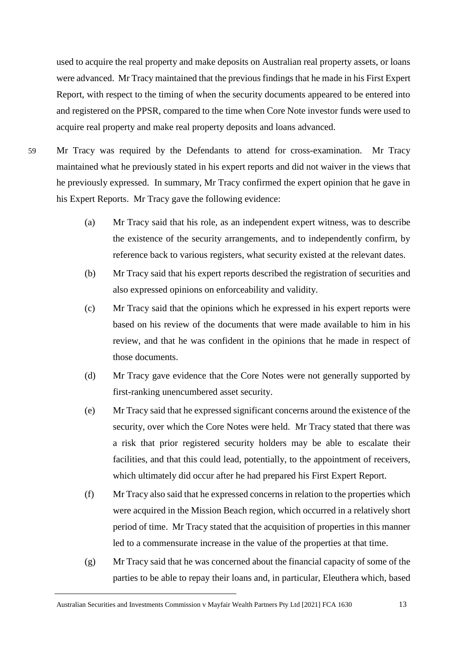used to acquire the real property and make deposits on Australian real property assets, or loans were advanced. Mr Tracy maintained that the previous findings that he made in his First Expert Report, with respect to the timing of when the security documents appeared to be entered into and registered on the PPSR, compared to the time when Core Note investor funds were used to acquire real property and make real property deposits and loans advanced.

59 Mr Tracy was required by the Defendants to attend for cross-examination. Mr Tracy maintained what he previously stated in his expert reports and did not waiver in the views that he previously expressed. In summary, Mr Tracy confirmed the expert opinion that he gave in his Expert Reports. Mr Tracy gave the following evidence:

- (a) Mr Tracy said that his role, as an independent expert witness, was to describe the existence of the security arrangements, and to independently confirm, by reference back to various registers, what security existed at the relevant dates.
- (b) Mr Tracy said that his expert reports described the registration of securities and also expressed opinions on enforceability and validity.
- (c) Mr Tracy said that the opinions which he expressed in his expert reports were based on his review of the documents that were made available to him in his review, and that he was confident in the opinions that he made in respect of those documents.
- (d) Mr Tracy gave evidence that the Core Notes were not generally supported by first-ranking unencumbered asset security.
- (e) Mr Tracy said that he expressed significant concerns around the existence of the security, over which the Core Notes were held. Mr Tracy stated that there was a risk that prior registered security holders may be able to escalate their facilities, and that this could lead, potentially, to the appointment of receivers, which ultimately did occur after he had prepared his First Expert Report.
- (f) Mr Tracy also said that he expressed concerns in relation to the properties which were acquired in the Mission Beach region, which occurred in a relatively short period of time. Mr Tracy stated that the acquisition of properties in this manner led to a commensurate increase in the value of the properties at that time.
- (g) Mr Tracy said that he was concerned about the financial capacity of some of the parties to be able to repay their loans and, in particular, Eleuthera which, based

Australian Securities and Investments Commission v Mayfair Wealth Partners Pty Ltd [2021] FCA 1630 13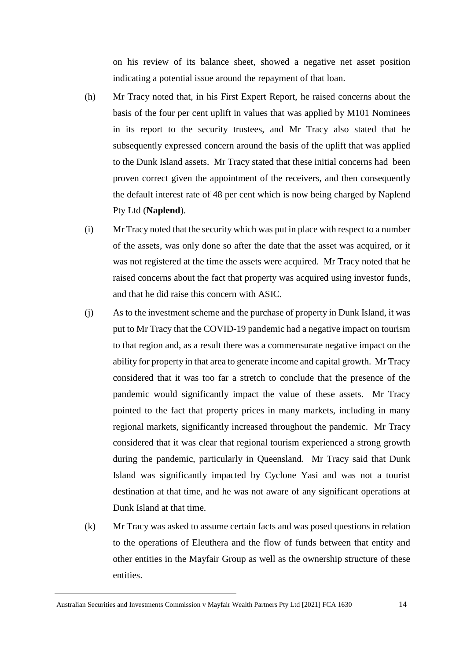on his review of its balance sheet, showed a negative net asset position indicating a potential issue around the repayment of that loan.

- (h) Mr Tracy noted that, in his First Expert Report, he raised concerns about the basis of the four per cent uplift in values that was applied by M101 Nominees in its report to the security trustees, and Mr Tracy also stated that he subsequently expressed concern around the basis of the uplift that was applied to the Dunk Island assets. Mr Tracy stated that these initial concerns had been proven correct given the appointment of the receivers, and then consequently the default interest rate of 48 per cent which is now being charged by Naplend Pty Ltd (**Naplend**).
- (i) Mr Tracy noted that the security which was put in place with respect to a number of the assets, was only done so after the date that the asset was acquired, or it was not registered at the time the assets were acquired. Mr Tracy noted that he raised concerns about the fact that property was acquired using investor funds, and that he did raise this concern with ASIC.
- (j) As to the investment scheme and the purchase of property in Dunk Island, it was put to Mr Tracy that the COVID-19 pandemic had a negative impact on tourism to that region and, as a result there was a commensurate negative impact on the ability for property in that area to generate income and capital growth. Mr Tracy considered that it was too far a stretch to conclude that the presence of the pandemic would significantly impact the value of these assets. Mr Tracy pointed to the fact that property prices in many markets, including in many regional markets, significantly increased throughout the pandemic. Mr Tracy considered that it was clear that regional tourism experienced a strong growth during the pandemic, particularly in Queensland. Mr Tracy said that Dunk Island was significantly impacted by Cyclone Yasi and was not a tourist destination at that time, and he was not aware of any significant operations at Dunk Island at that time.
- (k) Mr Tracy was asked to assume certain facts and was posed questions in relation to the operations of Eleuthera and the flow of funds between that entity and other entities in the Mayfair Group as well as the ownership structure of these entities.

Australian Securities and Investments Commission v Mayfair Wealth Partners Pty Ltd [2021] FCA 1630 14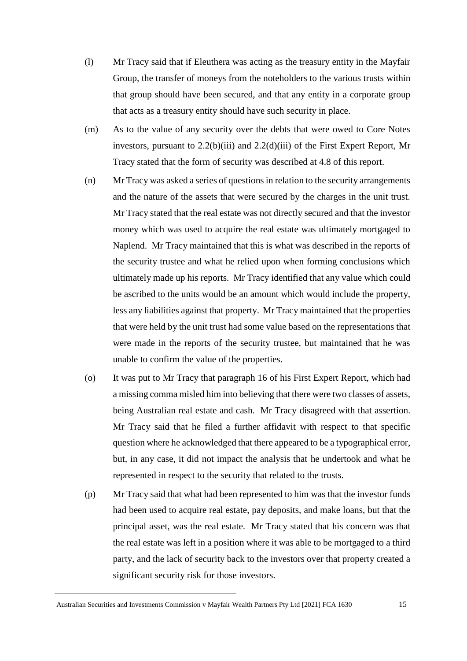- (l) Mr Tracy said that if Eleuthera was acting as the treasury entity in the Mayfair Group, the transfer of moneys from the noteholders to the various trusts within that group should have been secured, and that any entity in a corporate group that acts as a treasury entity should have such security in place.
- (m) As to the value of any security over the debts that were owed to Core Notes investors, pursuant to 2.2(b)(iii) and 2.2(d)(iii) of the First Expert Report, Mr Tracy stated that the form of security was described at 4.8 of this report.
- (n) Mr Tracy was asked a series of questions in relation to the security arrangements and the nature of the assets that were secured by the charges in the unit trust. Mr Tracy stated that the real estate was not directly secured and that the investor money which was used to acquire the real estate was ultimately mortgaged to Naplend. Mr Tracy maintained that this is what was described in the reports of the security trustee and what he relied upon when forming conclusions which ultimately made up his reports. Mr Tracy identified that any value which could be ascribed to the units would be an amount which would include the property, less any liabilities against that property. Mr Tracy maintained that the properties that were held by the unit trust had some value based on the representations that were made in the reports of the security trustee, but maintained that he was unable to confirm the value of the properties.
- (o) It was put to Mr Tracy that paragraph 16 of his First Expert Report, which had a missing comma misled him into believing that there were two classes of assets, being Australian real estate and cash. Mr Tracy disagreed with that assertion. Mr Tracy said that he filed a further affidavit with respect to that specific question where he acknowledged that there appeared to be a typographical error, but, in any case, it did not impact the analysis that he undertook and what he represented in respect to the security that related to the trusts.
- (p) Mr Tracy said that what had been represented to him was that the investor funds had been used to acquire real estate, pay deposits, and make loans, but that the principal asset, was the real estate. Mr Tracy stated that his concern was that the real estate was left in a position where it was able to be mortgaged to a third party, and the lack of security back to the investors over that property created a significant security risk for those investors.

Australian Securities and Investments Commission v Mayfair Wealth Partners Pty Ltd [2021] FCA 1630 15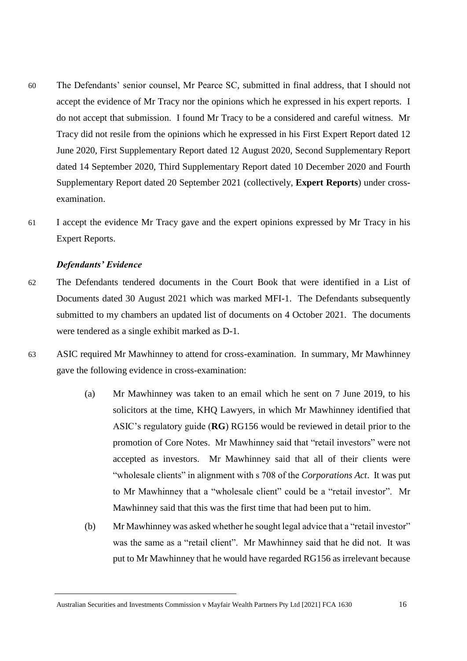- 60 The Defendants' senior counsel, Mr Pearce SC, submitted in final address, that I should not accept the evidence of Mr Tracy nor the opinions which he expressed in his expert reports. I do not accept that submission. I found Mr Tracy to be a considered and careful witness. Mr Tracy did not resile from the opinions which he expressed in his First Expert Report dated 12 June 2020, First Supplementary Report dated 12 August 2020, Second Supplementary Report dated 14 September 2020, Third Supplementary Report dated 10 December 2020 and Fourth Supplementary Report dated 20 September 2021 (collectively, **Expert Reports**) under crossexamination.
- 61 I accept the evidence Mr Tracy gave and the expert opinions expressed by Mr Tracy in his Expert Reports.

#### *Defendants' Evidence*

- 62 The Defendants tendered documents in the Court Book that were identified in a List of Documents dated 30 August 2021 which was marked MFI-1. The Defendants subsequently submitted to my chambers an updated list of documents on 4 October 2021. The documents were tendered as a single exhibit marked as D-1.
- 63 ASIC required Mr Mawhinney to attend for cross-examination. In summary, Mr Mawhinney gave the following evidence in cross-examination:
	- (a) Mr Mawhinney was taken to an email which he sent on 7 June 2019, to his solicitors at the time, KHQ Lawyers, in which Mr Mawhinney identified that ASIC's regulatory guide (**RG**) RG156 would be reviewed in detail prior to the promotion of Core Notes. Mr Mawhinney said that "retail investors" were not accepted as investors. Mr Mawhinney said that all of their clients were "wholesale clients" in alignment with s 708 of the *Corporations Act*. It was put to Mr Mawhinney that a "wholesale client" could be a "retail investor". Mr Mawhinney said that this was the first time that had been put to him.
	- (b) Mr Mawhinney was asked whether he sought legal advice that a "retail investor" was the same as a "retail client". Mr Mawhinney said that he did not. It was put to Mr Mawhinney that he would have regarded RG156 as irrelevant because

Australian Securities and Investments Commission v Mayfair Wealth Partners Pty Ltd [2021] FCA 1630 16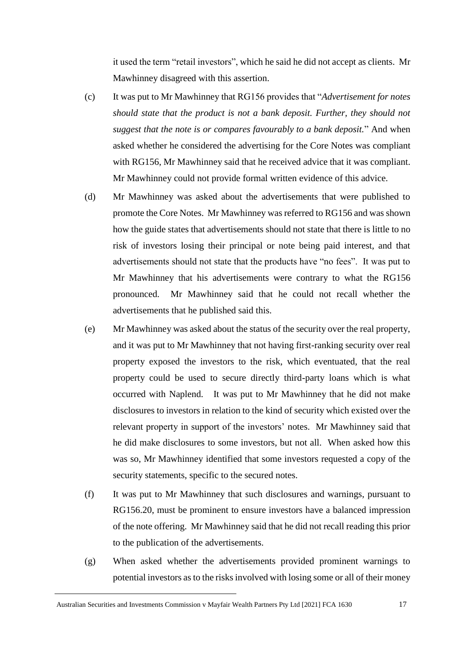it used the term "retail investors", which he said he did not accept as clients. Mr Mawhinney disagreed with this assertion.

- (c) It was put to Mr Mawhinney that RG156 provides that "*Advertisement for notes should state that the product is not a bank deposit. Further, they should not suggest that the note is or compares favourably to a bank deposit.*" And when asked whether he considered the advertising for the Core Notes was compliant with RG156, Mr Mawhinney said that he received advice that it was compliant. Mr Mawhinney could not provide formal written evidence of this advice.
- (d) Mr Mawhinney was asked about the advertisements that were published to promote the Core Notes. Mr Mawhinney was referred to RG156 and was shown how the guide states that advertisements should not state that there is little to no risk of investors losing their principal or note being paid interest, and that advertisements should not state that the products have "no fees". It was put to Mr Mawhinney that his advertisements were contrary to what the RG156 pronounced. Mr Mawhinney said that he could not recall whether the advertisements that he published said this.
- (e) Mr Mawhinney was asked about the status of the security over the real property, and it was put to Mr Mawhinney that not having first-ranking security over real property exposed the investors to the risk, which eventuated, that the real property could be used to secure directly third-party loans which is what occurred with Naplend. It was put to Mr Mawhinney that he did not make disclosures to investors in relation to the kind of security which existed over the relevant property in support of the investors' notes. Mr Mawhinney said that he did make disclosures to some investors, but not all. When asked how this was so, Mr Mawhinney identified that some investors requested a copy of the security statements, specific to the secured notes.
- (f) It was put to Mr Mawhinney that such disclosures and warnings, pursuant to RG156.20, must be prominent to ensure investors have a balanced impression of the note offering. Mr Mawhinney said that he did not recall reading this prior to the publication of the advertisements.
- (g) When asked whether the advertisements provided prominent warnings to potential investors as to the risks involved with losing some or all of their money

Australian Securities and Investments Commission v Mayfair Wealth Partners Pty Ltd [2021] FCA 1630 17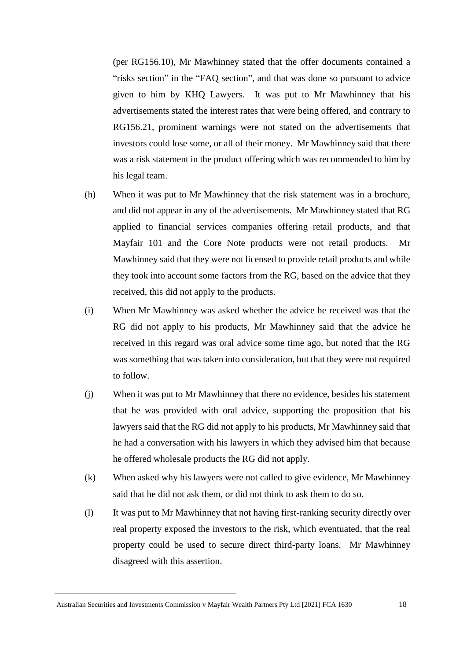(per RG156.10), Mr Mawhinney stated that the offer documents contained a "risks section" in the "FAQ section", and that was done so pursuant to advice given to him by KHQ Lawyers. It was put to Mr Mawhinney that his advertisements stated the interest rates that were being offered, and contrary to RG156.21, prominent warnings were not stated on the advertisements that investors could lose some, or all of their money. Mr Mawhinney said that there was a risk statement in the product offering which was recommended to him by his legal team.

- (h) When it was put to Mr Mawhinney that the risk statement was in a brochure, and did not appear in any of the advertisements. Mr Mawhinney stated that RG applied to financial services companies offering retail products, and that Mayfair 101 and the Core Note products were not retail products. Mr Mawhinney said that they were not licensed to provide retail products and while they took into account some factors from the RG, based on the advice that they received, this did not apply to the products.
- (i) When Mr Mawhinney was asked whether the advice he received was that the RG did not apply to his products, Mr Mawhinney said that the advice he received in this regard was oral advice some time ago, but noted that the RG was something that was taken into consideration, but that they were not required to follow.
- (j) When it was put to Mr Mawhinney that there no evidence, besides his statement that he was provided with oral advice, supporting the proposition that his lawyers said that the RG did not apply to his products, Mr Mawhinney said that he had a conversation with his lawyers in which they advised him that because he offered wholesale products the RG did not apply.
- (k) When asked why his lawyers were not called to give evidence, Mr Mawhinney said that he did not ask them, or did not think to ask them to do so.
- (l) It was put to Mr Mawhinney that not having first-ranking security directly over real property exposed the investors to the risk, which eventuated, that the real property could be used to secure direct third-party loans. Mr Mawhinney disagreed with this assertion.

Australian Securities and Investments Commission v Mayfair Wealth Partners Pty Ltd [2021] FCA 1630 18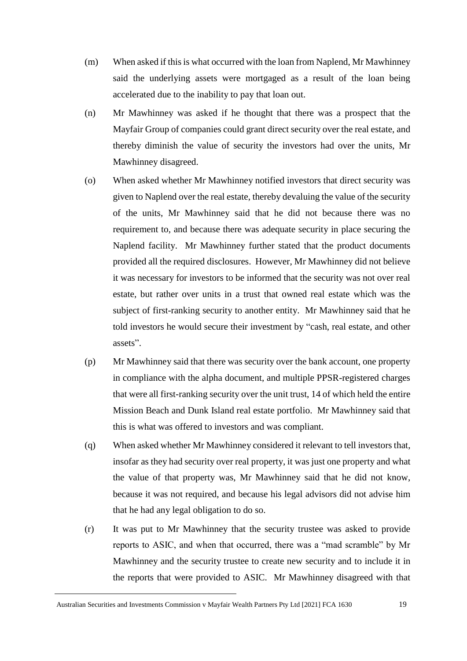- (m) When asked if this is what occurred with the loan from Naplend, Mr Mawhinney said the underlying assets were mortgaged as a result of the loan being accelerated due to the inability to pay that loan out.
- (n) Mr Mawhinney was asked if he thought that there was a prospect that the Mayfair Group of companies could grant direct security over the real estate, and thereby diminish the value of security the investors had over the units, Mr Mawhinney disagreed.
- (o) When asked whether Mr Mawhinney notified investors that direct security was given to Naplend over the real estate, thereby devaluing the value of the security of the units, Mr Mawhinney said that he did not because there was no requirement to, and because there was adequate security in place securing the Naplend facility. Mr Mawhinney further stated that the product documents provided all the required disclosures. However, Mr Mawhinney did not believe it was necessary for investors to be informed that the security was not over real estate, but rather over units in a trust that owned real estate which was the subject of first-ranking security to another entity. Mr Mawhinney said that he told investors he would secure their investment by "cash, real estate, and other assets".
- (p) Mr Mawhinney said that there was security over the bank account, one property in compliance with the alpha document, and multiple PPSR-registered charges that were all first-ranking security over the unit trust, 14 of which held the entire Mission Beach and Dunk Island real estate portfolio. Mr Mawhinney said that this is what was offered to investors and was compliant.
- (q) When asked whether Mr Mawhinney considered it relevant to tell investors that, insofar as they had security over real property, it was just one property and what the value of that property was, Mr Mawhinney said that he did not know, because it was not required, and because his legal advisors did not advise him that he had any legal obligation to do so.
- (r) It was put to Mr Mawhinney that the security trustee was asked to provide reports to ASIC, and when that occurred, there was a "mad scramble" by Mr Mawhinney and the security trustee to create new security and to include it in the reports that were provided to ASIC. Mr Mawhinney disagreed with that

Australian Securities and Investments Commission v Mayfair Wealth Partners Pty Ltd [2021] FCA 1630 19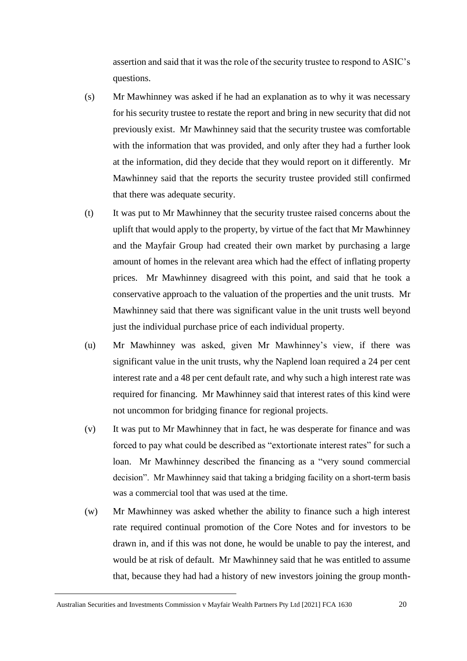assertion and said that it was the role of the security trustee to respond to ASIC's questions.

- (s) Mr Mawhinney was asked if he had an explanation as to why it was necessary for his security trustee to restate the report and bring in new security that did not previously exist. Mr Mawhinney said that the security trustee was comfortable with the information that was provided, and only after they had a further look at the information, did they decide that they would report on it differently. Mr Mawhinney said that the reports the security trustee provided still confirmed that there was adequate security.
- (t) It was put to Mr Mawhinney that the security trustee raised concerns about the uplift that would apply to the property, by virtue of the fact that Mr Mawhinney and the Mayfair Group had created their own market by purchasing a large amount of homes in the relevant area which had the effect of inflating property prices. Mr Mawhinney disagreed with this point, and said that he took a conservative approach to the valuation of the properties and the unit trusts. Mr Mawhinney said that there was significant value in the unit trusts well beyond just the individual purchase price of each individual property.
- (u) Mr Mawhinney was asked, given Mr Mawhinney's view, if there was significant value in the unit trusts, why the Naplend loan required a 24 per cent interest rate and a 48 per cent default rate, and why such a high interest rate was required for financing. Mr Mawhinney said that interest rates of this kind were not uncommon for bridging finance for regional projects.
- (v) It was put to Mr Mawhinney that in fact, he was desperate for finance and was forced to pay what could be described as "extortionate interest rates" for such a loan. Mr Mawhinney described the financing as a "very sound commercial decision". Mr Mawhinney said that taking a bridging facility on a short-term basis was a commercial tool that was used at the time.
- (w) Mr Mawhinney was asked whether the ability to finance such a high interest rate required continual promotion of the Core Notes and for investors to be drawn in, and if this was not done, he would be unable to pay the interest, and would be at risk of default. Mr Mawhinney said that he was entitled to assume that, because they had had a history of new investors joining the group month-

Australian Securities and Investments Commission v Mayfair Wealth Partners Pty Ltd [2021] FCA 1630 20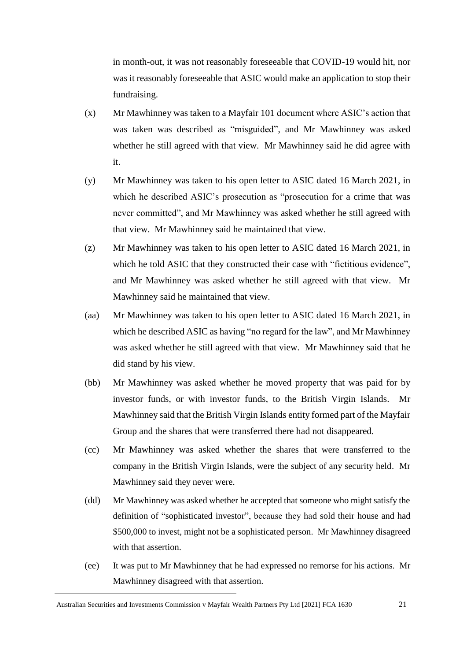in month-out, it was not reasonably foreseeable that COVID-19 would hit, nor was it reasonably foreseeable that ASIC would make an application to stop their fundraising.

- (x) Mr Mawhinney was taken to a Mayfair 101 document where ASIC's action that was taken was described as "misguided", and Mr Mawhinney was asked whether he still agreed with that view. Mr Mawhinney said he did agree with it.
- (y) Mr Mawhinney was taken to his open letter to ASIC dated 16 March 2021, in which he described ASIC's prosecution as "prosecution for a crime that was never committed", and Mr Mawhinney was asked whether he still agreed with that view. Mr Mawhinney said he maintained that view.
- (z) Mr Mawhinney was taken to his open letter to ASIC dated 16 March 2021, in which he told ASIC that they constructed their case with "fictitious evidence", and Mr Mawhinney was asked whether he still agreed with that view. Mr Mawhinney said he maintained that view.
- (aa) Mr Mawhinney was taken to his open letter to ASIC dated 16 March 2021, in which he described ASIC as having "no regard for the law", and Mr Mawhinney was asked whether he still agreed with that view. Mr Mawhinney said that he did stand by his view.
- (bb) Mr Mawhinney was asked whether he moved property that was paid for by investor funds, or with investor funds, to the British Virgin Islands. Mr Mawhinney said that the British Virgin Islands entity formed part of the Mayfair Group and the shares that were transferred there had not disappeared.
- (cc) Mr Mawhinney was asked whether the shares that were transferred to the company in the British Virgin Islands, were the subject of any security held. Mr Mawhinney said they never were.
- (dd) Mr Mawhinney was asked whether he accepted that someone who might satisfy the definition of "sophisticated investor", because they had sold their house and had \$500,000 to invest, might not be a sophisticated person. Mr Mawhinney disagreed with that assertion.
- (ee) It was put to Mr Mawhinney that he had expressed no remorse for his actions. Mr Mawhinney disagreed with that assertion.

Australian Securities and Investments Commission v Mayfair Wealth Partners Pty Ltd [2021] FCA 1630 21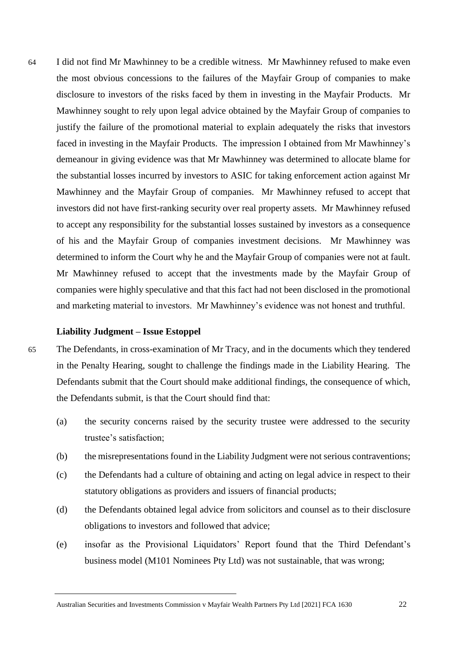64 I did not find Mr Mawhinney to be a credible witness. Mr Mawhinney refused to make even the most obvious concessions to the failures of the Mayfair Group of companies to make disclosure to investors of the risks faced by them in investing in the Mayfair Products. Mr Mawhinney sought to rely upon legal advice obtained by the Mayfair Group of companies to justify the failure of the promotional material to explain adequately the risks that investors faced in investing in the Mayfair Products. The impression I obtained from Mr Mawhinney's demeanour in giving evidence was that Mr Mawhinney was determined to allocate blame for the substantial losses incurred by investors to ASIC for taking enforcement action against Mr Mawhinney and the Mayfair Group of companies. Mr Mawhinney refused to accept that investors did not have first-ranking security over real property assets. Mr Mawhinney refused to accept any responsibility for the substantial losses sustained by investors as a consequence of his and the Mayfair Group of companies investment decisions. Mr Mawhinney was determined to inform the Court why he and the Mayfair Group of companies were not at fault. Mr Mawhinney refused to accept that the investments made by the Mayfair Group of companies were highly speculative and that this fact had not been disclosed in the promotional and marketing material to investors. Mr Mawhinney's evidence was not honest and truthful.

#### **Liability Judgment – Issue Estoppel**

65 The Defendants, in cross-examination of Mr Tracy, and in the documents which they tendered in the Penalty Hearing, sought to challenge the findings made in the Liability Hearing. The Defendants submit that the Court should make additional findings, the consequence of which, the Defendants submit, is that the Court should find that:

- (a) the security concerns raised by the security trustee were addressed to the security trustee's satisfaction;
- (b) the misrepresentations found in the Liability Judgment were not serious contraventions;
- (c) the Defendants had a culture of obtaining and acting on legal advice in respect to their statutory obligations as providers and issuers of financial products;
- (d) the Defendants obtained legal advice from solicitors and counsel as to their disclosure obligations to investors and followed that advice;
- (e) insofar as the Provisional Liquidators' Report found that the Third Defendant's business model (M101 Nominees Pty Ltd) was not sustainable, that was wrong;

Australian Securities and Investments Commission v Mayfair Wealth Partners Pty Ltd [2021] FCA 1630 22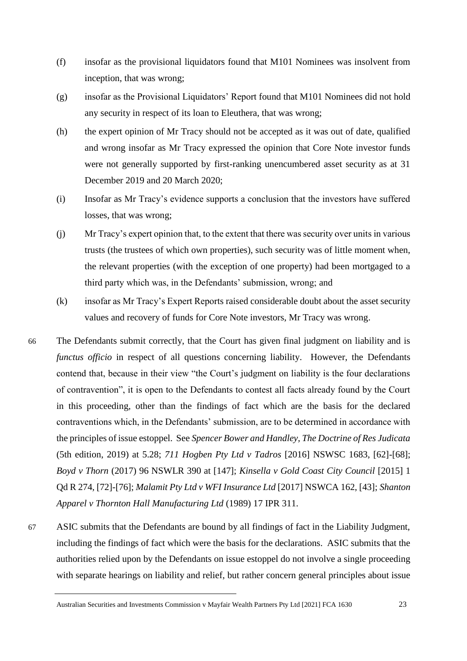- (f) insofar as the provisional liquidators found that M101 Nominees was insolvent from inception, that was wrong;
- (g) insofar as the Provisional Liquidators' Report found that M101 Nominees did not hold any security in respect of its loan to Eleuthera, that was wrong;
- (h) the expert opinion of Mr Tracy should not be accepted as it was out of date, qualified and wrong insofar as Mr Tracy expressed the opinion that Core Note investor funds were not generally supported by first-ranking unencumbered asset security as at 31 December 2019 and 20 March 2020;
- (i) Insofar as Mr Tracy's evidence supports a conclusion that the investors have suffered losses, that was wrong;
- (j) Mr Tracy's expert opinion that, to the extent that there was security over units in various trusts (the trustees of which own properties), such security was of little moment when, the relevant properties (with the exception of one property) had been mortgaged to a third party which was, in the Defendants' submission, wrong; and
- (k) insofar as Mr Tracy's Expert Reports raised considerable doubt about the asset security values and recovery of funds for Core Note investors, Mr Tracy was wrong.
- 66 The Defendants submit correctly, that the Court has given final judgment on liability and is *functus officio* in respect of all questions concerning liability. However, the Defendants contend that, because in their view "the Court's judgment on liability is the four declarations of contravention", it is open to the Defendants to contest all facts already found by the Court in this proceeding, other than the findings of fact which are the basis for the declared contraventions which, in the Defendants' submission, are to be determined in accordance with the principles of issue estoppel. See *Spencer Bower and Handley, The Doctrine of Res Judicata* (5th edition, 2019) at 5.28; *711 Hogben Pty Ltd v Tadros* [2016] NSWSC 1683, [62]-[68]; *Boyd v Thorn* (2017) 96 NSWLR 390 at [147]; *Kinsella v Gold Coast City Council* [2015] 1 Qd R 274, [72]-[76]; *Malamit Pty Ltd v WFI Insurance Ltd* [2017] NSWCA 162, [43]; *Shanton Apparel v Thornton Hall Manufacturing Ltd* (1989) 17 IPR 311.
- 67 ASIC submits that the Defendants are bound by all findings of fact in the Liability Judgment, including the findings of fact which were the basis for the declarations. ASIC submits that the authorities relied upon by the Defendants on issue estoppel do not involve a single proceeding with separate hearings on liability and relief, but rather concern general principles about issue

Australian Securities and Investments Commission v Mayfair Wealth Partners Pty Ltd [2021] FCA 1630 23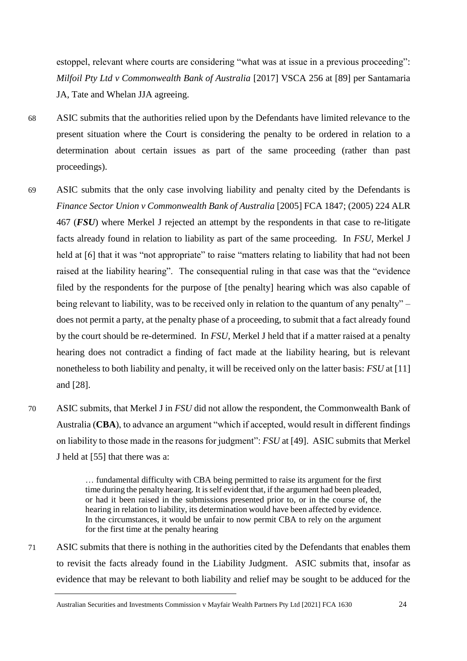estoppel, relevant where courts are considering "what was at issue in a previous proceeding": *Milfoil Pty Ltd v Commonwealth Bank of Australia* [2017] VSCA 256 at [89] per Santamaria JA, Tate and Whelan JJA agreeing.

- 68 ASIC submits that the authorities relied upon by the Defendants have limited relevance to the present situation where the Court is considering the penalty to be ordered in relation to a determination about certain issues as part of the same proceeding (rather than past proceedings).
- 69 ASIC submits that the only case involving liability and penalty cited by the Defendants is *Finance Sector Union v Commonwealth Bank of Australia* [2005] FCA 1847; (2005) 224 ALR 467 (*FSU*) where Merkel J rejected an attempt by the respondents in that case to re-litigate facts already found in relation to liability as part of the same proceeding. In *FSU*, Merkel J held at [6] that it was "not appropriate" to raise "matters relating to liability that had not been raised at the liability hearing". The consequential ruling in that case was that the "evidence filed by the respondents for the purpose of [the penalty] hearing which was also capable of being relevant to liability, was to be received only in relation to the quantum of any penalty" – does not permit a party, at the penalty phase of a proceeding, to submit that a fact already found by the court should be re-determined. In *FSU*, Merkel J held that if a matter raised at a penalty hearing does not contradict a finding of fact made at the liability hearing, but is relevant nonetheless to both liability and penalty, it will be received only on the latter basis: *FSU* at [11] and [28].
- 70 ASIC submits, that Merkel J in *FSU* did not allow the respondent, the Commonwealth Bank of Australia (**CBA**), to advance an argument "which if accepted, would result in different findings on liability to those made in the reasons for judgment": *FSU* at [49]. ASIC submits that Merkel J held at [55] that there was a:

… fundamental difficulty with CBA being permitted to raise its argument for the first time during the penalty hearing. It is self evident that, if the argument had been pleaded, or had it been raised in the submissions presented prior to, or in the course of, the hearing in relation to liability, its determination would have been affected by evidence. In the circumstances, it would be unfair to now permit CBA to rely on the argument for the first time at the penalty hearing

71 ASIC submits that there is nothing in the authorities cited by the Defendants that enables them to revisit the facts already found in the Liability Judgment. ASIC submits that, insofar as evidence that may be relevant to both liability and relief may be sought to be adduced for the

Australian Securities and Investments Commission v Mayfair Wealth Partners Pty Ltd [2021] FCA 1630 24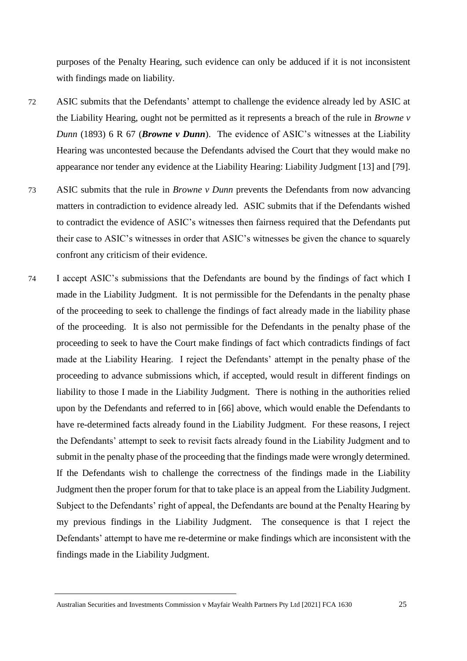purposes of the Penalty Hearing, such evidence can only be adduced if it is not inconsistent with findings made on liability.

- 72 ASIC submits that the Defendants' attempt to challenge the evidence already led by ASIC at the Liability Hearing, ought not be permitted as it represents a breach of the rule in *Browne v Dunn* (1893) 6 R 67 (*Browne v Dunn*). The evidence of ASIC's witnesses at the Liability Hearing was uncontested because the Defendants advised the Court that they would make no appearance nor tender any evidence at the Liability Hearing: Liability Judgment [13] and [79].
- 73 ASIC submits that the rule in *Browne v Dunn* prevents the Defendants from now advancing matters in contradiction to evidence already led. ASIC submits that if the Defendants wished to contradict the evidence of ASIC's witnesses then fairness required that the Defendants put their case to ASIC's witnesses in order that ASIC's witnesses be given the chance to squarely confront any criticism of their evidence.
- 74 I accept ASIC's submissions that the Defendants are bound by the findings of fact which I made in the Liability Judgment. It is not permissible for the Defendants in the penalty phase of the proceeding to seek to challenge the findings of fact already made in the liability phase of the proceeding. It is also not permissible for the Defendants in the penalty phase of the proceeding to seek to have the Court make findings of fact which contradicts findings of fact made at the Liability Hearing. I reject the Defendants' attempt in the penalty phase of the proceeding to advance submissions which, if accepted, would result in different findings on liability to those I made in the Liability Judgment. There is nothing in the authorities relied upon by the Defendants and referred to in [66] above, which would enable the Defendants to have re-determined facts already found in the Liability Judgment. For these reasons, I reject the Defendants' attempt to seek to revisit facts already found in the Liability Judgment and to submit in the penalty phase of the proceeding that the findings made were wrongly determined. If the Defendants wish to challenge the correctness of the findings made in the Liability Judgment then the proper forum for that to take place is an appeal from the Liability Judgment. Subject to the Defendants' right of appeal, the Defendants are bound at the Penalty Hearing by my previous findings in the Liability Judgment. The consequence is that I reject the Defendants' attempt to have me re-determine or make findings which are inconsistent with the findings made in the Liability Judgment.

Australian Securities and Investments Commission v Mayfair Wealth Partners Pty Ltd [2021] FCA 1630 25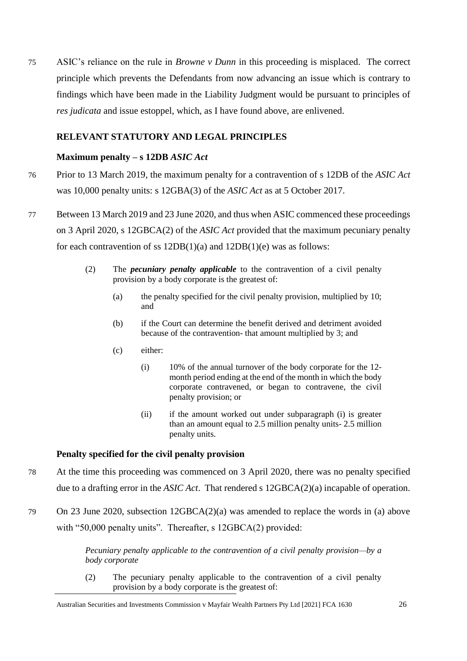75 ASIC's reliance on the rule in *Browne v Dunn* in this proceeding is misplaced. The correct principle which prevents the Defendants from now advancing an issue which is contrary to findings which have been made in the Liability Judgment would be pursuant to principles of *res judicata* and issue estoppel, which, as I have found above, are enlivened.

## **RELEVANT STATUTORY AND LEGAL PRINCIPLES**

## **Maximum penalty – s 12DB** *ASIC Act*

- 76 Prior to 13 March 2019, the maximum penalty for a contravention of s 12DB of the *ASIC Act*  was 10,000 penalty units: s 12GBA(3) of the *ASIC Act* as at 5 October 2017.
- 77 Between 13 March 2019 and 23 June 2020, and thus when ASIC commenced these proceedings on 3 April 2020, s 12GBCA(2) of the *ASIC Act* provided that the maximum pecuniary penalty for each contravention of ss 12DB(1)(a) and 12DB(1)(e) was as follows:
	- (2) The *pecuniary penalty applicable* to the contravention of a civil penalty provision by a body corporate is the greatest of:
		- (a) the penalty specified for the civil penalty provision, multiplied by 10; and
		- (b) if the Court can determine the benefit derived and detriment avoided because of the contravention- that amount multiplied by 3; and
		- (c) either:
			- (i) 10% of the annual turnover of the body corporate for the 12 month period ending at the end of the month in which the body corporate contravened, or began to contravene, the civil penalty provision; or
			- (ii) if the amount worked out under subparagraph (i) is greater than an amount equal to 2.5 million penalty units- 2.5 million penalty units.

## **Penalty specified for the civil penalty provision**

- 78 At the time this proceeding was commenced on 3 April 2020, there was no penalty specified due to a drafting error in the *ASIC Act*. That rendered s 12GBCA(2)(a) incapable of operation.
- 79 On 23 June 2020, subsection 12GBCA(2)(a) was amended to replace the words in (a) above with "50,000 penalty units". Thereafter, s 12GBCA(2) provided:

*Pecuniary penalty applicable to the contravention of a civil penalty provision—by a body corporate*

(2) The pecuniary penalty applicable to the contravention of a civil penalty provision by a body corporate is the greatest of:

Australian Securities and Investments Commission v Mayfair Wealth Partners Pty Ltd [2021] FCA 1630 26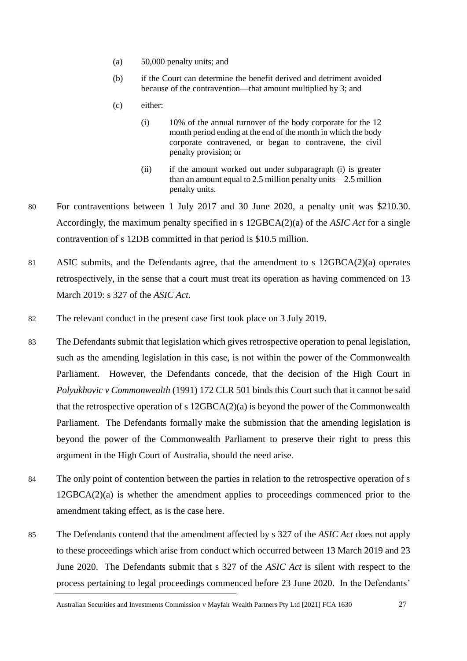- (a) 50,000 penalty units; and
- (b) if the Court can determine the benefit derived and detriment avoided because of the contravention—that amount multiplied by 3; and
- (c) either:
	- (i) 10% of the annual turnover of the body corporate for the 12 month period ending at the end of the month in which the body corporate contravened, or began to contravene, the civil penalty provision; or
	- (ii) if the amount worked out under subparagraph (i) is greater than an amount equal to 2.5 million penalty units—2.5 million penalty units.
- 80 For contraventions between 1 July 2017 and 30 June 2020, a penalty unit was \$210.30. Accordingly, the maximum penalty specified in s 12GBCA(2)(a) of the *ASIC Act* for a single contravention of s 12DB committed in that period is \$10.5 million.
- 81 ASIC submits, and the Defendants agree, that the amendment to s 12GBCA(2)(a) operates retrospectively, in the sense that a court must treat its operation as having commenced on 13 March 2019: s 327 of the *ASIC Act*.
- 82 The relevant conduct in the present case first took place on 3 July 2019.
- 83 The Defendants submit that legislation which gives retrospective operation to penal legislation, such as the amending legislation in this case, is not within the power of the Commonwealth Parliament. However, the Defendants concede, that the decision of the High Court in *Polyukhovic v Commonwealth* (1991) 172 CLR 501 binds this Court such that it cannot be said that the retrospective operation of s 12GBCA(2)(a) is beyond the power of the Commonwealth Parliament. The Defendants formally make the submission that the amending legislation is beyond the power of the Commonwealth Parliament to preserve their right to press this argument in the High Court of Australia, should the need arise.
- 84 The only point of contention between the parties in relation to the retrospective operation of s  $12GBCA(2)(a)$  is whether the amendment applies to proceedings commenced prior to the amendment taking effect, as is the case here.
- 85 The Defendants contend that the amendment affected by s 327 of the *ASIC Act* does not apply to these proceedings which arise from conduct which occurred between 13 March 2019 and 23 June 2020. The Defendants submit that s 327 of the *ASIC Act* is silent with respect to the process pertaining to legal proceedings commenced before 23 June 2020. In the Defendants'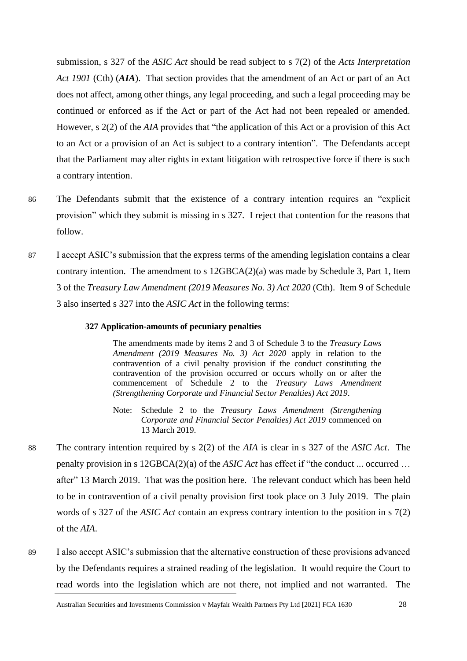submission, s 327 of the *ASIC Act* should be read subject to s 7(2) of the *Acts Interpretation Act 1901* (Cth) (*AIA*). That section provides that the amendment of an Act or part of an Act does not affect, among other things, any legal proceeding, and such a legal proceeding may be continued or enforced as if the Act or part of the Act had not been repealed or amended. However, s 2(2) of the *AIA* provides that "the application of this Act or a provision of this Act to an Act or a provision of an Act is subject to a contrary intention". The Defendants accept that the Parliament may alter rights in extant litigation with retrospective force if there is such a contrary intention.

- 86 The Defendants submit that the existence of a contrary intention requires an "explicit provision" which they submit is missing in s 327. I reject that contention for the reasons that follow.
- 87 I accept ASIC's submission that the express terms of the amending legislation contains a clear contrary intention. The amendment to s  $12GBCA(2)(a)$  was made by Schedule 3, Part 1, Item 3 of the *Treasury Law Amendment (2019 Measures No. 3) Act 2020* (Cth). Item 9 of Schedule 3 also inserted s 327 into the *ASIC Act* in the following terms:

#### **327 Application-amounts of pecuniary penalties**

The amendments made by items 2 and 3 of Schedule 3 to the *Treasury Laws Amendment (2019 Measures No. 3) Act 2020* apply in relation to the contravention of a civil penalty provision if the conduct constituting the contravention of the provision occurred or occurs wholly on or after the commencement of Schedule 2 to the *Treasury Laws Amendment (Strengthening Corporate and Financial Sector Penalties) Act 2019*.

- Note: Schedule 2 to the *Treasury Laws Amendment (Strengthening Corporate and Financial Sector Penalties) Act 2019* commenced on 13 March 2019.
- 88 The contrary intention required by s 2(2) of the *AIA* is clear in s 327 of the *ASIC Act*. The penalty provision in s 12GBCA(2)(a) of the *ASIC Act* has effect if "the conduct ... occurred … after" 13 March 2019. That was the position here. The relevant conduct which has been held to be in contravention of a civil penalty provision first took place on 3 July 2019. The plain words of s 327 of the *ASIC Act* contain an express contrary intention to the position in s 7(2) of the *AIA*.
- 89 I also accept ASIC's submission that the alternative construction of these provisions advanced by the Defendants requires a strained reading of the legislation. It would require the Court to read words into the legislation which are not there, not implied and not warranted. The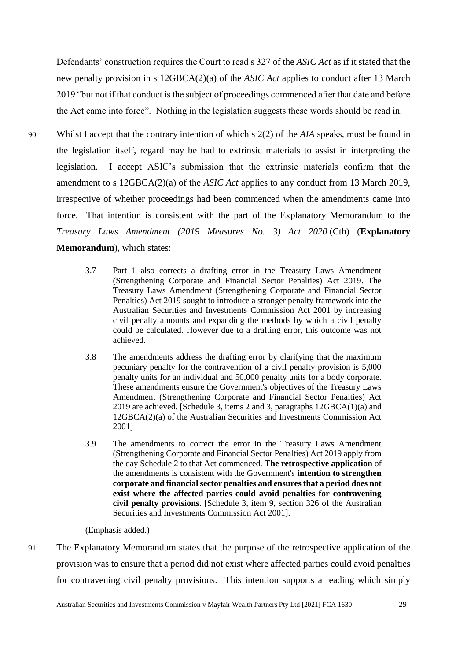Defendants' construction requires the Court to read s 327 of the *ASIC Act* as if it stated that the new penalty provision in s 12GBCA(2)(a) of the *ASIC Act* applies to conduct after 13 March 2019 "but not if that conduct is the subject of proceedings commenced after that date and before the Act came into force". Nothing in the legislation suggests these words should be read in.

- 90 Whilst I accept that the contrary intention of which s 2(2) of the *AIA* speaks, must be found in the legislation itself, regard may be had to extrinsic materials to assist in interpreting the legislation. I accept ASIC's submission that the extrinsic materials confirm that the amendment to s 12GBCA(2)(a) of the *ASIC Act* applies to any conduct from 13 March 2019, irrespective of whether proceedings had been commenced when the amendments came into force. That intention is consistent with the part of the Explanatory Memorandum to the *Treasury Laws Amendment (2019 Measures No. 3) Act 2020* (Cth) (**Explanatory Memorandum**), which states:
	- 3.7 Part 1 also corrects a drafting error in the Treasury Laws Amendment (Strengthening Corporate and Financial Sector Penalties) Act 2019. The Treasury Laws Amendment (Strengthening Corporate and Financial Sector Penalties) Act 2019 sought to introduce a stronger penalty framework into the Australian Securities and Investments Commission Act 2001 by increasing civil penalty amounts and expanding the methods by which a civil penalty could be calculated. However due to a drafting error, this outcome was not achieved.
	- 3.8 The amendments address the drafting error by clarifying that the maximum pecuniary penalty for the contravention of a civil penalty provision is 5,000 penalty units for an individual and 50,000 penalty units for a body corporate. These amendments ensure the Government's objectives of the Treasury Laws Amendment (Strengthening Corporate and Financial Sector Penalties) Act 2019 are achieved. [Schedule 3, items 2 and 3, paragraphs 12GBCA(1)(a) and 12GBCA(2)(a) of the Australian Securities and Investments Commission Act 2001]
	- 3.9 The amendments to correct the error in the Treasury Laws Amendment (Strengthening Corporate and Financial Sector Penalties) Act 2019 apply from the day Schedule 2 to that Act commenced. **The retrospective application** of the amendments is consistent with the Government's **intention to strengthen corporate and financial sector penalties and ensures that a period does not exist where the affected parties could avoid penalties for contravening civil penalty provisions**. [Schedule 3, item 9, section 326 of the Australian Securities and Investments Commission Act 2001].

(Emphasis added.)

91 The Explanatory Memorandum states that the purpose of the retrospective application of the provision was to ensure that a period did not exist where affected parties could avoid penalties for contravening civil penalty provisions. This intention supports a reading which simply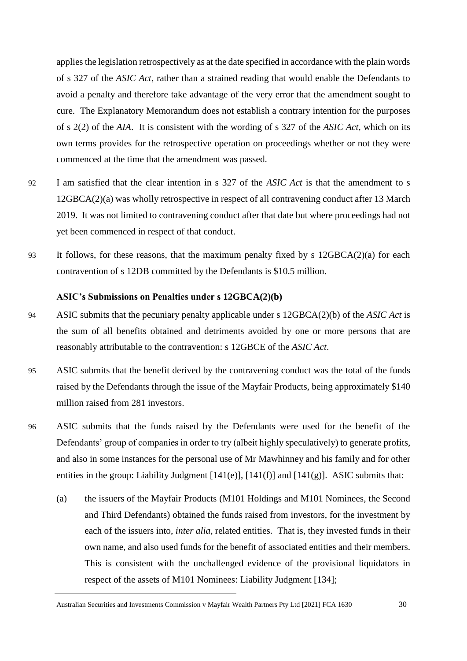applies the legislation retrospectively as at the date specified in accordance with the plain words of s 327 of the *ASIC Act*, rather than a strained reading that would enable the Defendants to avoid a penalty and therefore take advantage of the very error that the amendment sought to cure. The Explanatory Memorandum does not establish a contrary intention for the purposes of s 2(2) of the *AIA*. It is consistent with the wording of s 327 of the *ASIC Act*, which on its own terms provides for the retrospective operation on proceedings whether or not they were commenced at the time that the amendment was passed.

- 92 I am satisfied that the clear intention in s 327 of the *ASIC Act* is that the amendment to s 12GBCA(2)(a) was wholly retrospective in respect of all contravening conduct after 13 March 2019. It was not limited to contravening conduct after that date but where proceedings had not yet been commenced in respect of that conduct.
- 93 It follows, for these reasons, that the maximum penalty fixed by s 12GBCA(2)(a) for each contravention of s 12DB committed by the Defendants is \$10.5 million.

#### **ASIC's Submissions on Penalties under s 12GBCA(2)(b)**

- 94 ASIC submits that the pecuniary penalty applicable under s 12GBCA(2)(b) of the *ASIC Act* is the sum of all benefits obtained and detriments avoided by one or more persons that are reasonably attributable to the contravention: s 12GBCE of the *ASIC Act*.
- 95 ASIC submits that the benefit derived by the contravening conduct was the total of the funds raised by the Defendants through the issue of the Mayfair Products, being approximately \$140 million raised from 281 investors.
- 96 ASIC submits that the funds raised by the Defendants were used for the benefit of the Defendants' group of companies in order to try (albeit highly speculatively) to generate profits, and also in some instances for the personal use of Mr Mawhinney and his family and for other entities in the group: Liability Judgment  $[141(e)]$ ,  $[141(f)]$  and  $[141(g)]$ . ASIC submits that:
	- (a) the issuers of the Mayfair Products (M101 Holdings and M101 Nominees, the Second and Third Defendants) obtained the funds raised from investors, for the investment by each of the issuers into, *inter alia*, related entities. That is, they invested funds in their own name, and also used funds for the benefit of associated entities and their members. This is consistent with the unchallenged evidence of the provisional liquidators in respect of the assets of M101 Nominees: Liability Judgment [134];

Australian Securities and Investments Commission v Mayfair Wealth Partners Pty Ltd [2021] FCA 1630 30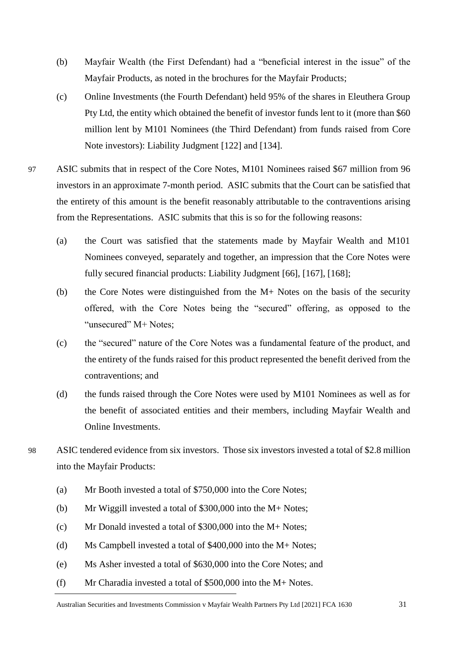- (b) Mayfair Wealth (the First Defendant) had a "beneficial interest in the issue" of the Mayfair Products, as noted in the brochures for the Mayfair Products;
- (c) Online Investments (the Fourth Defendant) held 95% of the shares in Eleuthera Group Pty Ltd, the entity which obtained the benefit of investor funds lent to it (more than \$60 million lent by M101 Nominees (the Third Defendant) from funds raised from Core Note investors): Liability Judgment [122] and [134].
- 97 ASIC submits that in respect of the Core Notes, M101 Nominees raised \$67 million from 96 investors in an approximate 7-month period. ASIC submits that the Court can be satisfied that the entirety of this amount is the benefit reasonably attributable to the contraventions arising from the Representations. ASIC submits that this is so for the following reasons:
	- (a) the Court was satisfied that the statements made by Mayfair Wealth and M101 Nominees conveyed, separately and together, an impression that the Core Notes were fully secured financial products: Liability Judgment [66], [167], [168];
	- (b) the Core Notes were distinguished from the M+ Notes on the basis of the security offered, with the Core Notes being the "secured" offering, as opposed to the "unsecured" M+ Notes;
	- (c) the "secured" nature of the Core Notes was a fundamental feature of the product, and the entirety of the funds raised for this product represented the benefit derived from the contraventions; and
	- (d) the funds raised through the Core Notes were used by M101 Nominees as well as for the benefit of associated entities and their members, including Mayfair Wealth and Online Investments.
- 98 ASIC tendered evidence from six investors. Those six investors invested a total of \$2.8 million into the Mayfair Products:
	- (a) Mr Booth invested a total of \$750,000 into the Core Notes;
	- (b) Mr Wiggill invested a total of \$300,000 into the M+ Notes;
	- (c) Mr Donald invested a total of \$300,000 into the M+ Notes;
	- (d) Ms Campbell invested a total of \$400,000 into the M+ Notes;
	- (e) Ms Asher invested a total of \$630,000 into the Core Notes; and
	- (f) Mr Charadia invested a total of \$500,000 into the M+ Notes.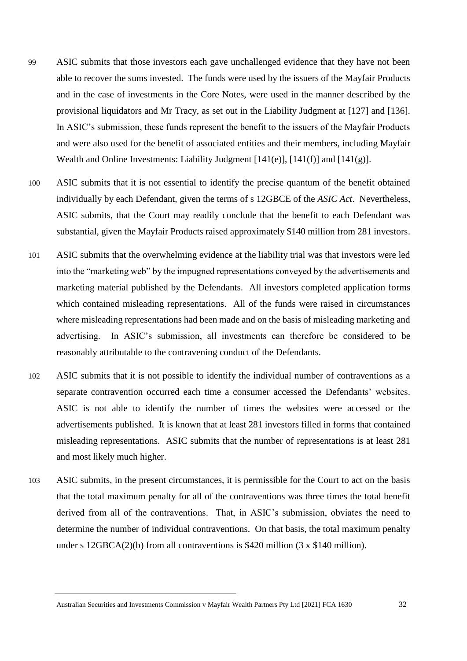- 99 ASIC submits that those investors each gave unchallenged evidence that they have not been able to recover the sums invested. The funds were used by the issuers of the Mayfair Products and in the case of investments in the Core Notes, were used in the manner described by the provisional liquidators and Mr Tracy, as set out in the Liability Judgment at [127] and [136]. In ASIC's submission, these funds represent the benefit to the issuers of the Mayfair Products and were also used for the benefit of associated entities and their members, including Mayfair Wealth and Online Investments: Liability Judgment  $[141(e)$ ,  $[141(f)]$  and  $[141(g)]$ .
- 100 ASIC submits that it is not essential to identify the precise quantum of the benefit obtained individually by each Defendant, given the terms of s 12GBCE of the *ASIC Act*. Nevertheless, ASIC submits, that the Court may readily conclude that the benefit to each Defendant was substantial, given the Mayfair Products raised approximately \$140 million from 281 investors.
- 101 ASIC submits that the overwhelming evidence at the liability trial was that investors were led into the "marketing web" by the impugned representations conveyed by the advertisements and marketing material published by the Defendants. All investors completed application forms which contained misleading representations. All of the funds were raised in circumstances where misleading representations had been made and on the basis of misleading marketing and advertising. In ASIC's submission, all investments can therefore be considered to be reasonably attributable to the contravening conduct of the Defendants.
- 102 ASIC submits that it is not possible to identify the individual number of contraventions as a separate contravention occurred each time a consumer accessed the Defendants' websites. ASIC is not able to identify the number of times the websites were accessed or the advertisements published. It is known that at least 281 investors filled in forms that contained misleading representations. ASIC submits that the number of representations is at least 281 and most likely much higher.
- 103 ASIC submits, in the present circumstances, it is permissible for the Court to act on the basis that the total maximum penalty for all of the contraventions was three times the total benefit derived from all of the contraventions. That, in ASIC's submission, obviates the need to determine the number of individual contraventions. On that basis, the total maximum penalty under s  $12GBCA(2)(b)$  from all contraventions is \$420 million (3 x \$140 million).

Australian Securities and Investments Commission v Mayfair Wealth Partners Pty Ltd [2021] FCA 1630 32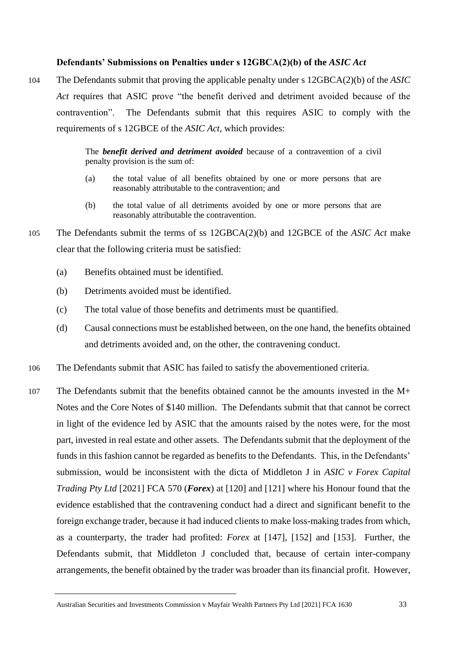## **Defendants' Submissions on Penalties under s 12GBCA(2)(b) of the** *ASIC Act*

104 The Defendants submit that proving the applicable penalty under s 12GBCA(2)(b) of the *ASIC Act* requires that ASIC prove "the benefit derived and detriment avoided because of the contravention". The Defendants submit that this requires ASIC to comply with the requirements of s 12GBCE of the *ASIC Act*, which provides:

> The *benefit derived and detriment avoided* because of a contravention of a civil penalty provision is the sum of:

- (a) the total value of all benefits obtained by one or more persons that are reasonably attributable to the contravention; and
- (b) the total value of all detriments avoided by one or more persons that are reasonably attributable the contravention.
- 105 The Defendants submit the terms of ss 12GBCA(2)(b) and 12GBCE of the *ASIC Act* make clear that the following criteria must be satisfied:
	- (a) Benefits obtained must be identified.
	- (b) Detriments avoided must be identified.
	- (c) The total value of those benefits and detriments must be quantified.
	- (d) Causal connections must be established between, on the one hand, the benefits obtained and detriments avoided and, on the other, the contravening conduct.
- 106 The Defendants submit that ASIC has failed to satisfy the abovementioned criteria.
- 107 The Defendants submit that the benefits obtained cannot be the amounts invested in the M+ Notes and the Core Notes of \$140 million. The Defendants submit that that cannot be correct in light of the evidence led by ASIC that the amounts raised by the notes were, for the most part, invested in real estate and other assets. The Defendants submit that the deployment of the funds in this fashion cannot be regarded as benefits to the Defendants. This, in the Defendants' submission, would be inconsistent with the dicta of Middleton J in *ASIC v Forex Capital Trading Pty Ltd* [2021] FCA 570 (*Forex*) at [120] and [121] where his Honour found that the evidence established that the contravening conduct had a direct and significant benefit to the foreign exchange trader, because it had induced clients to make loss-making trades from which, as a counterparty, the trader had profited: *Forex* at [147], [152] and [153]. Further, the Defendants submit, that Middleton J concluded that, because of certain inter-company arrangements, the benefit obtained by the trader was broader than its financial profit. However,

Australian Securities and Investments Commission v Mayfair Wealth Partners Pty Ltd [2021] FCA 1630 33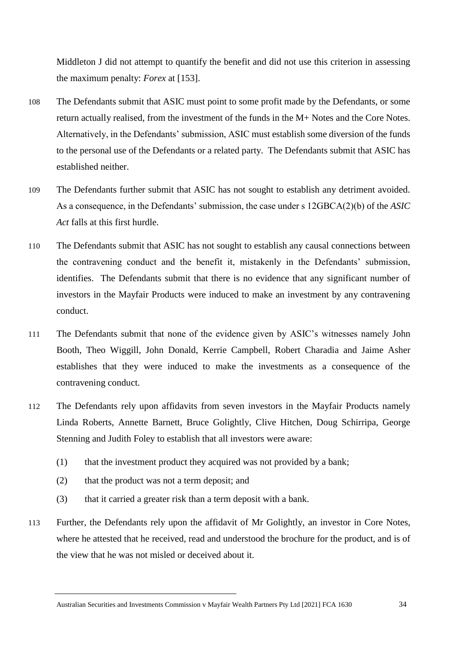Middleton J did not attempt to quantify the benefit and did not use this criterion in assessing the maximum penalty: *Forex* at [153].

- 108 The Defendants submit that ASIC must point to some profit made by the Defendants, or some return actually realised, from the investment of the funds in the M+ Notes and the Core Notes. Alternatively, in the Defendants' submission, ASIC must establish some diversion of the funds to the personal use of the Defendants or a related party. The Defendants submit that ASIC has established neither.
- 109 The Defendants further submit that ASIC has not sought to establish any detriment avoided. As a consequence, in the Defendants' submission, the case under s 12GBCA(2)(b) of the *ASIC Act* falls at this first hurdle.
- 110 The Defendants submit that ASIC has not sought to establish any causal connections between the contravening conduct and the benefit it, mistakenly in the Defendants' submission, identifies. The Defendants submit that there is no evidence that any significant number of investors in the Mayfair Products were induced to make an investment by any contravening conduct.
- 111 The Defendants submit that none of the evidence given by ASIC's witnesses namely John Booth, Theo Wiggill, John Donald, Kerrie Campbell, Robert Charadia and Jaime Asher establishes that they were induced to make the investments as a consequence of the contravening conduct.
- 112 The Defendants rely upon affidavits from seven investors in the Mayfair Products namely Linda Roberts, Annette Barnett, Bruce Golightly, Clive Hitchen, Doug Schirripa, George Stenning and Judith Foley to establish that all investors were aware:
	- (1) that the investment product they acquired was not provided by a bank;
	- (2) that the product was not a term deposit; and
	- (3) that it carried a greater risk than a term deposit with a bank.
- 113 Further, the Defendants rely upon the affidavit of Mr Golightly, an investor in Core Notes, where he attested that he received, read and understood the brochure for the product, and is of the view that he was not misled or deceived about it.

Australian Securities and Investments Commission v Mayfair Wealth Partners Pty Ltd [2021] FCA 1630 34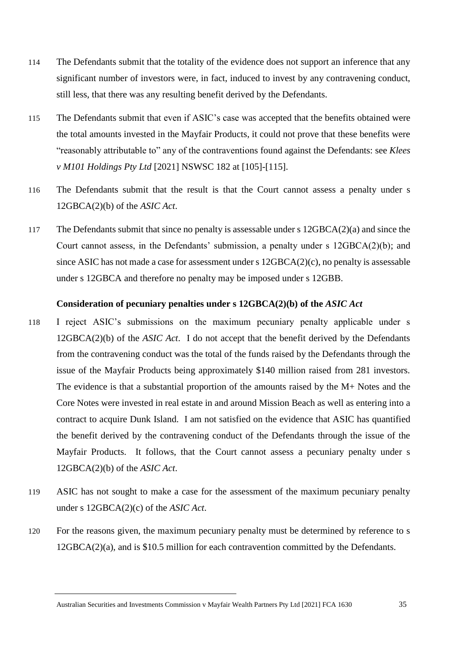- 114 The Defendants submit that the totality of the evidence does not support an inference that any significant number of investors were, in fact, induced to invest by any contravening conduct, still less, that there was any resulting benefit derived by the Defendants.
- 115 The Defendants submit that even if ASIC's case was accepted that the benefits obtained were the total amounts invested in the Mayfair Products, it could not prove that these benefits were "reasonably attributable to" any of the contraventions found against the Defendants: see *Klees v M101 Holdings Pty Ltd* [2021] NSWSC 182 at [105]-[115].
- 116 The Defendants submit that the result is that the Court cannot assess a penalty under s 12GBCA(2)(b) of the *ASIC Act*.
- 117 The Defendants submit that since no penalty is assessable under s  $12GBCA(2)(a)$  and since the Court cannot assess, in the Defendants' submission, a penalty under s 12GBCA(2)(b); and since ASIC has not made a case for assessment under s 12GBCA(2)(c), no penalty is assessable under s 12GBCA and therefore no penalty may be imposed under s 12GBB.

### **Consideration of pecuniary penalties under s 12GBCA(2)(b) of the** *ASIC Act*

- 118 I reject ASIC's submissions on the maximum pecuniary penalty applicable under s 12GBCA(2)(b) of the *ASIC Act*. I do not accept that the benefit derived by the Defendants from the contravening conduct was the total of the funds raised by the Defendants through the issue of the Mayfair Products being approximately \$140 million raised from 281 investors. The evidence is that a substantial proportion of the amounts raised by the M+ Notes and the Core Notes were invested in real estate in and around Mission Beach as well as entering into a contract to acquire Dunk Island. I am not satisfied on the evidence that ASIC has quantified the benefit derived by the contravening conduct of the Defendants through the issue of the Mayfair Products. It follows, that the Court cannot assess a pecuniary penalty under s 12GBCA(2)(b) of the *ASIC Act*.
- 119 ASIC has not sought to make a case for the assessment of the maximum pecuniary penalty under s 12GBCA(2)(c) of the *ASIC Act*.
- 120 For the reasons given, the maximum pecuniary penalty must be determined by reference to s 12GBCA(2)(a), and is \$10.5 million for each contravention committed by the Defendants.

Australian Securities and Investments Commission v Mayfair Wealth Partners Pty Ltd [2021] FCA 1630 35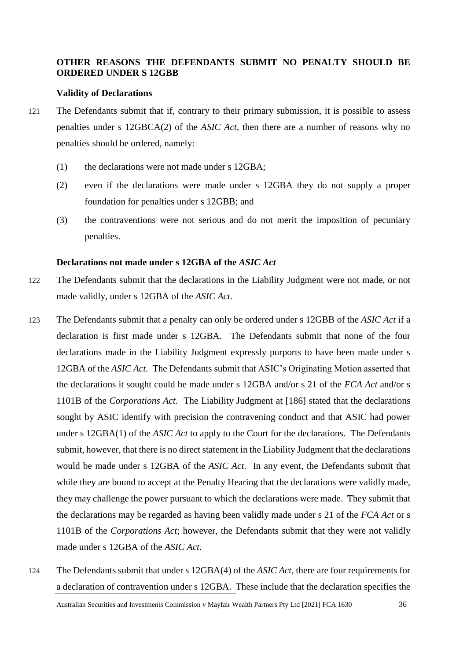## **OTHER REASONS THE DEFENDANTS SUBMIT NO PENALTY SHOULD BE ORDERED UNDER S 12GBB**

#### **Validity of Declarations**

- 121 The Defendants submit that if, contrary to their primary submission, it is possible to assess penalties under s 12GBCA(2) of the *ASIC Act*, then there are a number of reasons why no penalties should be ordered, namely:
	- (1) the declarations were not made under s 12GBA;
	- (2) even if the declarations were made under s 12GBA they do not supply a proper foundation for penalties under s 12GBB; and
	- (3) the contraventions were not serious and do not merit the imposition of pecuniary penalties.

# **Declarations not made under s 12GBA of the** *ASIC Act*

- 122 The Defendants submit that the declarations in the Liability Judgment were not made, or not made validly, under s 12GBA of the *ASIC Act*.
- 123 The Defendants submit that a penalty can only be ordered under s 12GBB of the *ASIC Act* if a declaration is first made under s 12GBA. The Defendants submit that none of the four declarations made in the Liability Judgment expressly purports to have been made under s 12GBA of the *ASIC Act*. The Defendants submit that ASIC's Originating Motion asserted that the declarations it sought could be made under s 12GBA and/or s 21 of the *FCA Act* and/or s 1101B of the *Corporations Act*. The Liability Judgment at [186] stated that the declarations sought by ASIC identify with precision the contravening conduct and that ASIC had power under s 12GBA(1) of the *ASIC Act* to apply to the Court for the declarations. The Defendants submit, however, that there is no direct statement in the Liability Judgment that the declarations would be made under s 12GBA of the *ASIC Act*. In any event, the Defendants submit that while they are bound to accept at the Penalty Hearing that the declarations were validly made, they may challenge the power pursuant to which the declarations were made. They submit that the declarations may be regarded as having been validly made under s 21 of the *FCA Act* or s 1101B of the *Corporations Act*; however, the Defendants submit that they were not validly made under s 12GBA of the *ASIC Act*.
- 124 The Defendants submit that under s 12GBA(4) of the *ASIC Act*, there are four requirements for a declaration of contravention under s 12GBA. These include that the declaration specifies the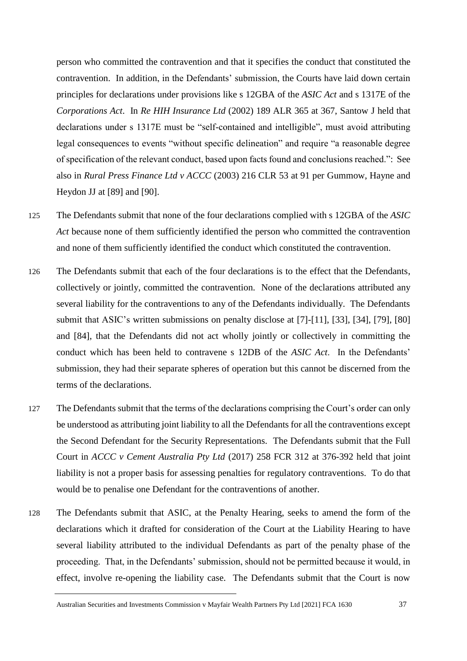person who committed the contravention and that it specifies the conduct that constituted the contravention. In addition, in the Defendants' submission, the Courts have laid down certain principles for declarations under provisions like s 12GBA of the *ASIC Act* and s 1317E of the *Corporations Act*. In *Re HIH Insurance Ltd* (2002) 189 ALR 365 at 367, Santow J held that declarations under s 1317E must be "self-contained and intelligible", must avoid attributing legal consequences to events "without specific delineation" and require "a reasonable degree of specification of the relevant conduct, based upon facts found and conclusions reached.": See also in *Rural Press Finance Ltd v ACCC* (2003) 216 CLR 53 at 91 per Gummow, Hayne and Heydon JJ at [89] and [90].

- 125 The Defendants submit that none of the four declarations complied with s 12GBA of the *ASIC Act* because none of them sufficiently identified the person who committed the contravention and none of them sufficiently identified the conduct which constituted the contravention.
- 126 The Defendants submit that each of the four declarations is to the effect that the Defendants, collectively or jointly, committed the contravention. None of the declarations attributed any several liability for the contraventions to any of the Defendants individually. The Defendants submit that ASIC's written submissions on penalty disclose at [7]-[11], [33], [34], [79], [80] and [84], that the Defendants did not act wholly jointly or collectively in committing the conduct which has been held to contravene s 12DB of the *ASIC Act*. In the Defendants' submission, they had their separate spheres of operation but this cannot be discerned from the terms of the declarations.
- 127 The Defendants submit that the terms of the declarations comprising the Court's order can only be understood as attributing joint liability to all the Defendants for all the contraventions except the Second Defendant for the Security Representations. The Defendants submit that the Full Court in *ACCC v Cement Australia Pty Ltd* (2017) 258 FCR 312 at 376-392 held that joint liability is not a proper basis for assessing penalties for regulatory contraventions. To do that would be to penalise one Defendant for the contraventions of another.
- 128 The Defendants submit that ASIC, at the Penalty Hearing, seeks to amend the form of the declarations which it drafted for consideration of the Court at the Liability Hearing to have several liability attributed to the individual Defendants as part of the penalty phase of the proceeding. That, in the Defendants' submission, should not be permitted because it would, in effect, involve re-opening the liability case. The Defendants submit that the Court is now

Australian Securities and Investments Commission v Mayfair Wealth Partners Pty Ltd [2021] FCA 1630 37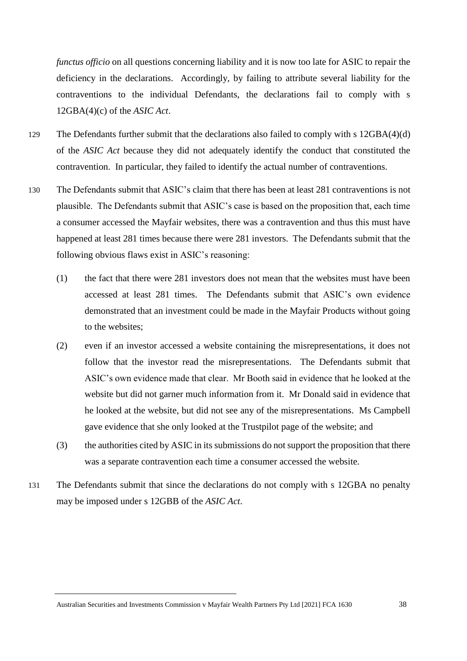*functus officio* on all questions concerning liability and it is now too late for ASIC to repair the deficiency in the declarations. Accordingly, by failing to attribute several liability for the contraventions to the individual Defendants, the declarations fail to comply with s 12GBA(4)(c) of the *ASIC Act*.

- 129 The Defendants further submit that the declarations also failed to comply with s 12GBA(4)(d) of the *ASIC Act* because they did not adequately identify the conduct that constituted the contravention. In particular, they failed to identify the actual number of contraventions.
- 130 The Defendants submit that ASIC's claim that there has been at least 281 contraventions is not plausible. The Defendants submit that ASIC's case is based on the proposition that, each time a consumer accessed the Mayfair websites, there was a contravention and thus this must have happened at least 281 times because there were 281 investors. The Defendants submit that the following obvious flaws exist in ASIC's reasoning:
	- (1) the fact that there were 281 investors does not mean that the websites must have been accessed at least 281 times. The Defendants submit that ASIC's own evidence demonstrated that an investment could be made in the Mayfair Products without going to the websites;
	- (2) even if an investor accessed a website containing the misrepresentations, it does not follow that the investor read the misrepresentations. The Defendants submit that ASIC's own evidence made that clear. Mr Booth said in evidence that he looked at the website but did not garner much information from it. Mr Donald said in evidence that he looked at the website, but did not see any of the misrepresentations. Ms Campbell gave evidence that she only looked at the Trustpilot page of the website; and
	- (3) the authorities cited by ASIC in its submissions do not support the proposition that there was a separate contravention each time a consumer accessed the website.
- 131 The Defendants submit that since the declarations do not comply with s 12GBA no penalty may be imposed under s 12GBB of the *ASIC Act*.

Australian Securities and Investments Commission v Mayfair Wealth Partners Pty Ltd [2021] FCA 1630 38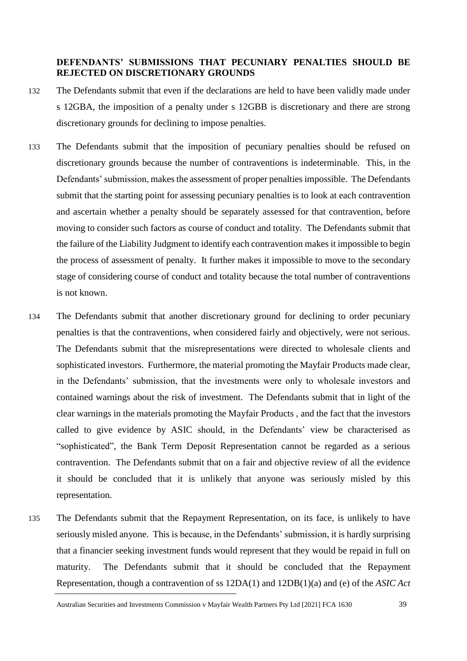# **DEFENDANTS' SUBMISSIONS THAT PECUNIARY PENALTIES SHOULD BE REJECTED ON DISCRETIONARY GROUNDS**

- 132 The Defendants submit that even if the declarations are held to have been validly made under s 12GBA, the imposition of a penalty under s 12GBB is discretionary and there are strong discretionary grounds for declining to impose penalties.
- 133 The Defendants submit that the imposition of pecuniary penalties should be refused on discretionary grounds because the number of contraventions is indeterminable. This, in the Defendants' submission, makes the assessment of proper penalties impossible. The Defendants submit that the starting point for assessing pecuniary penalties is to look at each contravention and ascertain whether a penalty should be separately assessed for that contravention, before moving to consider such factors as course of conduct and totality. The Defendants submit that the failure of the Liability Judgment to identify each contravention makes it impossible to begin the process of assessment of penalty. It further makes it impossible to move to the secondary stage of considering course of conduct and totality because the total number of contraventions is not known.
- 134 The Defendants submit that another discretionary ground for declining to order pecuniary penalties is that the contraventions, when considered fairly and objectively, were not serious. The Defendants submit that the misrepresentations were directed to wholesale clients and sophisticated investors. Furthermore, the material promoting the Mayfair Products made clear, in the Defendants' submission, that the investments were only to wholesale investors and contained warnings about the risk of investment. The Defendants submit that in light of the clear warnings in the materials promoting the Mayfair Products , and the fact that the investors called to give evidence by ASIC should, in the Defendants' view be characterised as "sophisticated", the Bank Term Deposit Representation cannot be regarded as a serious contravention. The Defendants submit that on a fair and objective review of all the evidence it should be concluded that it is unlikely that anyone was seriously misled by this representation.
- 135 The Defendants submit that the Repayment Representation, on its face, is unlikely to have seriously misled anyone. This is because, in the Defendants' submission, it is hardly surprising that a financier seeking investment funds would represent that they would be repaid in full on maturity. The Defendants submit that it should be concluded that the Repayment Representation, though a contravention of ss 12DA(1) and 12DB(1)(a) and (e) of the *ASIC Act*

Australian Securities and Investments Commission v Mayfair Wealth Partners Pty Ltd [2021] FCA 1630 39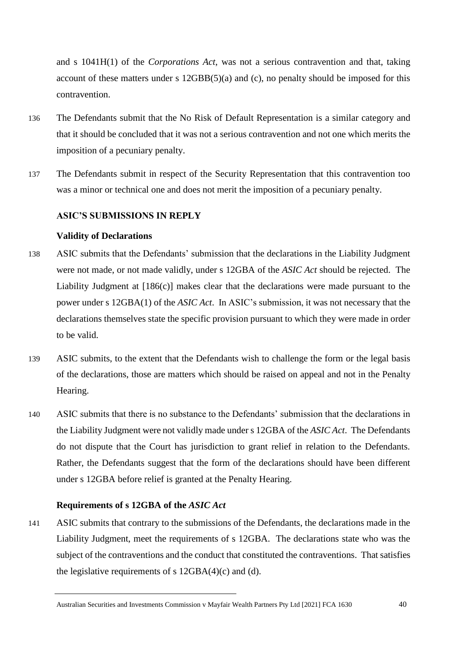and s 1041H(1) of the *Corporations Act*, was not a serious contravention and that, taking account of these matters under s 12GBB(5)(a) and (c), no penalty should be imposed for this contravention.

- 136 The Defendants submit that the No Risk of Default Representation is a similar category and that it should be concluded that it was not a serious contravention and not one which merits the imposition of a pecuniary penalty.
- 137 The Defendants submit in respect of the Security Representation that this contravention too was a minor or technical one and does not merit the imposition of a pecuniary penalty.

### **ASIC'S SUBMISSIONS IN REPLY**

### **Validity of Declarations**

- 138 ASIC submits that the Defendants' submission that the declarations in the Liability Judgment were not made, or not made validly, under s 12GBA of the *ASIC Act* should be rejected. The Liability Judgment at [186(c)] makes clear that the declarations were made pursuant to the power under s 12GBA(1) of the *ASIC Act*. In ASIC's submission, it was not necessary that the declarations themselves state the specific provision pursuant to which they were made in order to be valid.
- 139 ASIC submits, to the extent that the Defendants wish to challenge the form or the legal basis of the declarations, those are matters which should be raised on appeal and not in the Penalty Hearing.
- 140 ASIC submits that there is no substance to the Defendants' submission that the declarations in the Liability Judgment were not validly made under s 12GBA of the *ASIC Act*. The Defendants do not dispute that the Court has jurisdiction to grant relief in relation to the Defendants. Rather, the Defendants suggest that the form of the declarations should have been different under s 12GBA before relief is granted at the Penalty Hearing.

### **Requirements of s 12GBA of the** *ASIC Act*

141 ASIC submits that contrary to the submissions of the Defendants, the declarations made in the Liability Judgment, meet the requirements of s 12GBA. The declarations state who was the subject of the contraventions and the conduct that constituted the contraventions. That satisfies the legislative requirements of s  $12GBA(4)(c)$  and (d).

Australian Securities and Investments Commission v Mayfair Wealth Partners Pty Ltd [2021] FCA 1630 40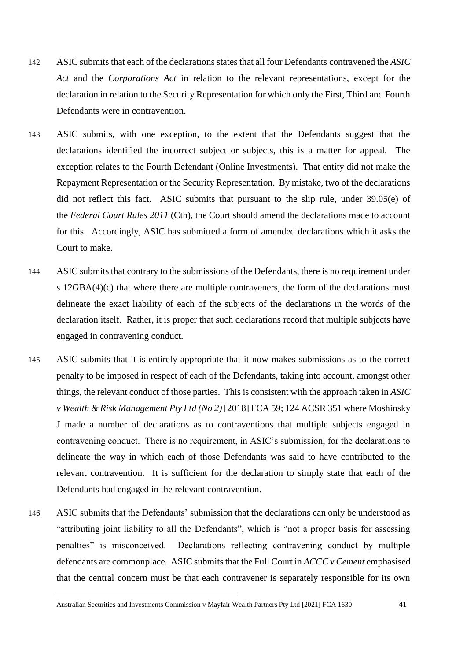- 142 ASIC submits that each of the declarations states that all four Defendants contravened the *ASIC Act* and the *Corporations Act* in relation to the relevant representations, except for the declaration in relation to the Security Representation for which only the First, Third and Fourth Defendants were in contravention.
- 143 ASIC submits, with one exception, to the extent that the Defendants suggest that the declarations identified the incorrect subject or subjects, this is a matter for appeal. The exception relates to the Fourth Defendant (Online Investments). That entity did not make the Repayment Representation or the Security Representation. By mistake, two of the declarations did not reflect this fact. ASIC submits that pursuant to the slip rule, under 39.05(e) of the *Federal Court Rules 2011* (Cth), the Court should amend the declarations made to account for this. Accordingly, ASIC has submitted a form of amended declarations which it asks the Court to make.
- 144 ASIC submits that contrary to the submissions of the Defendants, there is no requirement under s 12GBA(4)(c) that where there are multiple contraveners, the form of the declarations must delineate the exact liability of each of the subjects of the declarations in the words of the declaration itself. Rather, it is proper that such declarations record that multiple subjects have engaged in contravening conduct.
- 145 ASIC submits that it is entirely appropriate that it now makes submissions as to the correct penalty to be imposed in respect of each of the Defendants, taking into account, amongst other things, the relevant conduct of those parties. This is consistent with the approach taken in *ASIC v Wealth & Risk Management Pty Ltd (No 2)* [2018] FCA 59; 124 ACSR 351 where Moshinsky J made a number of declarations as to contraventions that multiple subjects engaged in contravening conduct. There is no requirement, in ASIC's submission, for the declarations to delineate the way in which each of those Defendants was said to have contributed to the relevant contravention. It is sufficient for the declaration to simply state that each of the Defendants had engaged in the relevant contravention.
- 146 ASIC submits that the Defendants' submission that the declarations can only be understood as "attributing joint liability to all the Defendants", which is "not a proper basis for assessing penalties" is misconceived. Declarations reflecting contravening conduct by multiple defendants are commonplace. ASIC submits that the Full Court in *ACCC v Cement* emphasised that the central concern must be that each contravener is separately responsible for its own

Australian Securities and Investments Commission v Mayfair Wealth Partners Pty Ltd [2021] FCA 1630 41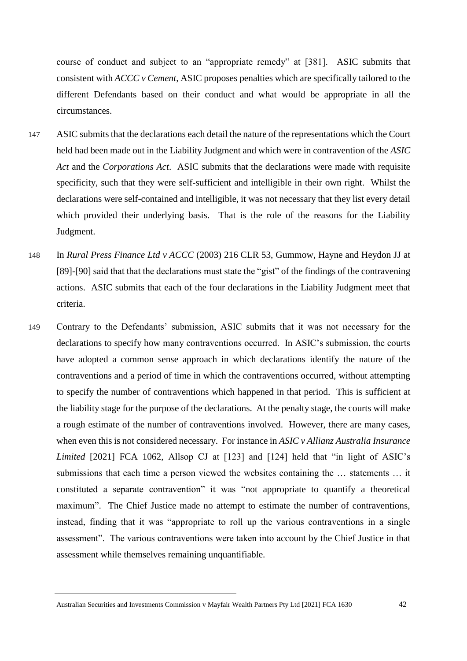course of conduct and subject to an "appropriate remedy" at [381]. ASIC submits that consistent with *ACCC v Cement*, ASIC proposes penalties which are specifically tailored to the different Defendants based on their conduct and what would be appropriate in all the circumstances.

- 147 ASIC submits that the declarations each detail the nature of the representations which the Court held had been made out in the Liability Judgment and which were in contravention of the *ASIC Act* and the *Corporations Act*. ASIC submits that the declarations were made with requisite specificity, such that they were self-sufficient and intelligible in their own right. Whilst the declarations were self-contained and intelligible, it was not necessary that they list every detail which provided their underlying basis. That is the role of the reasons for the Liability Judgment.
- 148 In *Rural Press Finance Ltd v ACCC* (2003) 216 CLR 53, Gummow, Hayne and Heydon JJ at [89]-[90] said that that the declarations must state the "gist" of the findings of the contravening actions. ASIC submits that each of the four declarations in the Liability Judgment meet that criteria.
- 149 Contrary to the Defendants' submission, ASIC submits that it was not necessary for the declarations to specify how many contraventions occurred. In ASIC's submission, the courts have adopted a common sense approach in which declarations identify the nature of the contraventions and a period of time in which the contraventions occurred, without attempting to specify the number of contraventions which happened in that period. This is sufficient at the liability stage for the purpose of the declarations. At the penalty stage, the courts will make a rough estimate of the number of contraventions involved. However, there are many cases, when even this is not considered necessary. For instance in *ASIC v Allianz Australia Insurance Limited* [2021] FCA 1062, Allsop CJ at [123] and [124] held that "in light of ASIC's submissions that each time a person viewed the websites containing the … statements … it constituted a separate contravention" it was "not appropriate to quantify a theoretical maximum". The Chief Justice made no attempt to estimate the number of contraventions, instead, finding that it was "appropriate to roll up the various contraventions in a single assessment". The various contraventions were taken into account by the Chief Justice in that assessment while themselves remaining unquantifiable.

Australian Securities and Investments Commission v Mayfair Wealth Partners Pty Ltd [2021] FCA 1630 42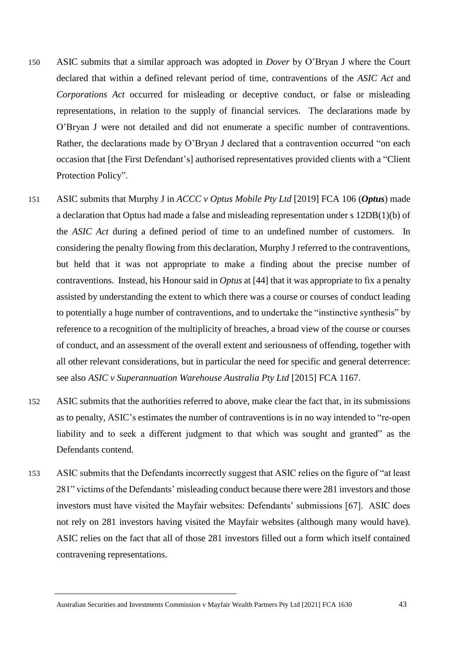- 150 ASIC submits that a similar approach was adopted in *Dover* by O'Bryan J where the Court declared that within a defined relevant period of time, contraventions of the *ASIC Act* and *Corporations Act* occurred for misleading or deceptive conduct, or false or misleading representations, in relation to the supply of financial services. The declarations made by O'Bryan J were not detailed and did not enumerate a specific number of contraventions. Rather, the declarations made by O'Bryan J declared that a contravention occurred "on each occasion that [the First Defendant's] authorised representatives provided clients with a "Client Protection Policy".
- 151 ASIC submits that Murphy J in *ACCC v Optus Mobile Pty Ltd* [2019] FCA 106 (*Optus*) made a declaration that Optus had made a false and misleading representation under s 12DB(1)(b) of the *ASIC Act* during a defined period of time to an undefined number of customers. In considering the penalty flowing from this declaration, Murphy J referred to the contraventions, but held that it was not appropriate to make a finding about the precise number of contraventions. Instead, his Honour said in *Optus* at [44] that it was appropriate to fix a penalty assisted by understanding the extent to which there was a course or courses of conduct leading to potentially a huge number of contraventions, and to undertake the "instinctive synthesis" by reference to a recognition of the multiplicity of breaches, a broad view of the course or courses of conduct, and an assessment of the overall extent and seriousness of offending, together with all other relevant considerations, but in particular the need for specific and general deterrence: see also *ASIC v Superannuation Warehouse Australia Pty Ltd* [2015] FCA 1167.
- 152 ASIC submits that the authorities referred to above, make clear the fact that, in its submissions as to penalty, ASIC's estimates the number of contraventions is in no way intended to "re-open liability and to seek a different judgment to that which was sought and granted" as the Defendants contend.
- 153 ASIC submits that the Defendants incorrectly suggest that ASIC relies on the figure of "at least 281" victims of the Defendants' misleading conduct because there were 281 investors and those investors must have visited the Mayfair websites: Defendants' submissions [67]. ASIC does not rely on 281 investors having visited the Mayfair websites (although many would have). ASIC relies on the fact that all of those 281 investors filled out a form which itself contained contravening representations.

Australian Securities and Investments Commission v Mayfair Wealth Partners Pty Ltd [2021] FCA 1630 43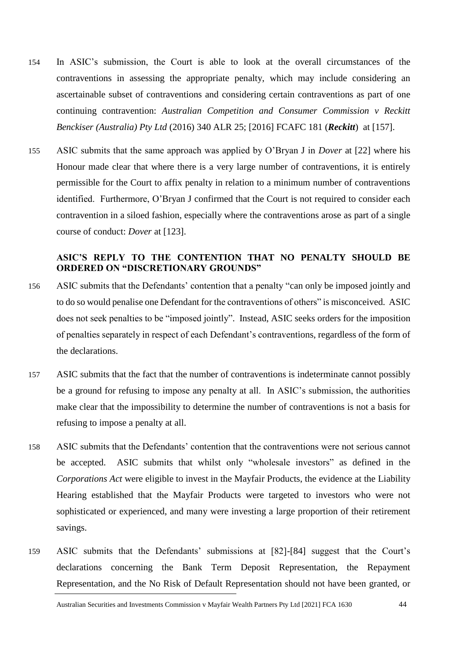- 154 In ASIC's submission, the Court is able to look at the overall circumstances of the contraventions in assessing the appropriate penalty, which may include considering an ascertainable subset of contraventions and considering certain contraventions as part of one continuing contravention: *Australian Competition and Consumer Commission v Reckitt Benckiser (Australia) Pty Ltd* (2016) 340 ALR 25; [2016] FCAFC 181 (*Reckitt*) at [157].
- 155 ASIC submits that the same approach was applied by O'Bryan J in *Dover* at [22] where his Honour made clear that where there is a very large number of contraventions, it is entirely permissible for the Court to affix penalty in relation to a minimum number of contraventions identified. Furthermore, O'Bryan J confirmed that the Court is not required to consider each contravention in a siloed fashion, especially where the contraventions arose as part of a single course of conduct: *Dover* at [123].

## **ASIC'S REPLY TO THE CONTENTION THAT NO PENALTY SHOULD BE ORDERED ON "DISCRETIONARY GROUNDS"**

- 156 ASIC submits that the Defendants' contention that a penalty "can only be imposed jointly and to do so would penalise one Defendant for the contraventions of others" is misconceived. ASIC does not seek penalties to be "imposed jointly". Instead, ASIC seeks orders for the imposition of penalties separately in respect of each Defendant's contraventions, regardless of the form of the declarations.
- 157 ASIC submits that the fact that the number of contraventions is indeterminate cannot possibly be a ground for refusing to impose any penalty at all. In ASIC's submission, the authorities make clear that the impossibility to determine the number of contraventions is not a basis for refusing to impose a penalty at all.
- 158 ASIC submits that the Defendants' contention that the contraventions were not serious cannot be accepted. ASIC submits that whilst only "wholesale investors" as defined in the *Corporations Act* were eligible to invest in the Mayfair Products, the evidence at the Liability Hearing established that the Mayfair Products were targeted to investors who were not sophisticated or experienced, and many were investing a large proportion of their retirement savings.
- 159 ASIC submits that the Defendants' submissions at [82]-[84] suggest that the Court's declarations concerning the Bank Term Deposit Representation, the Repayment Representation, and the No Risk of Default Representation should not have been granted, or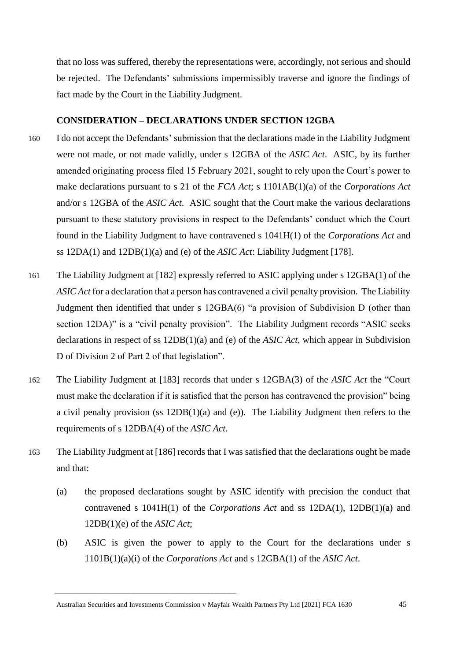that no loss was suffered, thereby the representations were, accordingly, not serious and should be rejected. The Defendants' submissions impermissibly traverse and ignore the findings of fact made by the Court in the Liability Judgment.

## **CONSIDERATION – DECLARATIONS UNDER SECTION 12GBA**

- 160 I do not accept the Defendants' submission that the declarations made in the Liability Judgment were not made, or not made validly, under s 12GBA of the *ASIC Act*. ASIC, by its further amended originating process filed 15 February 2021, sought to rely upon the Court's power to make declarations pursuant to s 21 of the *FCA Act*; s 1101AB(1)(a) of the *Corporations Act* and/or s 12GBA of the *ASIC Act*. ASIC sought that the Court make the various declarations pursuant to these statutory provisions in respect to the Defendants' conduct which the Court found in the Liability Judgment to have contravened s 1041H(1) of the *Corporations Act* and ss 12DA(1) and 12DB(1)(a) and (e) of the *ASIC Act*: Liability Judgment [178].
- 161 The Liability Judgment at [182] expressly referred to ASIC applying under s 12GBA(1) of the *ASIC Act* for a declaration that a person has contravened a civil penalty provision. The Liability Judgment then identified that under s 12GBA(6) "a provision of Subdivision D (other than section 12DA)" is a "civil penalty provision". The Liability Judgment records "ASIC seeks declarations in respect of ss 12DB(1)(a) and (e) of the *ASIC Act*, which appear in Subdivision D of Division 2 of Part 2 of that legislation".
- 162 The Liability Judgment at [183] records that under s 12GBA(3) of the *ASIC Act* the "Court must make the declaration if it is satisfied that the person has contravened the provision" being a civil penalty provision (ss 12DB(1)(a) and (e)). The Liability Judgment then refers to the requirements of s 12DBA(4) of the *ASIC Act*.
- 163 The Liability Judgment at [186] records that I was satisfied that the declarations ought be made and that:
	- (a) the proposed declarations sought by ASIC identify with precision the conduct that contravened s 1041H(1) of the *Corporations Act* and ss 12DA(1), 12DB(1)(a) and 12DB(1)(e) of the *ASIC Act*;
	- (b) ASIC is given the power to apply to the Court for the declarations under s 1101B(1)(a)(i) of the *Corporations Act* and s 12GBA(1) of the *ASIC Act*.

Australian Securities and Investments Commission v Mayfair Wealth Partners Pty Ltd [2021] FCA 1630 45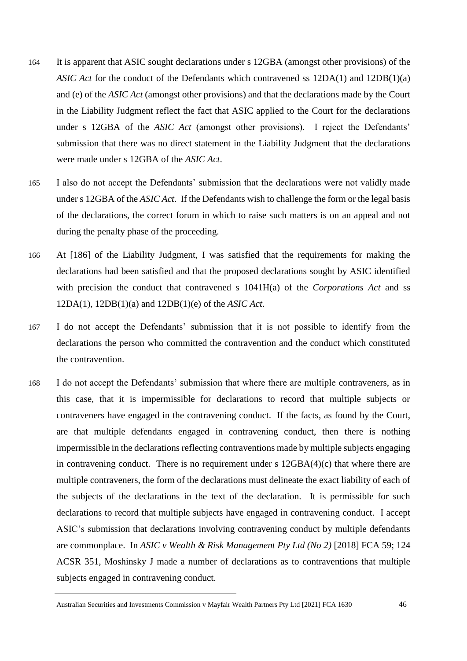- 164 It is apparent that ASIC sought declarations under s 12GBA (amongst other provisions) of the *ASIC Act* for the conduct of the Defendants which contravened ss 12DA(1) and 12DB(1)(a) and (e) of the *ASIC Act* (amongst other provisions) and that the declarations made by the Court in the Liability Judgment reflect the fact that ASIC applied to the Court for the declarations under s 12GBA of the *ASIC Act* (amongst other provisions). I reject the Defendants' submission that there was no direct statement in the Liability Judgment that the declarations were made under s 12GBA of the *ASIC Act*.
- 165 I also do not accept the Defendants' submission that the declarations were not validly made under s 12GBA of the *ASIC Act*. If the Defendants wish to challenge the form or the legal basis of the declarations, the correct forum in which to raise such matters is on an appeal and not during the penalty phase of the proceeding.
- 166 At [186] of the Liability Judgment, I was satisfied that the requirements for making the declarations had been satisfied and that the proposed declarations sought by ASIC identified with precision the conduct that contravened s 1041H(a) of the *Corporations Act* and ss 12DA(1), 12DB(1)(a) and 12DB(1)(e) of the *ASIC Act*.
- 167 I do not accept the Defendants' submission that it is not possible to identify from the declarations the person who committed the contravention and the conduct which constituted the contravention.
- 168 I do not accept the Defendants' submission that where there are multiple contraveners, as in this case, that it is impermissible for declarations to record that multiple subjects or contraveners have engaged in the contravening conduct. If the facts, as found by the Court, are that multiple defendants engaged in contravening conduct, then there is nothing impermissible in the declarations reflecting contraventions made by multiple subjects engaging in contravening conduct. There is no requirement under s 12GBA(4)(c) that where there are multiple contraveners, the form of the declarations must delineate the exact liability of each of the subjects of the declarations in the text of the declaration. It is permissible for such declarations to record that multiple subjects have engaged in contravening conduct. I accept ASIC's submission that declarations involving contravening conduct by multiple defendants are commonplace. In *ASIC v Wealth & Risk Management Pty Ltd (No 2)* [2018] FCA 59; 124 ACSR 351, Moshinsky J made a number of declarations as to contraventions that multiple subjects engaged in contravening conduct.

Australian Securities and Investments Commission v Mayfair Wealth Partners Pty Ltd [2021] FCA 1630 46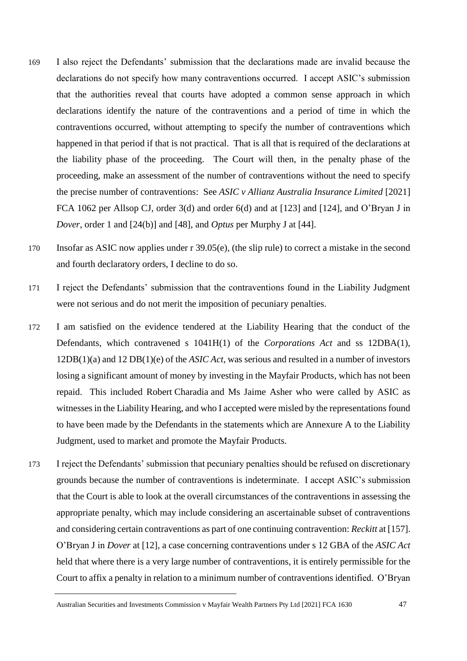- 169 I also reject the Defendants' submission that the declarations made are invalid because the declarations do not specify how many contraventions occurred. I accept ASIC's submission that the authorities reveal that courts have adopted a common sense approach in which declarations identify the nature of the contraventions and a period of time in which the contraventions occurred, without attempting to specify the number of contraventions which happened in that period if that is not practical. That is all that is required of the declarations at the liability phase of the proceeding. The Court will then, in the penalty phase of the proceeding, make an assessment of the number of contraventions without the need to specify the precise number of contraventions: See *ASIC v Allianz Australia Insurance Limited* [2021] FCA 1062 per Allsop CJ, order 3(d) and order 6(d) and at [123] and [124], and O'Bryan J in *Dover*, order 1 and [24(b)] and [48], and *Optus* per Murphy J at [44].
- 170 Insofar as ASIC now applies under r 39.05(e), (the slip rule) to correct a mistake in the second and fourth declaratory orders, I decline to do so.
- 171 I reject the Defendants' submission that the contraventions found in the Liability Judgment were not serious and do not merit the imposition of pecuniary penalties.
- 172 I am satisfied on the evidence tendered at the Liability Hearing that the conduct of the Defendants, which contravened s 1041H(1) of the *Corporations Act* and ss 12DBA(1), 12DB(1)(a) and 12 DB(1)(e) of the *ASIC Act*, was serious and resulted in a number of investors losing a significant amount of money by investing in the Mayfair Products, which has not been repaid. This included Robert Charadia and Ms Jaime Asher who were called by ASIC as witnesses in the Liability Hearing, and who I accepted were misled by the representations found to have been made by the Defendants in the statements which are Annexure A to the Liability Judgment, used to market and promote the Mayfair Products.
- 173 I reject the Defendants' submission that pecuniary penalties should be refused on discretionary grounds because the number of contraventions is indeterminate. I accept ASIC's submission that the Court is able to look at the overall circumstances of the contraventions in assessing the appropriate penalty, which may include considering an ascertainable subset of contraventions and considering certain contraventions as part of one continuing contravention: *Reckitt* at [157]. O'Bryan J in *Dover* at [12], a case concerning contraventions under s 12 GBA of the *ASIC Act* held that where there is a very large number of contraventions, it is entirely permissible for the Court to affix a penalty in relation to a minimum number of contraventions identified. O'Bryan

Australian Securities and Investments Commission v Mayfair Wealth Partners Pty Ltd [2021] FCA 1630 47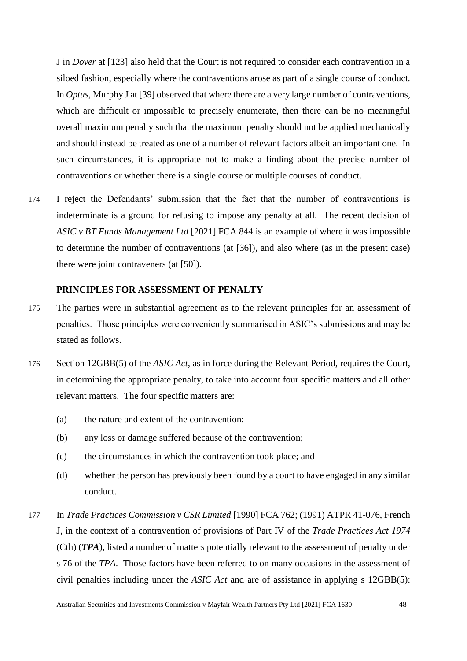J in *Dover* at [123] also held that the Court is not required to consider each contravention in a siloed fashion, especially where the contraventions arose as part of a single course of conduct. In *Optus*, Murphy J at [39] observed that where there are a very large number of contraventions, which are difficult or impossible to precisely enumerate, then there can be no meaningful overall maximum penalty such that the maximum penalty should not be applied mechanically and should instead be treated as one of a number of relevant factors albeit an important one. In such circumstances, it is appropriate not to make a finding about the precise number of contraventions or whether there is a single course or multiple courses of conduct.

174 I reject the Defendants' submission that the fact that the number of contraventions is indeterminate is a ground for refusing to impose any penalty at all. The recent decision of *ASIC v BT Funds Management Ltd* [2021] FCA 844 is an example of where it was impossible to determine the number of contraventions (at [36]), and also where (as in the present case) there were joint contraveners (at [50]).

## **PRINCIPLES FOR ASSESSMENT OF PENALTY**

- 175 The parties were in substantial agreement as to the relevant principles for an assessment of penalties. Those principles were conveniently summarised in ASIC's submissions and may be stated as follows.
- 176 Section 12GBB(5) of the *ASIC Act*, as in force during the Relevant Period, requires the Court, in determining the appropriate penalty, to take into account four specific matters and all other relevant matters. The four specific matters are:
	- (a) the nature and extent of the contravention;
	- (b) any loss or damage suffered because of the contravention;
	- (c) the circumstances in which the contravention took place; and
	- (d) whether the person has previously been found by a court to have engaged in any similar conduct.
- 177 In *Trade Practices Commission v CSR Limited* [1990] FCA 762; (1991) ATPR 41-076, French J, in the context of a contravention of provisions of Part IV of the *Trade Practices Act 1974* (Cth) (*TPA*), listed a number of matters potentially relevant to the assessment of penalty under s 76 of the *TPA*. Those factors have been referred to on many occasions in the assessment of civil penalties including under the *ASIC Act* and are of assistance in applying s 12GBB(5):

Australian Securities and Investments Commission v Mayfair Wealth Partners Pty Ltd [2021] FCA 1630 48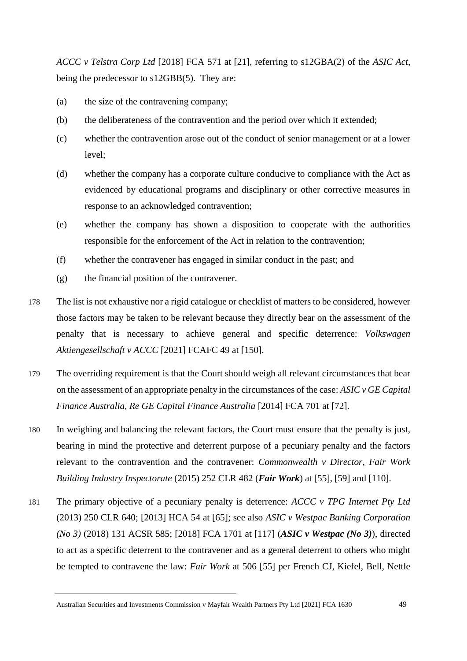*ACCC v Telstra Corp Ltd* [2018] FCA 571 at [21], referring to s12GBA(2) of the *ASIC Act*, being the predecessor to s12GBB(5). They are:

- (a) the size of the contravening company;
- (b) the deliberateness of the contravention and the period over which it extended;
- (c) whether the contravention arose out of the conduct of senior management or at a lower level;
- (d) whether the company has a corporate culture conducive to compliance with the Act as evidenced by educational programs and disciplinary or other corrective measures in response to an acknowledged contravention;
- (e) whether the company has shown a disposition to cooperate with the authorities responsible for the enforcement of the Act in relation to the contravention;
- (f) whether the contravener has engaged in similar conduct in the past; and
- (g) the financial position of the contravener.
- 178 The list is not exhaustive nor a rigid catalogue or checklist of matters to be considered, however those factors may be taken to be relevant because they directly bear on the assessment of the penalty that is necessary to achieve general and specific deterrence: *Volkswagen Aktiengesellschaft v ACCC* [2021] FCAFC 49 at [150].
- 179 The overriding requirement is that the Court should weigh all relevant circumstances that bear on the assessment of an appropriate penalty in the circumstances of the case: *ASIC v GE Capital Finance Australia, Re GE Capital Finance Australia* [2014] FCA 701 at [72].
- 180 In weighing and balancing the relevant factors, the Court must ensure that the penalty is just, bearing in mind the protective and deterrent purpose of a pecuniary penalty and the factors relevant to the contravention and the contravener: *Commonwealth v Director, Fair Work Building Industry Inspectorate* (2015) 252 CLR 482 (*Fair Work*) at [55], [59] and [110].
- 181 The primary objective of a pecuniary penalty is deterrence: *ACCC v TPG Internet Pty Ltd* (2013) 250 CLR 640; [2013] HCA 54 at [65]; see also *ASIC v Westpac Banking Corporation (No 3)* (2018) 131 ACSR 585; [2018] FCA 1701 at [117] (*ASIC v Westpac (No 3)*), directed to act as a specific deterrent to the contravener and as a general deterrent to others who might be tempted to contravene the law: *Fair Work* at 506 [55] per French CJ, Kiefel, Bell, Nettle

Australian Securities and Investments Commission v Mayfair Wealth Partners Pty Ltd [2021] FCA 1630 49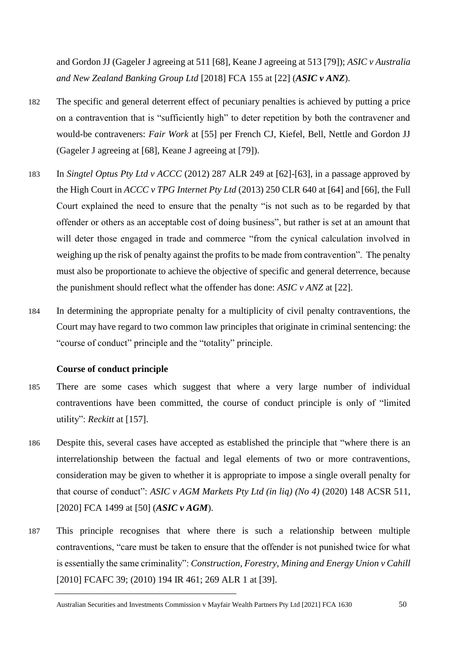and Gordon JJ (Gageler J agreeing at 511 [68], Keane J agreeing at 513 [79]); *ASIC v Australia and New Zealand Banking Group Ltd* [2018] FCA 155 at [22] (*ASIC v ANZ*).

- 182 The specific and general deterrent effect of pecuniary penalties is achieved by putting a price on a contravention that is "sufficiently high" to deter repetition by both the contravener and would-be contraveners: *Fair Work* at [55] per French CJ, Kiefel, Bell, Nettle and Gordon JJ (Gageler J agreeing at [68], Keane J agreeing at [79]).
- 183 In *Singtel Optus Pty Ltd v ACCC* (2012) 287 ALR 249 at [62]-[63], in a passage approved by the High Court in *ACCC v TPG Internet Pty Ltd* (2013) 250 CLR 640 at [64] and [66], the Full Court explained the need to ensure that the penalty "is not such as to be regarded by that offender or others as an acceptable cost of doing business", but rather is set at an amount that will deter those engaged in trade and commerce "from the cynical calculation involved in weighing up the risk of penalty against the profits to be made from contravention". The penalty must also be proportionate to achieve the objective of specific and general deterrence, because the punishment should reflect what the offender has done: *ASIC v ANZ* at [22].
- 184 In determining the appropriate penalty for a multiplicity of civil penalty contraventions, the Court may have regard to two common law principles that originate in criminal sentencing: the "course of conduct" principle and the "totality" principle.

### **Course of conduct principle**

- 185 There are some cases which suggest that where a very large number of individual contraventions have been committed, the course of conduct principle is only of "limited utility": *Reckitt* at [157].
- 186 Despite this, several cases have accepted as established the principle that "where there is an interrelationship between the factual and legal elements of two or more contraventions, consideration may be given to whether it is appropriate to impose a single overall penalty for that course of conduct": *ASIC v AGM Markets Pty Ltd (in liq) (No 4)* (2020) 148 ACSR 511, [2020] FCA 1499 at [50] (*ASIC v AGM*).
- 187 This principle recognises that where there is such a relationship between multiple contraventions, "care must be taken to ensure that the offender is not punished twice for what is essentially the same criminality": *Construction, Forestry, Mining and Energy Union v Cahill* [2010] FCAFC 39; (2010) 194 IR 461; 269 ALR 1 at [39].

Australian Securities and Investments Commission v Mayfair Wealth Partners Pty Ltd [2021] FCA 1630 50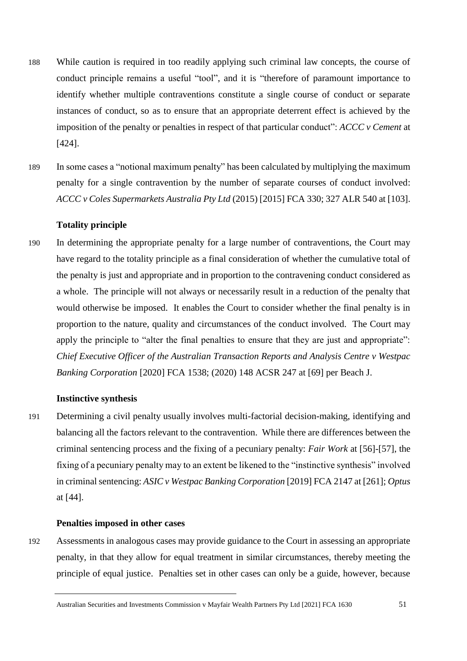- 188 While caution is required in too readily applying such criminal law concepts, the course of conduct principle remains a useful "tool", and it is "therefore of paramount importance to identify whether multiple contraventions constitute a single course of conduct or separate instances of conduct, so as to ensure that an appropriate deterrent effect is achieved by the imposition of the penalty or penalties in respect of that particular conduct": *ACCC v Cement* at [424].
- 189 In some cases a "notional maximum penalty" has been calculated by multiplying the maximum penalty for a single contravention by the number of separate courses of conduct involved: *ACCC v Coles Supermarkets Australia Pty Ltd* (2015) [2015] FCA 330; 327 ALR 540 at [103].

### **Totality principle**

190 In determining the appropriate penalty for a large number of contraventions, the Court may have regard to the totality principle as a final consideration of whether the cumulative total of the penalty is just and appropriate and in proportion to the contravening conduct considered as a whole. The principle will not always or necessarily result in a reduction of the penalty that would otherwise be imposed. It enables the Court to consider whether the final penalty is in proportion to the nature, quality and circumstances of the conduct involved. The Court may apply the principle to "alter the final penalties to ensure that they are just and appropriate": *Chief Executive Officer of the Australian Transaction Reports and Analysis Centre v Westpac Banking Corporation* [2020] FCA 1538; (2020) 148 ACSR 247 at [69] per Beach J.

#### **Instinctive synthesis**

191 Determining a civil penalty usually involves multi-factorial decision-making, identifying and balancing all the factors relevant to the contravention. While there are differences between the criminal sentencing process and the fixing of a pecuniary penalty: *Fair Work* at [56]-[57], the fixing of a pecuniary penalty may to an extent be likened to the "instinctive synthesis" involved in criminal sentencing: *ASIC v Westpac Banking Corporation* [2019] FCA 2147 at [261]; *Optus* at [44].

### **Penalties imposed in other cases**

192 Assessments in analogous cases may provide guidance to the Court in assessing an appropriate penalty, in that they allow for equal treatment in similar circumstances, thereby meeting the principle of equal justice. Penalties set in other cases can only be a guide, however, because

Australian Securities and Investments Commission v Mayfair Wealth Partners Pty Ltd [2021] FCA 1630 51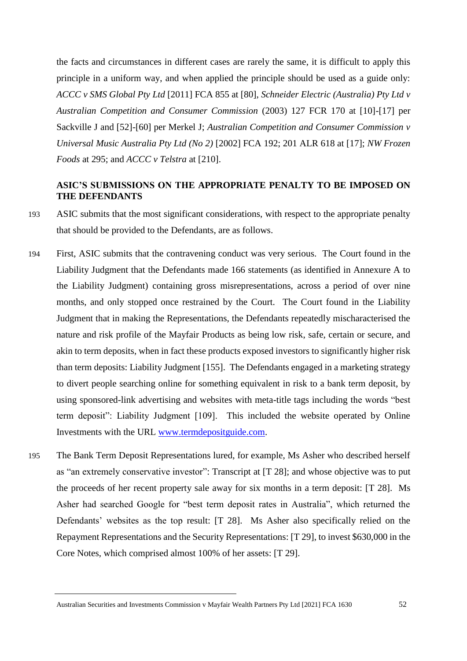the facts and circumstances in different cases are rarely the same, it is difficult to apply this principle in a uniform way, and when applied the principle should be used as a guide only: *ACCC v SMS Global Pty Ltd* [2011] FCA 855 at [80], *Schneider Electric (Australia) Pty Ltd v Australian Competition and Consumer Commission* (2003) 127 FCR 170 at [10]-[17] per Sackville J and [52]-[60] per Merkel J; *Australian Competition and Consumer Commission v Universal Music Australia Pty Ltd (No 2)* [2002] FCA 192; 201 ALR 618 at [17]; *NW Frozen Foods* at 295; and *ACCC v Telstra* at [210].

# **ASIC'S SUBMISSIONS ON THE APPROPRIATE PENALTY TO BE IMPOSED ON THE DEFENDANTS**

- 193 ASIC submits that the most significant considerations, with respect to the appropriate penalty that should be provided to the Defendants, are as follows.
- 194 First, ASIC submits that the contravening conduct was very serious. The Court found in the Liability Judgment that the Defendants made 166 statements (as identified in Annexure A to the Liability Judgment) containing gross misrepresentations, across a period of over nine months, and only stopped once restrained by the Court. The Court found in the Liability Judgment that in making the Representations, the Defendants repeatedly mischaracterised the nature and risk profile of the Mayfair Products as being low risk, safe, certain or secure, and akin to term deposits, when in fact these products exposed investors to significantly higher risk than term deposits: Liability Judgment [155]. The Defendants engaged in a marketing strategy to divert people searching online for something equivalent in risk to a bank term deposit, by using sponsored-link advertising and websites with meta-title tags including the words "best term deposit": Liability Judgment [109]. This included the website operated by Online Investments with the URL [www.termdepositguide.com.](http://www.termdepositguide.com/)
- 195 The Bank Term Deposit Representations lured, for example, Ms Asher who described herself as "an extremely conservative investor": Transcript at [T 28]; and whose objective was to put the proceeds of her recent property sale away for six months in a term deposit: [T 28]. Ms Asher had searched Google for "best term deposit rates in Australia", which returned the Defendants' websites as the top result: [T 28]. Ms Asher also specifically relied on the Repayment Representations and the Security Representations: [T 29], to invest \$630,000 in the Core Notes, which comprised almost 100% of her assets: [T 29].

Australian Securities and Investments Commission v Mayfair Wealth Partners Pty Ltd [2021] FCA 1630 52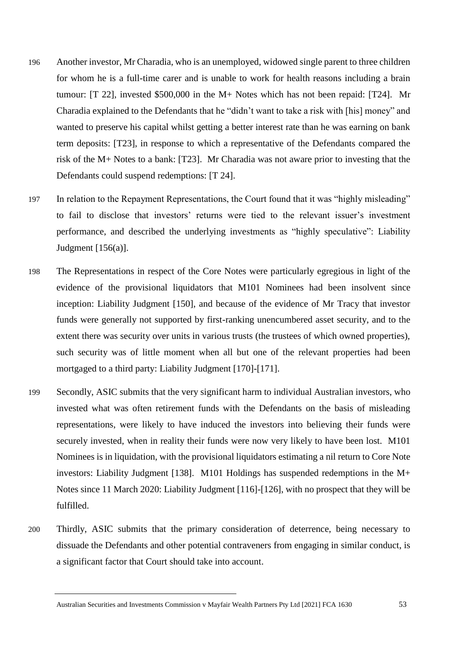- 196 Another investor, Mr Charadia, who is an unemployed, widowed single parent to three children for whom he is a full-time carer and is unable to work for health reasons including a brain tumour: [T 22], invested \$500,000 in the M+ Notes which has not been repaid: [T24]. Mr Charadia explained to the Defendants that he "didn't want to take a risk with [his] money" and wanted to preserve his capital whilst getting a better interest rate than he was earning on bank term deposits: [T23], in response to which a representative of the Defendants compared the risk of the M+ Notes to a bank: [T23]. Mr Charadia was not aware prior to investing that the Defendants could suspend redemptions: [T 24].
- 197 In relation to the Repayment Representations, the Court found that it was "highly misleading" to fail to disclose that investors' returns were tied to the relevant issuer's investment performance, and described the underlying investments as "highly speculative": Liability Judgment [156(a)].
- 198 The Representations in respect of the Core Notes were particularly egregious in light of the evidence of the provisional liquidators that M101 Nominees had been insolvent since inception: Liability Judgment [150], and because of the evidence of Mr Tracy that investor funds were generally not supported by first-ranking unencumbered asset security, and to the extent there was security over units in various trusts (the trustees of which owned properties), such security was of little moment when all but one of the relevant properties had been mortgaged to a third party: Liability Judgment [170]-[171].
- 199 Secondly, ASIC submits that the very significant harm to individual Australian investors, who invested what was often retirement funds with the Defendants on the basis of misleading representations, were likely to have induced the investors into believing their funds were securely invested, when in reality their funds were now very likely to have been lost. M101 Nominees is in liquidation, with the provisional liquidators estimating a nil return to Core Note investors: Liability Judgment [138]. M101 Holdings has suspended redemptions in the M+ Notes since 11 March 2020: Liability Judgment [116]-[126], with no prospect that they will be fulfilled.
- 200 Thirdly, ASIC submits that the primary consideration of deterrence, being necessary to dissuade the Defendants and other potential contraveners from engaging in similar conduct, is a significant factor that Court should take into account.

Australian Securities and Investments Commission v Mayfair Wealth Partners Pty Ltd [2021] FCA 1630 53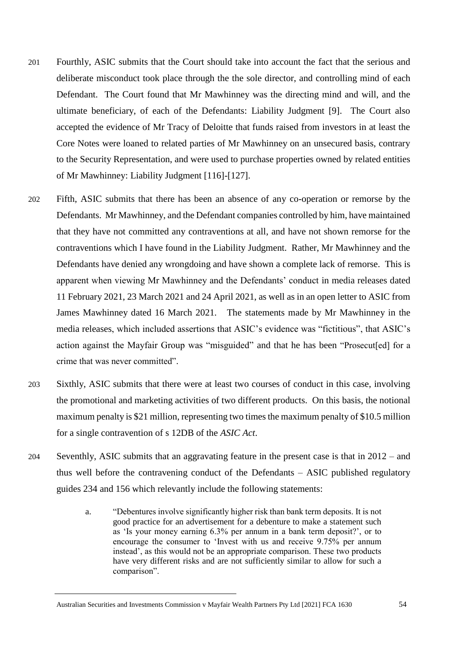- 201 Fourthly, ASIC submits that the Court should take into account the fact that the serious and deliberate misconduct took place through the the sole director, and controlling mind of each Defendant. The Court found that Mr Mawhinney was the directing mind and will, and the ultimate beneficiary, of each of the Defendants: Liability Judgment [9]. The Court also accepted the evidence of Mr Tracy of Deloitte that funds raised from investors in at least the Core Notes were loaned to related parties of Mr Mawhinney on an unsecured basis, contrary to the Security Representation, and were used to purchase properties owned by related entities of Mr Mawhinney: Liability Judgment [116]-[127].
- 202 Fifth, ASIC submits that there has been an absence of any co-operation or remorse by the Defendants. Mr Mawhinney, and the Defendant companies controlled by him, have maintained that they have not committed any contraventions at all, and have not shown remorse for the contraventions which I have found in the Liability Judgment. Rather, Mr Mawhinney and the Defendants have denied any wrongdoing and have shown a complete lack of remorse. This is apparent when viewing Mr Mawhinney and the Defendants' conduct in media releases dated 11 February 2021, 23 March 2021 and 24 April 2021, as well as in an open letter to ASIC from James Mawhinney dated 16 March 2021. The statements made by Mr Mawhinney in the media releases, which included assertions that ASIC's evidence was "fictitious", that ASIC's action against the Mayfair Group was "misguided" and that he has been "Prosecut[ed] for a crime that was never committed".
- 203 Sixthly, ASIC submits that there were at least two courses of conduct in this case, involving the promotional and marketing activities of two different products. On this basis, the notional maximum penalty is \$21 million, representing two times the maximum penalty of \$10.5 million for a single contravention of s 12DB of the *ASIC Act*.
- 204 Seventhly, ASIC submits that an aggravating feature in the present case is that in 2012 and thus well before the contravening conduct of the Defendants – ASIC published regulatory guides 234 and 156 which relevantly include the following statements:
	- a. "Debentures involve significantly higher risk than bank term deposits. It is not good practice for an advertisement for a debenture to make a statement such as 'Is your money earning 6.3% per annum in a bank term deposit?', or to encourage the consumer to 'Invest with us and receive 9.75% per annum instead', as this would not be an appropriate comparison. These two products have very different risks and are not sufficiently similar to allow for such a comparison".

Australian Securities and Investments Commission v Mayfair Wealth Partners Pty Ltd [2021] FCA 1630 54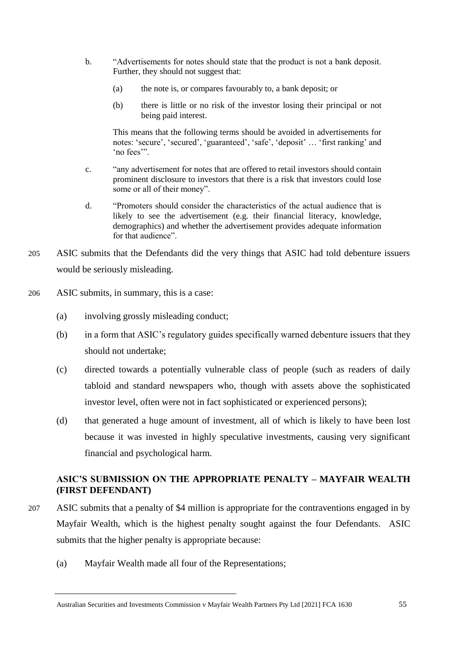- b. "Advertisements for notes should state that the product is not a bank deposit. Further, they should not suggest that:
	- (a) the note is, or compares favourably to, a bank deposit; or
	- (b) there is little or no risk of the investor losing their principal or not being paid interest.

This means that the following terms should be avoided in advertisements for notes: 'secure', 'secured', 'guaranteed', 'safe', 'deposit' … 'first ranking' and 'no fees'".

- c. "any advertisement for notes that are offered to retail investors should contain prominent disclosure to investors that there is a risk that investors could lose some or all of their money".
- d. "Promoters should consider the characteristics of the actual audience that is likely to see the advertisement (e.g. their financial literacy, knowledge, demographics) and whether the advertisement provides adequate information for that audience".
- 205 ASIC submits that the Defendants did the very things that ASIC had told debenture issuers would be seriously misleading.
- 206 ASIC submits, in summary, this is a case:
	- (a) involving grossly misleading conduct;
	- (b) in a form that ASIC's regulatory guides specifically warned debenture issuers that they should not undertake;
	- (c) directed towards a potentially vulnerable class of people (such as readers of daily tabloid and standard newspapers who, though with assets above the sophisticated investor level, often were not in fact sophisticated or experienced persons);
	- (d) that generated a huge amount of investment, all of which is likely to have been lost because it was invested in highly speculative investments, causing very significant financial and psychological harm.

# **ASIC'S SUBMISSION ON THE APPROPRIATE PENALTY – MAYFAIR WEALTH (FIRST DEFENDANT)**

- 207 ASIC submits that a penalty of \$4 million is appropriate for the contraventions engaged in by Mayfair Wealth, which is the highest penalty sought against the four Defendants. ASIC submits that the higher penalty is appropriate because:
	- (a) Mayfair Wealth made all four of the Representations;

Australian Securities and Investments Commission v Mayfair Wealth Partners Pty Ltd [2021] FCA 1630 55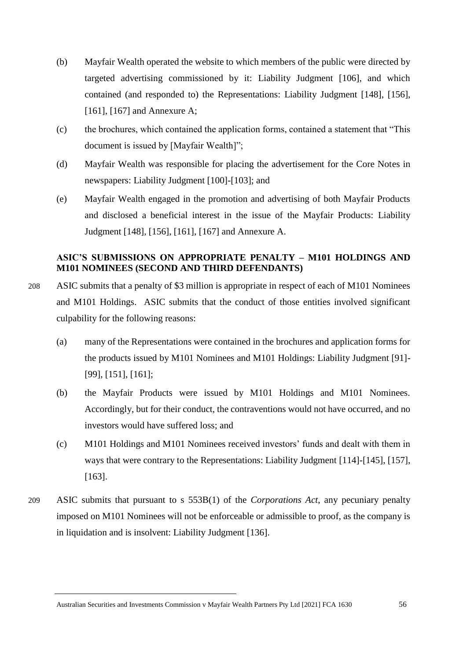- (b) Mayfair Wealth operated the website to which members of the public were directed by targeted advertising commissioned by it: Liability Judgment [106], and which contained (and responded to) the Representations: Liability Judgment [148], [156], [161], [167] and Annexure A;
- (c) the brochures, which contained the application forms, contained a statement that "This document is issued by [Mayfair Wealth]";
- (d) Mayfair Wealth was responsible for placing the advertisement for the Core Notes in newspapers: Liability Judgment [100]-[103]; and
- (e) Mayfair Wealth engaged in the promotion and advertising of both Mayfair Products and disclosed a beneficial interest in the issue of the Mayfair Products: Liability Judgment [148], [156], [161], [167] and Annexure A.

# **ASIC'S SUBMISSIONS ON APPROPRIATE PENALTY – M101 HOLDINGS AND M101 NOMINEES (SECOND AND THIRD DEFENDANTS)**

- 208 ASIC submits that a penalty of \$3 million is appropriate in respect of each of M101 Nominees and M101 Holdings. ASIC submits that the conduct of those entities involved significant culpability for the following reasons:
	- (a) many of the Representations were contained in the brochures and application forms for the products issued by M101 Nominees and M101 Holdings: Liability Judgment [91]- [99], [151], [161];
	- (b) the Mayfair Products were issued by M101 Holdings and M101 Nominees. Accordingly, but for their conduct, the contraventions would not have occurred, and no investors would have suffered loss; and
	- (c) M101 Holdings and M101 Nominees received investors' funds and dealt with them in ways that were contrary to the Representations: Liability Judgment [114]-[145], [157], [163].
- 209 ASIC submits that pursuant to s 553B(1) of the *Corporations Act*, any pecuniary penalty imposed on M101 Nominees will not be enforceable or admissible to proof, as the company is in liquidation and is insolvent: Liability Judgment [136].

Australian Securities and Investments Commission v Mayfair Wealth Partners Pty Ltd [2021] FCA 1630 56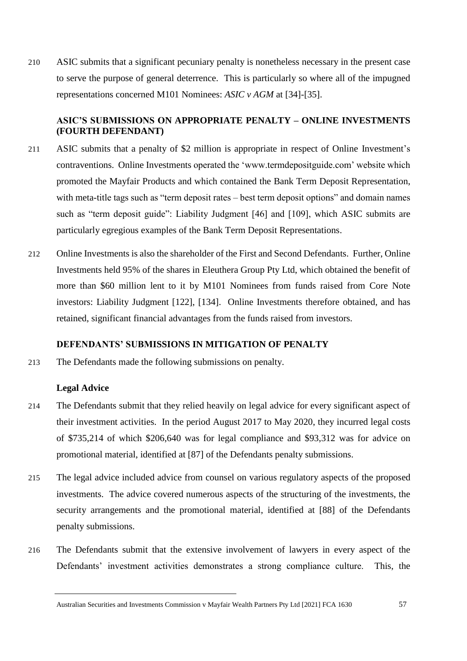210 ASIC submits that a significant pecuniary penalty is nonetheless necessary in the present case to serve the purpose of general deterrence. This is particularly so where all of the impugned representations concerned M101 Nominees: *ASIC v AGM* at [34]-[35].

## **ASIC'S SUBMISSIONS ON APPROPRIATE PENALTY – ONLINE INVESTMENTS (FOURTH DEFENDANT)**

- 211 ASIC submits that a penalty of \$2 million is appropriate in respect of Online Investment's contraventions. Online Investments operated the 'www.termdepositguide.com' website which promoted the Mayfair Products and which contained the Bank Term Deposit Representation, with meta-title tags such as "term deposit rates – best term deposit options" and domain names such as "term deposit guide": Liability Judgment [46] and [109], which ASIC submits are particularly egregious examples of the Bank Term Deposit Representations.
- 212 Online Investments is also the shareholder of the First and Second Defendants. Further, Online Investments held 95% of the shares in Eleuthera Group Pty Ltd, which obtained the benefit of more than \$60 million lent to it by M101 Nominees from funds raised from Core Note investors: Liability Judgment [122], [134]. Online Investments therefore obtained, and has retained, significant financial advantages from the funds raised from investors.

## **DEFENDANTS' SUBMISSIONS IN MITIGATION OF PENALTY**

213 The Defendants made the following submissions on penalty.

### **Legal Advice**

- 214 The Defendants submit that they relied heavily on legal advice for every significant aspect of their investment activities. In the period August 2017 to May 2020, they incurred legal costs of \$735,214 of which \$206,640 was for legal compliance and \$93,312 was for advice on promotional material, identified at [87] of the Defendants penalty submissions.
- 215 The legal advice included advice from counsel on various regulatory aspects of the proposed investments. The advice covered numerous aspects of the structuring of the investments, the security arrangements and the promotional material, identified at [88] of the Defendants penalty submissions.
- 216 The Defendants submit that the extensive involvement of lawyers in every aspect of the Defendants' investment activities demonstrates a strong compliance culture. This, the

Australian Securities and Investments Commission v Mayfair Wealth Partners Pty Ltd [2021] FCA 1630 57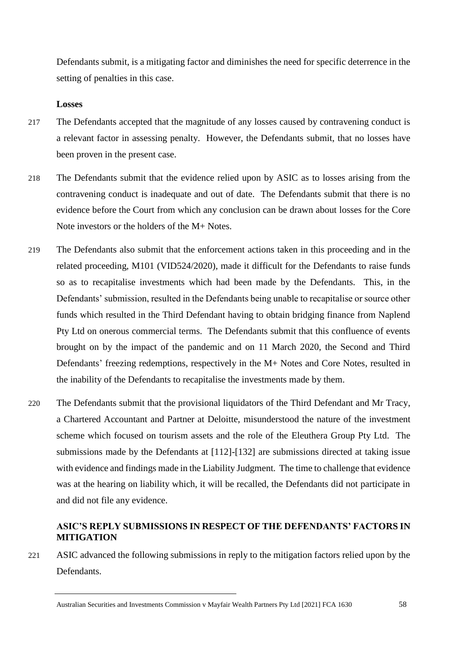Defendants submit, is a mitigating factor and diminishes the need for specific deterrence in the setting of penalties in this case.

## **Losses**

- 217 The Defendants accepted that the magnitude of any losses caused by contravening conduct is a relevant factor in assessing penalty. However, the Defendants submit, that no losses have been proven in the present case.
- 218 The Defendants submit that the evidence relied upon by ASIC as to losses arising from the contravening conduct is inadequate and out of date. The Defendants submit that there is no evidence before the Court from which any conclusion can be drawn about losses for the Core Note investors or the holders of the M+ Notes.
- 219 The Defendants also submit that the enforcement actions taken in this proceeding and in the related proceeding, M101 (VID524/2020), made it difficult for the Defendants to raise funds so as to recapitalise investments which had been made by the Defendants. This, in the Defendants' submission, resulted in the Defendants being unable to recapitalise or source other funds which resulted in the Third Defendant having to obtain bridging finance from Naplend Pty Ltd on onerous commercial terms. The Defendants submit that this confluence of events brought on by the impact of the pandemic and on 11 March 2020, the Second and Third Defendants' freezing redemptions, respectively in the M+ Notes and Core Notes, resulted in the inability of the Defendants to recapitalise the investments made by them.
- 220 The Defendants submit that the provisional liquidators of the Third Defendant and Mr Tracy, a Chartered Accountant and Partner at Deloitte, misunderstood the nature of the investment scheme which focused on tourism assets and the role of the Eleuthera Group Pty Ltd. The submissions made by the Defendants at [112]-[132] are submissions directed at taking issue with evidence and findings made in the Liability Judgment. The time to challenge that evidence was at the hearing on liability which, it will be recalled, the Defendants did not participate in and did not file any evidence.

# **ASIC'S REPLY SUBMISSIONS IN RESPECT OF THE DEFENDANTS' FACTORS IN MITIGATION**

221 ASIC advanced the following submissions in reply to the mitigation factors relied upon by the Defendants.

Australian Securities and Investments Commission v Mayfair Wealth Partners Pty Ltd [2021] FCA 1630 58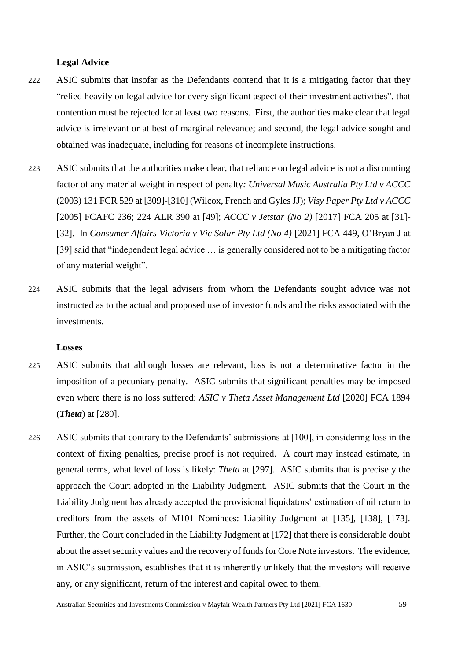### **Legal Advice**

- 222 ASIC submits that insofar as the Defendants contend that it is a mitigating factor that they "relied heavily on legal advice for every significant aspect of their investment activities", that contention must be rejected for at least two reasons. First, the authorities make clear that legal advice is irrelevant or at best of marginal relevance; and second, the legal advice sought and obtained was inadequate, including for reasons of incomplete instructions.
- 223 ASIC submits that the authorities make clear, that reliance on legal advice is not a discounting factor of any material weight in respect of penalty*: Universal Music Australia Pty Ltd v ACCC* (2003) 131 FCR 529 at [309]-[310] (Wilcox, French and Gyles JJ); *Visy Paper Pty Ltd v ACCC* [2005] FCAFC 236; 224 ALR 390 at [49]; *ACCC v Jetstar (No 2)* [2017] FCA 205 at [31]- [32]. In *Consumer Affairs Victoria v Vic Solar Pty Ltd (No 4)* [2021] FCA 449, O'Bryan J at [39] said that "independent legal advice … is generally considered not to be a mitigating factor of any material weight".
- 224 ASIC submits that the legal advisers from whom the Defendants sought advice was not instructed as to the actual and proposed use of investor funds and the risks associated with the investments.

#### **Losses**

- 225 ASIC submits that although losses are relevant, loss is not a determinative factor in the imposition of a pecuniary penalty. ASIC submits that significant penalties may be imposed even where there is no loss suffered: *ASIC v Theta Asset Management Ltd* [2020] FCA 1894 (*Theta*) at [280].
- 226 ASIC submits that contrary to the Defendants' submissions at [100], in considering loss in the context of fixing penalties, precise proof is not required. A court may instead estimate, in general terms, what level of loss is likely: *Theta* at [297]. ASIC submits that is precisely the approach the Court adopted in the Liability Judgment. ASIC submits that the Court in the Liability Judgment has already accepted the provisional liquidators' estimation of nil return to creditors from the assets of M101 Nominees: Liability Judgment at [135], [138], [173]. Further, the Court concluded in the Liability Judgment at [172] that there is considerable doubt about the asset security values and the recovery of funds for Core Note investors. The evidence, in ASIC's submission, establishes that it is inherently unlikely that the investors will receive any, or any significant, return of the interest and capital owed to them.

Australian Securities and Investments Commission v Mayfair Wealth Partners Pty Ltd [2021] FCA 1630 59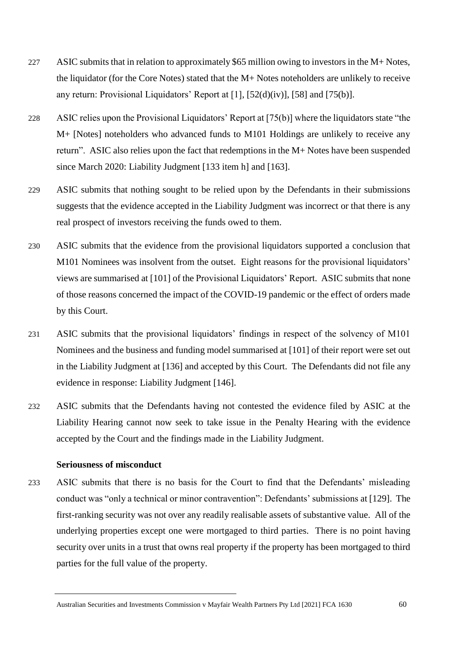- 227 ASIC submits that in relation to approximately \$65 million owing to investors in the M+ Notes, the liquidator (for the Core Notes) stated that the M+ Notes noteholders are unlikely to receive any return: Provisional Liquidators' Report at [1], [52(d)(iv)], [58] and [75(b)].
- 228 ASIC relies upon the Provisional Liquidators' Report at [75(b)] where the liquidators state "the M+ [Notes] noteholders who advanced funds to M101 Holdings are unlikely to receive any return". ASIC also relies upon the fact that redemptions in the M+ Notes have been suspended since March 2020: Liability Judgment [133 item h] and [163].
- 229 ASIC submits that nothing sought to be relied upon by the Defendants in their submissions suggests that the evidence accepted in the Liability Judgment was incorrect or that there is any real prospect of investors receiving the funds owed to them.
- 230 ASIC submits that the evidence from the provisional liquidators supported a conclusion that M101 Nominees was insolvent from the outset. Eight reasons for the provisional liquidators' views are summarised at [101] of the Provisional Liquidators' Report. ASIC submits that none of those reasons concerned the impact of the COVID-19 pandemic or the effect of orders made by this Court.
- 231 ASIC submits that the provisional liquidators' findings in respect of the solvency of M101 Nominees and the business and funding model summarised at [101] of their report were set out in the Liability Judgment at [136] and accepted by this Court. The Defendants did not file any evidence in response: Liability Judgment [146].
- 232 ASIC submits that the Defendants having not contested the evidence filed by ASIC at the Liability Hearing cannot now seek to take issue in the Penalty Hearing with the evidence accepted by the Court and the findings made in the Liability Judgment.

## **Seriousness of misconduct**

233 ASIC submits that there is no basis for the Court to find that the Defendants' misleading conduct was "only a technical or minor contravention": Defendants' submissions at [129]. The first-ranking security was not over any readily realisable assets of substantive value. All of the underlying properties except one were mortgaged to third parties. There is no point having security over units in a trust that owns real property if the property has been mortgaged to third parties for the full value of the property.

Australian Securities and Investments Commission v Mayfair Wealth Partners Pty Ltd [2021] FCA 1630 60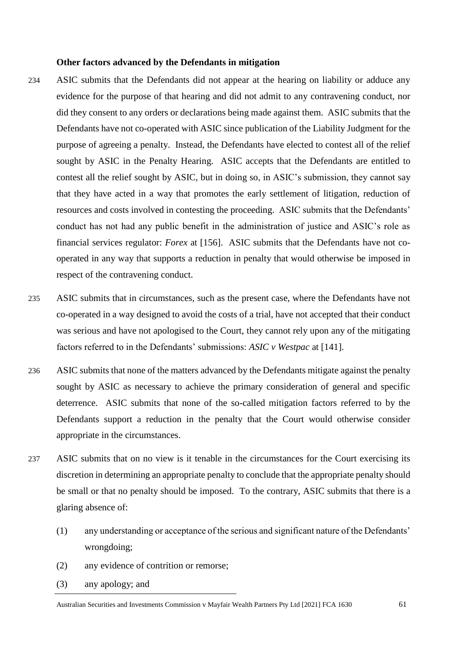### **Other factors advanced by the Defendants in mitigation**

- 234 ASIC submits that the Defendants did not appear at the hearing on liability or adduce any evidence for the purpose of that hearing and did not admit to any contravening conduct, nor did they consent to any orders or declarations being made against them. ASIC submits that the Defendants have not co-operated with ASIC since publication of the Liability Judgment for the purpose of agreeing a penalty. Instead, the Defendants have elected to contest all of the relief sought by ASIC in the Penalty Hearing. ASIC accepts that the Defendants are entitled to contest all the relief sought by ASIC, but in doing so, in ASIC's submission, they cannot say that they have acted in a way that promotes the early settlement of litigation, reduction of resources and costs involved in contesting the proceeding. ASIC submits that the Defendants' conduct has not had any public benefit in the administration of justice and ASIC's role as financial services regulator: *Forex* at [156]. ASIC submits that the Defendants have not cooperated in any way that supports a reduction in penalty that would otherwise be imposed in respect of the contravening conduct.
- 235 ASIC submits that in circumstances, such as the present case, where the Defendants have not co-operated in a way designed to avoid the costs of a trial, have not accepted that their conduct was serious and have not apologised to the Court, they cannot rely upon any of the mitigating factors referred to in the Defendants' submissions: *ASIC v Westpac* at [141].
- 236 ASIC submits that none of the matters advanced by the Defendants mitigate against the penalty sought by ASIC as necessary to achieve the primary consideration of general and specific deterrence. ASIC submits that none of the so-called mitigation factors referred to by the Defendants support a reduction in the penalty that the Court would otherwise consider appropriate in the circumstances.
- 237 ASIC submits that on no view is it tenable in the circumstances for the Court exercising its discretion in determining an appropriate penalty to conclude that the appropriate penalty should be small or that no penalty should be imposed. To the contrary, ASIC submits that there is a glaring absence of:
	- (1) any understanding or acceptance of the serious and significant nature of the Defendants' wrongdoing;
	- (2) any evidence of contrition or remorse;
	- (3) any apology; and

Australian Securities and Investments Commission v Mayfair Wealth Partners Pty Ltd [2021] FCA 1630 61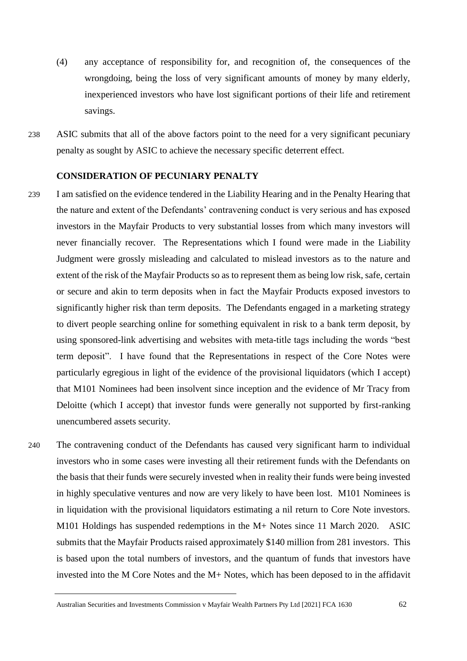- (4) any acceptance of responsibility for, and recognition of, the consequences of the wrongdoing, being the loss of very significant amounts of money by many elderly, inexperienced investors who have lost significant portions of their life and retirement savings.
- 238 ASIC submits that all of the above factors point to the need for a very significant pecuniary penalty as sought by ASIC to achieve the necessary specific deterrent effect.

## **CONSIDERATION OF PECUNIARY PENALTY**

- 239 I am satisfied on the evidence tendered in the Liability Hearing and in the Penalty Hearing that the nature and extent of the Defendants' contravening conduct is very serious and has exposed investors in the Mayfair Products to very substantial losses from which many investors will never financially recover. The Representations which I found were made in the Liability Judgment were grossly misleading and calculated to mislead investors as to the nature and extent of the risk of the Mayfair Products so as to represent them as being low risk, safe, certain or secure and akin to term deposits when in fact the Mayfair Products exposed investors to significantly higher risk than term deposits. The Defendants engaged in a marketing strategy to divert people searching online for something equivalent in risk to a bank term deposit, by using sponsored-link advertising and websites with meta-title tags including the words "best term deposit". I have found that the Representations in respect of the Core Notes were particularly egregious in light of the evidence of the provisional liquidators (which I accept) that M101 Nominees had been insolvent since inception and the evidence of Mr Tracy from Deloitte (which I accept) that investor funds were generally not supported by first-ranking unencumbered assets security.
- 240 The contravening conduct of the Defendants has caused very significant harm to individual investors who in some cases were investing all their retirement funds with the Defendants on the basis that their funds were securely invested when in reality their funds were being invested in highly speculative ventures and now are very likely to have been lost. M101 Nominees is in liquidation with the provisional liquidators estimating a nil return to Core Note investors. M101 Holdings has suspended redemptions in the M+ Notes since 11 March 2020. ASIC submits that the Mayfair Products raised approximately \$140 million from 281 investors. This is based upon the total numbers of investors, and the quantum of funds that investors have invested into the M Core Notes and the M+ Notes, which has been deposed to in the affidavit

Australian Securities and Investments Commission v Mayfair Wealth Partners Pty Ltd [2021] FCA 1630 62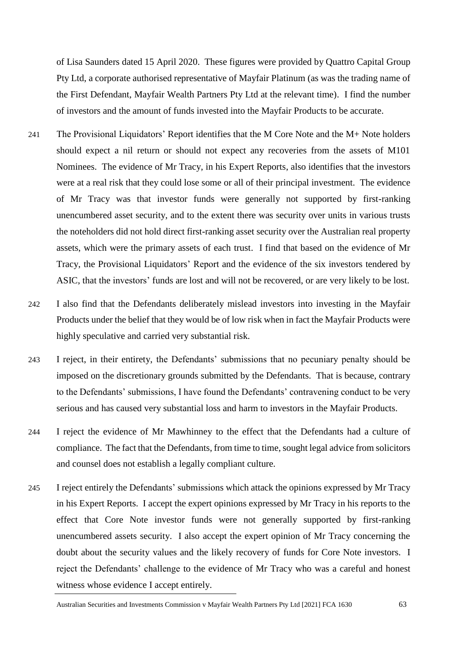of Lisa Saunders dated 15 April 2020. These figures were provided by Quattro Capital Group Pty Ltd, a corporate authorised representative of Mayfair Platinum (as was the trading name of the First Defendant, Mayfair Wealth Partners Pty Ltd at the relevant time). I find the number of investors and the amount of funds invested into the Mayfair Products to be accurate.

- 241 The Provisional Liquidators' Report identifies that the M Core Note and the M+ Note holders should expect a nil return or should not expect any recoveries from the assets of M101 Nominees. The evidence of Mr Tracy, in his Expert Reports, also identifies that the investors were at a real risk that they could lose some or all of their principal investment. The evidence of Mr Tracy was that investor funds were generally not supported by first-ranking unencumbered asset security, and to the extent there was security over units in various trusts the noteholders did not hold direct first-ranking asset security over the Australian real property assets, which were the primary assets of each trust. I find that based on the evidence of Mr Tracy, the Provisional Liquidators' Report and the evidence of the six investors tendered by ASIC, that the investors' funds are lost and will not be recovered, or are very likely to be lost.
- 242 I also find that the Defendants deliberately mislead investors into investing in the Mayfair Products under the belief that they would be of low risk when in fact the Mayfair Products were highly speculative and carried very substantial risk.
- 243 I reject, in their entirety, the Defendants' submissions that no pecuniary penalty should be imposed on the discretionary grounds submitted by the Defendants. That is because, contrary to the Defendants' submissions, I have found the Defendants' contravening conduct to be very serious and has caused very substantial loss and harm to investors in the Mayfair Products.
- 244 I reject the evidence of Mr Mawhinney to the effect that the Defendants had a culture of compliance. The fact that the Defendants, from time to time, sought legal advice from solicitors and counsel does not establish a legally compliant culture.
- 245 I reject entirely the Defendants' submissions which attack the opinions expressed by Mr Tracy in his Expert Reports. I accept the expert opinions expressed by Mr Tracy in his reports to the effect that Core Note investor funds were not generally supported by first-ranking unencumbered assets security. I also accept the expert opinion of Mr Tracy concerning the doubt about the security values and the likely recovery of funds for Core Note investors. I reject the Defendants' challenge to the evidence of Mr Tracy who was a careful and honest witness whose evidence I accept entirely.

Australian Securities and Investments Commission v Mayfair Wealth Partners Pty Ltd [2021] FCA 1630 63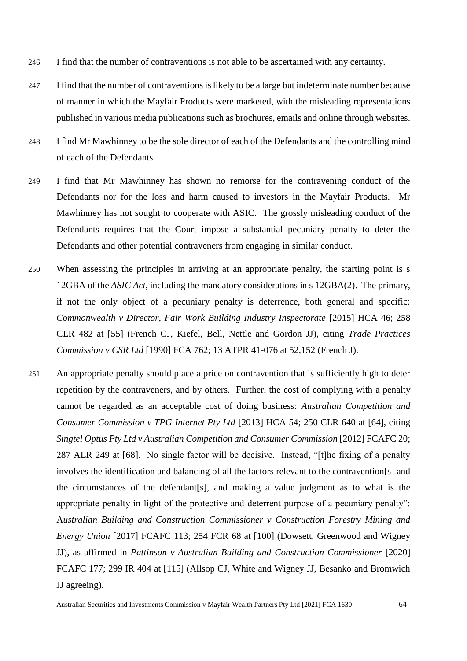- 246 I find that the number of contraventions is not able to be ascertained with any certainty.
- 247 I find that the number of contraventions is likely to be a large but indeterminate number because of manner in which the Mayfair Products were marketed, with the misleading representations published in various media publications such as brochures, emails and online through websites.
- 248 I find Mr Mawhinney to be the sole director of each of the Defendants and the controlling mind of each of the Defendants.
- 249 I find that Mr Mawhinney has shown no remorse for the contravening conduct of the Defendants nor for the loss and harm caused to investors in the Mayfair Products. Mr Mawhinney has not sought to cooperate with ASIC. The grossly misleading conduct of the Defendants requires that the Court impose a substantial pecuniary penalty to deter the Defendants and other potential contraveners from engaging in similar conduct.
- 250 When assessing the principles in arriving at an appropriate penalty, the starting point is s 12GBA of the *ASIC Act*, including the mandatory considerations in s 12GBA(2). The primary, if not the only object of a pecuniary penalty is deterrence, both general and specific: *Commonwealth v Director, Fair Work Building Industry Inspectorate* [2015] HCA 46; 258 CLR 482 at [55] (French CJ, Kiefel, Bell, Nettle and Gordon JJ), citing *Trade Practices Commission v CSR Ltd* [1990] FCA 762; 13 ATPR 41-076 at 52,152 (French J).
- 251 An appropriate penalty should place a price on contravention that is sufficiently high to deter repetition by the contraveners, and by others. Further, the cost of complying with a penalty cannot be regarded as an acceptable cost of doing business: *Australian Competition and Consumer Commission v TPG Internet Pty Ltd* [2013] HCA 54; 250 CLR 640 at [64], citing *Singtel Optus Pty Ltd v Australian Competition and Consumer Commission* [2012] FCAFC 20; 287 ALR 249 at [68]. No single factor will be decisive. Instead, "[t]he fixing of a penalty involves the identification and balancing of all the factors relevant to the contravention[s] and the circumstances of the defendant[s], and making a value judgment as to what is the appropriate penalty in light of the protective and deterrent purpose of a pecuniary penalty": A*ustralian Building and Construction Commissioner v Construction Forestry Mining and Energy Union* [2017] FCAFC 113; 254 FCR 68 at [100] (Dowsett, Greenwood and Wigney JJ), as affirmed in *Pattinson v Australian Building and Construction Commissioner* [2020] FCAFC 177; 299 IR 404 at [115] (Allsop CJ, White and Wigney JJ, Besanko and Bromwich JJ agreeing).

Australian Securities and Investments Commission v Mayfair Wealth Partners Pty Ltd [2021] FCA 1630 64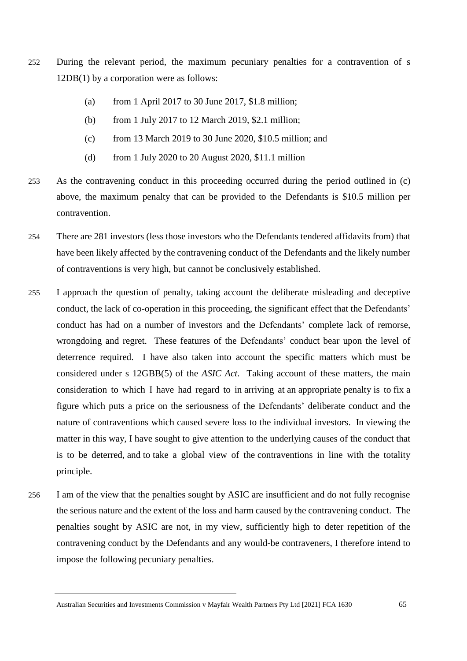- 252 During the relevant period, the maximum pecuniary penalties for a contravention of s 12DB(1) by a corporation were as follows:
	- (a) from 1 April 2017 to 30 June 2017, \$1.8 million;
	- (b) from 1 July 2017 to 12 March 2019, \$2.1 million;
	- (c) from 13 March 2019 to 30 June 2020, \$10.5 million; and
	- (d) from 1 July 2020 to 20 August 2020, \$11.1 million
- 253 As the contravening conduct in this proceeding occurred during the period outlined in (c) above, the maximum penalty that can be provided to the Defendants is \$10.5 million per contravention.
- 254 There are 281 investors (less those investors who the Defendants tendered affidavits from) that have been likely affected by the contravening conduct of the Defendants and the likely number of contraventions is very high, but cannot be conclusively established.
- 255 I approach the question of penalty, taking account the deliberate misleading and deceptive conduct, the lack of co-operation in this proceeding, the significant effect that the Defendants' conduct has had on a number of investors and the Defendants' complete lack of remorse, wrongdoing and regret. These features of the Defendants' conduct bear upon the level of deterrence required. I have also taken into account the specific matters which must be considered under s 12GBB(5) of the *ASIC Act*. Taking account of these matters, the main consideration to which I have had regard to in arriving at an appropriate penalty is to fix a figure which puts a price on the seriousness of the Defendants' deliberate conduct and the nature of contraventions which caused severe loss to the individual investors. In viewing the matter in this way, I have sought to give attention to the underlying causes of the conduct that is to be deterred, and to take a global view of the contraventions in line with the totality principle.
- 256 I am of the view that the penalties sought by ASIC are insufficient and do not fully recognise the serious nature and the extent of the loss and harm caused by the contravening conduct. The penalties sought by ASIC are not, in my view, sufficiently high to deter repetition of the contravening conduct by the Defendants and any would-be contraveners, I therefore intend to impose the following pecuniary penalties.

Australian Securities and Investments Commission v Mayfair Wealth Partners Pty Ltd [2021] FCA 1630 65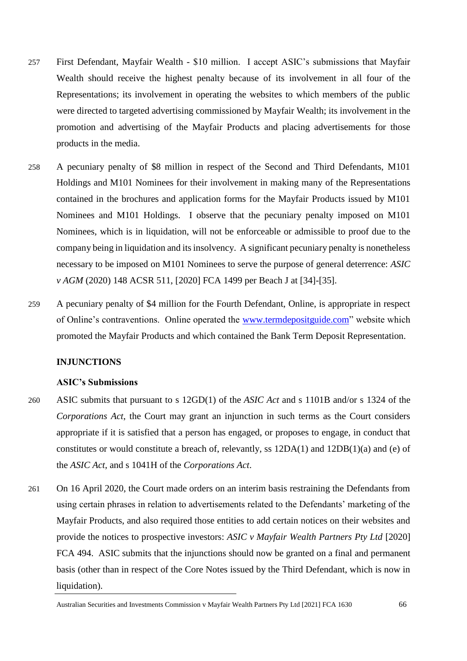- 257 First Defendant, Mayfair Wealth \$10 million. I accept ASIC's submissions that Mayfair Wealth should receive the highest penalty because of its involvement in all four of the Representations; its involvement in operating the websites to which members of the public were directed to targeted advertising commissioned by Mayfair Wealth; its involvement in the promotion and advertising of the Mayfair Products and placing advertisements for those products in the media.
- 258 A pecuniary penalty of \$8 million in respect of the Second and Third Defendants, M101 Holdings and M101 Nominees for their involvement in making many of the Representations contained in the brochures and application forms for the Mayfair Products issued by M101 Nominees and M101 Holdings. I observe that the pecuniary penalty imposed on M101 Nominees, which is in liquidation, will not be enforceable or admissible to proof due to the company being in liquidation and its insolvency. A significant pecuniary penalty is nonetheless necessary to be imposed on M101 Nominees to serve the purpose of general deterrence: *ASIC v AGM* (2020) 148 ACSR 511, [2020] FCA 1499 per Beach J at [34]-[35].
- 259 A pecuniary penalty of \$4 million for the Fourth Defendant, Online, is appropriate in respect of Online's contraventions. Online operated the [www.termdepositguide.com"](http://www.termdepositguide.com/) website which promoted the Mayfair Products and which contained the Bank Term Deposit Representation.

### **INJUNCTIONS**

### **ASIC's Submissions**

- 260 ASIC submits that pursuant to s 12GD(1) of the *ASIC Act* and s 1101B and/or s 1324 of the *Corporations Act*, the Court may grant an injunction in such terms as the Court considers appropriate if it is satisfied that a person has engaged, or proposes to engage, in conduct that constitutes or would constitute a breach of, relevantly, ss 12DA(1) and 12DB(1)(a) and (e) of the *ASIC Act*, and s 1041H of the *Corporations Act*.
- 261 On 16 April 2020, the Court made orders on an interim basis restraining the Defendants from using certain phrases in relation to advertisements related to the Defendants' marketing of the Mayfair Products, and also required those entities to add certain notices on their websites and provide the notices to prospective investors: *ASIC v Mayfair Wealth Partners Pty Ltd* [2020] FCA 494. ASIC submits that the injunctions should now be granted on a final and permanent basis (other than in respect of the Core Notes issued by the Third Defendant, which is now in liquidation).

Australian Securities and Investments Commission v Mayfair Wealth Partners Pty Ltd [2021] FCA 1630 66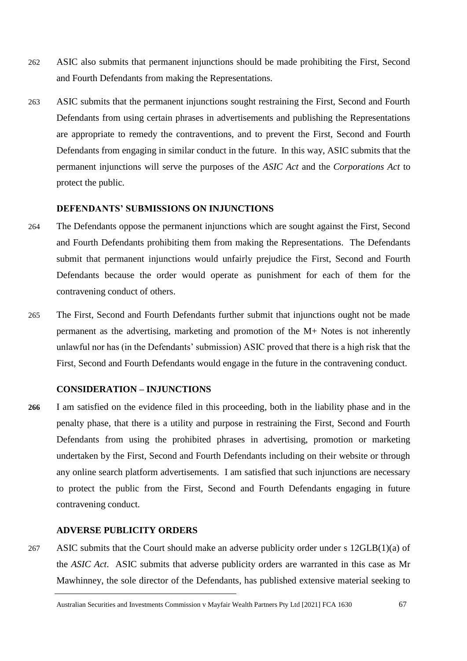- 262 ASIC also submits that permanent injunctions should be made prohibiting the First, Second and Fourth Defendants from making the Representations.
- 263 ASIC submits that the permanent injunctions sought restraining the First, Second and Fourth Defendants from using certain phrases in advertisements and publishing the Representations are appropriate to remedy the contraventions, and to prevent the First, Second and Fourth Defendants from engaging in similar conduct in the future. In this way, ASIC submits that the permanent injunctions will serve the purposes of the *ASIC Act* and the *Corporations Act* to protect the public.

# **DEFENDANTS' SUBMISSIONS ON INJUNCTIONS**

- 264 The Defendants oppose the permanent injunctions which are sought against the First, Second and Fourth Defendants prohibiting them from making the Representations. The Defendants submit that permanent injunctions would unfairly prejudice the First, Second and Fourth Defendants because the order would operate as punishment for each of them for the contravening conduct of others.
- 265 The First, Second and Fourth Defendants further submit that injunctions ought not be made permanent as the advertising, marketing and promotion of the M+ Notes is not inherently unlawful nor has (in the Defendants' submission) ASIC proved that there is a high risk that the First, Second and Fourth Defendants would engage in the future in the contravening conduct.

### **CONSIDERATION – INJUNCTIONS**

**266** I am satisfied on the evidence filed in this proceeding, both in the liability phase and in the penalty phase, that there is a utility and purpose in restraining the First, Second and Fourth Defendants from using the prohibited phrases in advertising, promotion or marketing undertaken by the First, Second and Fourth Defendants including on their website or through any online search platform advertisements. I am satisfied that such injunctions are necessary to protect the public from the First, Second and Fourth Defendants engaging in future contravening conduct.

## **ADVERSE PUBLICITY ORDERS**

267 ASIC submits that the Court should make an adverse publicity order under s  $12GLB(1)(a)$  of the *ASIC Act*. ASIC submits that adverse publicity orders are warranted in this case as Mr Mawhinney, the sole director of the Defendants, has published extensive material seeking to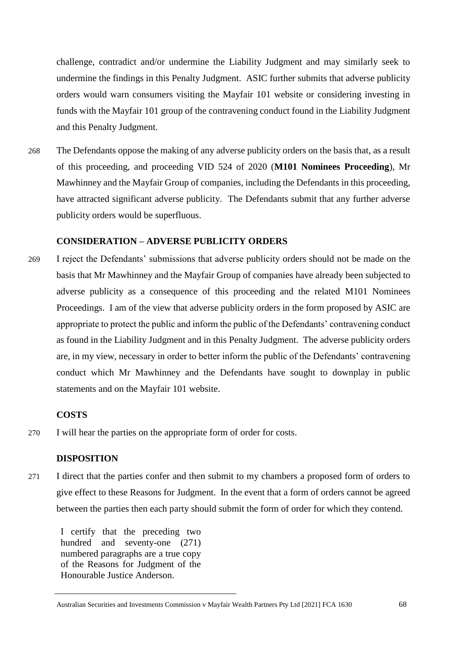challenge, contradict and/or undermine the Liability Judgment and may similarly seek to undermine the findings in this Penalty Judgment. ASIC further submits that adverse publicity orders would warn consumers visiting the Mayfair 101 website or considering investing in funds with the Mayfair 101 group of the contravening conduct found in the Liability Judgment and this Penalty Judgment.

268 The Defendants oppose the making of any adverse publicity orders on the basis that, as a result of this proceeding, and proceeding VID 524 of 2020 (**M101 Nominees Proceeding**), Mr Mawhinney and the Mayfair Group of companies, including the Defendants in this proceeding, have attracted significant adverse publicity. The Defendants submit that any further adverse publicity orders would be superfluous.

### **CONSIDERATION – ADVERSE PUBLICITY ORDERS**

269 I reject the Defendants' submissions that adverse publicity orders should not be made on the basis that Mr Mawhinney and the Mayfair Group of companies have already been subjected to adverse publicity as a consequence of this proceeding and the related M101 Nominees Proceedings. I am of the view that adverse publicity orders in the form proposed by ASIC are appropriate to protect the public and inform the public of the Defendants' contravening conduct as found in the Liability Judgment and in this Penalty Judgment. The adverse publicity orders are, in my view, necessary in order to better inform the public of the Defendants' contravening conduct which Mr Mawhinney and the Defendants have sought to downplay in public statements and on the Mayfair 101 website.

### **COSTS**

270 I will hear the parties on the appropriate form of order for costs.

### **DISPOSITION**

271 I direct that the parties confer and then submit to my chambers a proposed form of orders to give effect to these Reasons for Judgment. In the event that a form of orders cannot be agreed between the parties then each party should submit the form of order for which they contend.

I certify that the preceding two hundred and seventy-one (271) numbered paragraphs are a true copy of the Reasons for Judgment of the Honourable Justice Anderson.

Australian Securities and Investments Commission v Mayfair Wealth Partners Pty Ltd [2021] FCA 1630 68